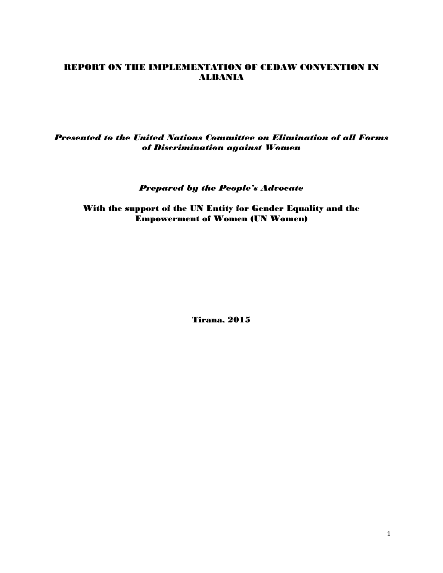# REPORT ON THE IMPLEMENTATION OF CEDAW CONVENTION IN ALBANIA

*Presented to the United Nations Committee on Elimination of all Forms of Discrimination against Women*

*Prepared by the People's Advocate*

With the support of the UN Entity for Gender Equality and the Empowerment of Women (UN Women)

Tirana, 2015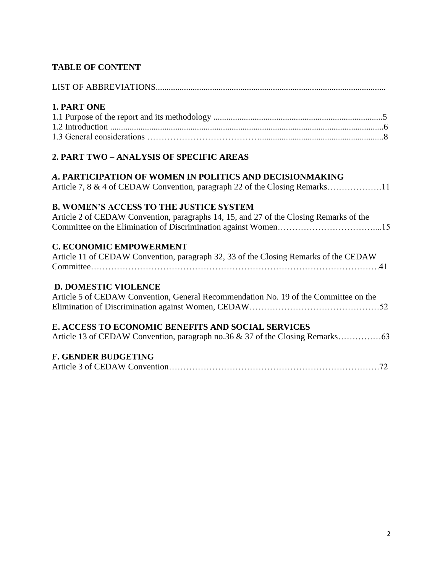# **TABLE OF CONTENT**

| 1. PART ONE                                                                                                                                    |
|------------------------------------------------------------------------------------------------------------------------------------------------|
| 2. PART TWO - ANALYSIS OF SPECIFIC AREAS                                                                                                       |
| <b>A. PARTICIPATION OF WOMEN IN POLITICS AND DECISIONMAKING</b><br>Article 7, 8 & 4 of CEDAW Convention, paragraph 22 of the Closing Remarks11 |
| <b>B. WOMEN'S ACCESS TO THE JUSTICE SYSTEM</b><br>Article 2 of CEDAW Convention, paragraphs 14, 15, and 27 of the Closing Remarks of the       |
| <b>C. ECONOMIC EMPOWERMENT</b><br>Article 11 of CEDAW Convention, paragraph 32, 33 of the Closing Remarks of the CEDAW                         |
| <b>D. DOMESTIC VIOLENCE</b><br>Article 5 of CEDAW Convention, General Recommendation No. 19 of the Committee on the                            |
| E. ACCESS TO ECONOMIC BENEFITS AND SOCIAL SERVICES                                                                                             |
| <b>F. GENDER BUDGETING</b>                                                                                                                     |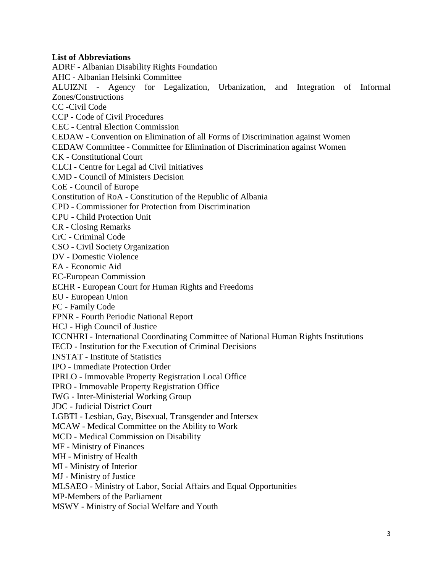### **List of Abbreviations**

ADRF - Albanian Disability Rights Foundation AHC - Albanian Helsinki Committee

ALUIZNI - Agency for Legalization, [Urbanization,](http://www.aluizni.gov.al/vendim-nr-485-date-16-07-2014-per-disa-ndryshime-ne-vendimin-nr-289-per-organizaimin-dhe-funksionimin-e-agjencise-se-legalizimit-urbanizimit-dhe-integrimit-te-zonavendertimore-informale/) and Integration of Informal [Zones/Constructions](http://www.aluizni.gov.al/vendim-nr-485-date-16-07-2014-per-disa-ndryshime-ne-vendimin-nr-289-per-organizaimin-dhe-funksionimin-e-agjencise-se-legalizimit-urbanizimit-dhe-integrimit-te-zonavendertimore-informale/)

CC -Civil Code

CCP - Code of Civil Procedures CEC - Central Election Commission CEDAW - Convention on Elimination of all Forms of Discrimination against Women CEDAW Committee - Committee for Elimination of Discrimination against Women CK - Constitutional Court CLCI - Centre for Legal ad Civil Initiatives CMD - Council of Ministers Decision CoE - Council of Europe Constitution of RoA - Constitution of the Republic of Albania CPD - Commissioner for Protection from Discrimination CPU - Child Protection Unit CR - Closing Remarks CrC - Criminal Code CSO - Civil Society Organization DV - Domestic Violence EA - Economic Aid EC-European Commission ECHR - European Court for Human Rights and Freedoms EU - European Union FC - Family Code FPNR - Fourth Periodic National Report HCJ - High Council of Justice ICCNHRI - International Coordinating Committee of National Human Rights Institutions IECD - Institution for the Execution of Criminal Decisions INSTAT - Institute of Statistics IPO - Immediate Protection Order IPRLO - Immovable Property Registration Local Office IPRO - Immovable Property Registration Office IWG - Inter-Ministerial Working Group JDC - Judicial District Court LGBTI - Lesbian, Gay, Bisexual, Transgender and Intersex MCAW - Medical Committee on the Ability to Work MCD - Medical Commission on Disability MF - Ministry of Finances MH - Ministry of Health MI - Ministry of Interior MJ - Ministry of Justice MLSAEO - Ministry of Labor, Social Affairs and Equal Opportunities MP-Members of the Parliament MSWY - Ministry of Social Welfare and Youth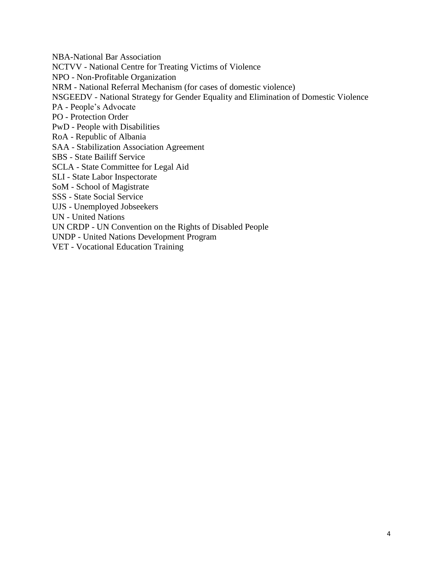NBA-National Bar Association NCTVV - National Centre for Treating Victims of Violence NPO - Non-Profitable Organization NRM - National Referral Mechanism (for cases of domestic violence) NSGEEDV - National Strategy for Gender Equality and Elimination of Domestic Violence PA - People's Advocate PO - Protection Order PwD - People with Disabilities RoA - Republic of Albania SAA - Stabilization Association Agreement SBS - State Bailiff Service SCLA - State Committee for Legal Aid SLI - State Labor Inspectorate SoM - School of Magistrate SSS - State Social Service UJS - Unemployed Jobseekers UN - United Nations UN CRDP - UN Convention on the Rights of Disabled People UNDP - United Nations Development Program VET - Vocational Education Training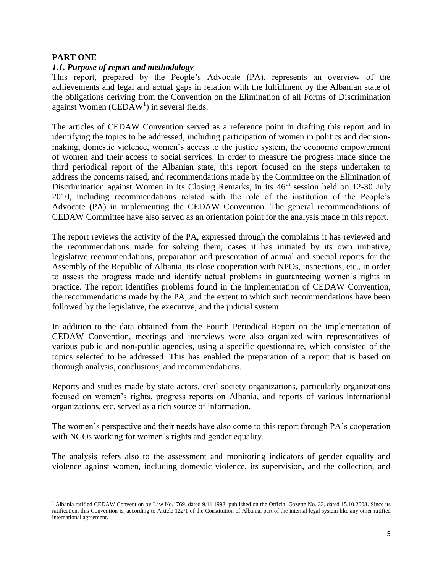## **PART ONE**

## *1.1. Purpose of report and methodology*

This report, prepared by the People's Advocate (PA), represents an overview of the achievements and legal and actual gaps in relation with the fulfillment by the Albanian state of the obligations deriving from the Convention on the Elimination of all Forms of Discrimination against Women (CEDAW<sup>1</sup>) in several fields.

The articles of CEDAW Convention served as a reference point in drafting this report and in identifying the topics to be addressed, including participation of women in politics and decisionmaking, domestic violence, women's access to the justice system, the economic empowerment of women and their access to social services. In order to measure the progress made since the third periodical report of the Albanian state, this report focused on the steps undertaken to address the concerns raised, and recommendations made by the Committee on the Elimination of Discrimination against Women in its Closing Remarks, in its  $46<sup>th</sup>$  session held on 12-30 July 2010, including recommendations related with the role of the institution of the People's Advocate (PA) in implementing the CEDAW Convention. The general recommendations of CEDAW Committee have also served as an orientation point for the analysis made in this report.

The report reviews the activity of the PA, expressed through the complaints it has reviewed and the recommendations made for solving them, cases it has initiated by its own initiative, legislative recommendations, preparation and presentation of annual and special reports for the Assembly of the Republic of Albania, its close cooperation with NPOs, inspections, etc., in order to assess the progress made and identify actual problems in guaranteeing women's rights in practice. The report identifies problems found in the implementation of CEDAW Convention, the recommendations made by the PA, and the extent to which such recommendations have been followed by the legislative, the executive, and the judicial system.

In addition to the data obtained from the Fourth Periodical Report on the implementation of CEDAW Convention, meetings and interviews were also organized with representatives of various public and non-public agencies, using a specific questionnaire, which consisted of the topics selected to be addressed. This has enabled the preparation of a report that is based on thorough analysis, conclusions, and recommendations.

Reports and studies made by state actors, civil society organizations, particularly organizations focused on women's rights, progress reports on Albania, and reports of various international organizations, etc. served as a rich source of information.

The women's perspective and their needs have also come to this report through PA's cooperation with NGOs working for women's rights and gender equality.

The analysis refers also to the assessment and monitoring indicators of gender equality and violence against women, including domestic violence, its supervision, and the collection, and

 $\overline{\phantom{a}}$ <sup>1</sup> Albania ratified CEDAW Convention by Law No.1769, dated 9.11.1993, published on the Official Gazette No. 33, dated 15.10.2008. Since its ratification, this Convention is, according to Article 122/1 of the Constitution of Albania, part of the internal legal system like any other ratified international agreement.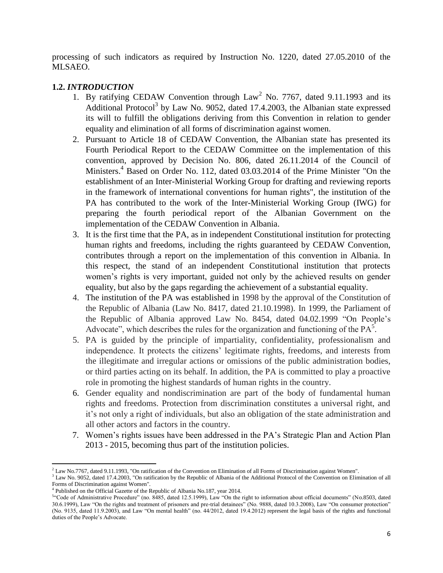processing of such indicators as required by Instruction No. 1220, dated 27.05.2010 of the MLSAEO.

# **1.2.** *INTRODUCTION*

- 1. By ratifying CEDAW Convention through  $Law<sup>2</sup>$  No. 7767, dated 9.11.1993 and its Additional Protocol<sup>3</sup> by Law No. 9052, dated 17.4.2003, the Albanian state expressed its will to fulfill the obligations deriving from this Convention in relation to gender equality and elimination of all forms of discrimination against women.
- 2. Pursuant to Article 18 of CEDAW Convention, the Albanian state has presented its Fourth Periodical Report to the CEDAW Committee on the implementation of this convention, approved by Decision No. 806, dated 26.11.2014 of the Council of Ministers. <sup>4</sup> Based on Order No. 112, dated 03.03.2014 of the Prime Minister "On the establishment of an Inter-Ministerial Working Group for drafting and reviewing reports in the framework of international conventions for human rights", the institution of the PA has contributed to the work of the Inter-Ministerial Working Group (IWG) for preparing the fourth periodical report of the Albanian Government on the implementation of the CEDAW Convention in Albania.
- 3. It is the first time that the PA, as in independent Constitutional institution for protecting human rights and freedoms, including the rights guaranteed by CEDAW Convention, contributes through a report on the implementation of this convention in Albania. In this respect, the stand of an independent Constitutional institution that protects women's rights is very important, guided not only by the achieved results on gender equality, but also by the gaps regarding the achievement of a substantial equality.
- 4. The institution of the PA was established in 1998 by the approval of the Constitution of the Republic of Albania (Law No. 8417, dated 21.10.1998). In 1999, the Parliament of the Republic of Albania approved Law No. 8454, dated 04.02.1999 "On People's Advocate", which describes the rules for the organization and functioning of the  $PA<sup>5</sup>$ .
- 5. PA is guided by the principle of impartiality, confidentiality, professionalism and independence. It protects the citizens' legitimate rights, freedoms, and interests from the illegitimate and irregular actions or omissions of the public administration bodies, or third parties acting on its behalf. In addition, the PA is committed to play a proactive role in promoting the highest standards of human rights in the country.
- 6. Gender equality and nondiscrimination are part of the body of fundamental human rights and freedoms. Protection from discrimination constitutes a universal right, and it's not only a right of individuals, but also an obligation of the state administration and all other actors and factors in the country.
- 7. Women's rights issues have been addressed in the PA's Strategic Plan and Action Plan 2013 - 2015, becoming thus part of the institution policies.

 $<sup>2</sup>$  Law No.7767, dated 9.11.1993, "On ratification of the Convention on Elimination of all Forms of Discrimination against Women".</sup>

 $3$  Law No. 9052, dated 17.4.2003, "On ratification by the Republic of Albania of the Additional Protocol of the Convention on Elimination of all Forms of Discrimination against Women".

<sup>&</sup>lt;sup>4</sup> Published on the Official Gazette of the Republic of Albania No.187, year 2014.

<sup>&</sup>lt;sup>54</sup>Code of Administrative Procedure" (no. 8485, dated 12.5.1999), Law "On the right to information about official documents" (No.8503, dated 30.6.1999), Law "On the rights and treatment of prisoners and pre-trial detainees" (No. 9888, dated 10.3.2008), Law "On consumer protection" (No. 9135, dated 11.9.2003), and Law "On mental health" (no. 44/2012, dated 19.4.2012) represent the legal basis of the rights and functional duties of the People's Advocate.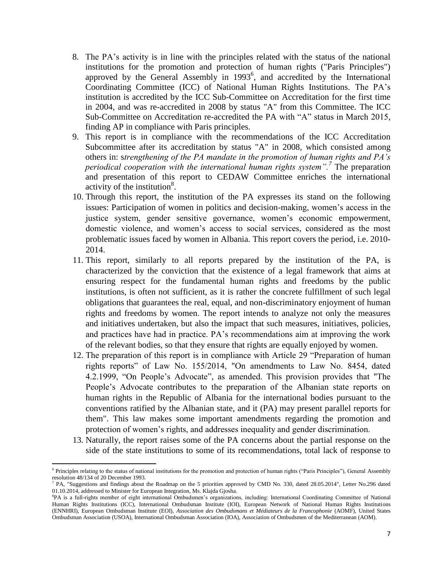- 8. The PA's activity is in line with the principles related with the status of the national institutions for the promotion and protection of human rights ("Paris Principles") approved by the General Assembly in 1993<sup>6</sup>, and accredited by the International Coordinating Committee (ICC) of National Human Rights Institutions. The PA's institution is accredited by the ICC Sub-Committee on Accreditation for the first time in 2004, and was re-accredited in 2008 by status "A" from this Committee. The ICC Sub-Committee on Accreditation re-accredited the PA with "A" status in March 2015, finding AP in compliance with Paris principles.
- 9. This report is in compliance with the recommendations of the ICC Accreditation Subcommittee after its accreditation by status "A" in 2008, which consisted among others in: s*trengthening of the PA mandate in the promotion of human rights and PA's periodical cooperation with the international human rights system".<sup>7</sup>* The preparation and presentation of this report to CEDAW Committee enriches the international activity of the institution $8$ .
- 10. Through this report, the institution of the PA expresses its stand on the following issues: Participation of women in politics and decision-making, women's access in the justice system, gender sensitive governance, women's economic empowerment, domestic violence, and women's access to social services, considered as the most problematic issues faced by women in Albania. This report covers the period, i.e. 2010- 2014.
- 11. This report, similarly to all reports prepared by the institution of the PA, is characterized by the conviction that the existence of a legal framework that aims at ensuring respect for the fundamental human rights and freedoms by the public institutions, is often not sufficient, as it is rather the concrete fulfillment of such legal obligations that guarantees the real, equal, and non-discriminatory enjoyment of human rights and freedoms by women. The report intends to analyze not only the measures and initiatives undertaken, but also the impact that such measures, initiatives, policies, and practices have had in practice. PA's recommendations aim at improving the work of the relevant bodies, so that they ensure that rights are equally enjoyed by women.
- 12. The preparation of this report is in compliance with Article 29 "Preparation of human rights reports" of Law No. 155/2014, "On amendments to Law No. 8454, dated 4.2.1999, "On People's Advocate", as amended. This provision provides that "The People's Advocate contributes to the preparation of the Albanian state reports on human rights in the Republic of Albania for the international bodies pursuant to the conventions ratified by the Albanian state, and it (PA) may present parallel reports for them". This law makes some important amendments regarding the promotion and protection of women's rights, and addresses inequality and gender discrimination.
- 13. Naturally, the report raises some of the PA concerns about the partial response on the side of the state institutions to some of its recommendations, total lack of response to

<sup>&</sup>lt;sup>6</sup> Principles relating to the status of national institutions for the promotion and protection of human rights ("Paris Principles"), General Assembly resolution 48/134 of 20 December 1993.<br><sup>7</sup> PA, "Suggestions and findings about the Roadmap on the 5 priorities approved by CMD No. 330, dated 28.05.2014", Letter No.296 dated

<sup>01.10.2014,</sup> addressed to Minister for European Integration, Ms. Klajda Gjosha.

<sup>8</sup> PA is a full-rights member of eight international Ombudsmen's organizations, including: International Coordinating Committee of National Human Rights Institutions (ICC), International Ombudsman Institute (IOI), European Network of National Human Rights Institutions (ENNHRI), European Ombudsman Institute (EOI), *Association des Ombudsmans et Médiateurs de la Francophonie* (AOMF), United States Ombudsman Association (USOA), International Ombudsman Association (IOA), Association of Ombudsmen of the Mediterranean (AOM).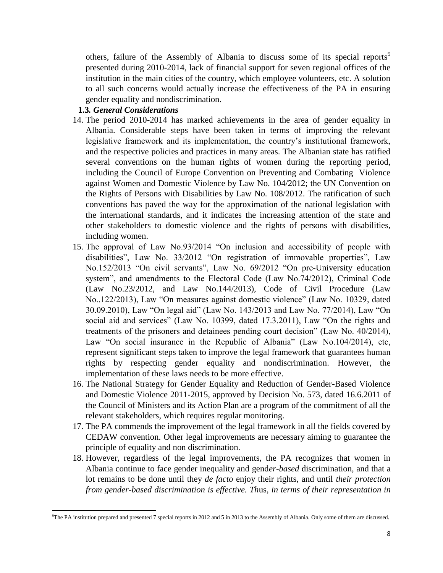others, failure of the Assembly of Albania to discuss some of its special reports<sup>9</sup> presented during 2010-2014, lack of financial support for seven regional offices of the institution in the main cities of the country, which employee volunteers, etc. A solution to all such concerns would actually increase the effectiveness of the PA in ensuring gender equality and nondiscrimination.

## **1.3***. General Considerations*

- 14. The period 2010-2014 has marked achievements in the area of gender equality in Albania. Considerable steps have been taken in terms of improving the relevant legislative framework and its implementation, the country's institutional framework, and the respective policies and practices in many areas. The Albanian state has ratified several conventions on the human rights of women during the reporting period, including the Council of Europe Convention on Preventing and Combating Violence against Women and Domestic Violence by Law No. 104/2012; the UN Convention on the Rights of Persons with Disabilities by Law No. 108/2012. The ratification of such conventions has paved the way for the approximation of the national legislation with the international standards, and it indicates the increasing attention of the state and other stakeholders to domestic violence and the rights of persons with disabilities, including women.
- 15. The approval of Law No.93/2014 "On inclusion and accessibility of people with disabilities", Law No. 33/2012 "On registration of immovable properties", Law No.152/2013 "On civil servants", Law No. 69/2012 "On pre-University education system", and amendments to the Electoral Code (Law No.74/2012), Criminal Code (Law No.23/2012, and Law No.144/2013), Code of Civil Procedure (Law No..122/2013), Law "On measures against domestic violence" (Law No. 10329, dated 30.09.2010), Law "On legal aid" (Law No. 143/2013 and Law No. 77/2014), Law "On social aid and services" (Law No. 10399, dated 17.3.2011), Law "On the rights and treatments of the prisoners and detainees pending court decision" (Law No. 40/2014), Law "On social insurance in the Republic of Albania" (Law No.104/2014), etc, represent significant steps taken to improve the legal framework that guarantees human rights by respecting gender equality and nondiscrimination. However, the implementation of these laws needs to be more effective.
- 16. The National Strategy for Gender Equality and Reduction of Gender-Based Violence and Domestic Violence 2011-2015, approved by Decision No. 573, dated 16.6.2011 of the Council of Ministers and its Action Plan are a program of the commitment of all the relevant stakeholders, which requires regular monitoring.
- 17. The PA commends the improvement of the legal framework in all the fields covered by CEDAW convention. Other legal improvements are necessary aiming to guarantee the principle of equality and non discrimination.
- 18. However, regardless of the legal improvements, the PA recognizes that women in Albania continue to face gender inequality and gend*er-based* discrimination, and that a lot remains to be done until they *de facto* enjoy their rights, and until *their protection from gender-based discrimination is effective. Th*us, *in terms of their representation in*

 $\overline{\phantom{a}}$ <sup>9</sup>The PA institution prepared and presented 7 special reports in 2012 and 5 in 2013 to the Assembly of Albania. Only some of them are discussed.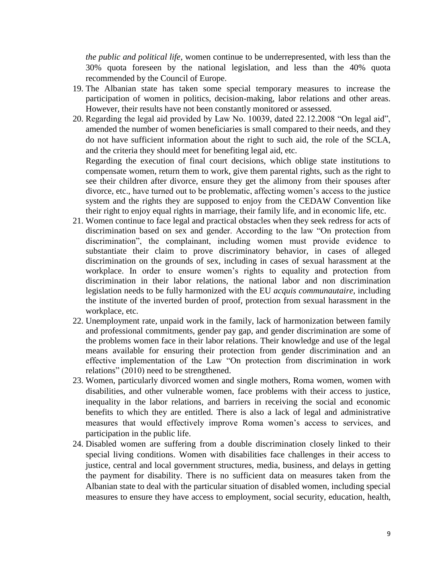*the public and political life*, women continue to be underrepresented, with less than the 30% quota foreseen by the national legislation, and less than the 40% quota recommended by the Council of Europe.

- 19. The Albanian state has taken some special temporary measures to increase the participation of women in politics, decision-making, labor relations and other areas. However, their results have not been constantly monitored or assessed.
- 20. Regarding the legal aid provided by Law No. 10039, dated 22.12.2008 "On legal aid", amended the number of women beneficiaries is small compared to their needs, and they do not have sufficient information about the right to such aid, the role of the SCLA, and the criteria they should meet for benefiting legal aid, etc.

Regarding the execution of final court decisions, which oblige state institutions to compensate women, return them to work, give them parental rights, such as the right to see their children after divorce, ensure they get the alimony from their spouses after divorce, etc., have turned out to be problematic, affecting women's access to the justice system and the rights they are supposed to enjoy from the CEDAW Convention like their right to enjoy equal rights in marriage, their family life, and in economic life, etc.

- 21. Women continue to face legal and practical obstacles when they seek redress for acts of discrimination based on sex and gender. According to the law "On protection from discrimination", the complainant, including women must provide evidence to substantiate their claim to prove discriminatory behavior, in cases of alleged discrimination on the grounds of sex, including in cases of sexual harassment at the workplace. In order to ensure women's rights to equality and protection from discrimination in their labor relations, the national labor and non discrimination legislation needs to be fully harmonized with the EU *acquis communautaire*, including the institute of the inverted burden of proof, protection from sexual harassment in the workplace, etc.
- 22. Unemployment rate, unpaid work in the family, lack of harmonization between family and professional commitments, gender pay gap, and gender discrimination are some of the problems women face in their labor relations. Their knowledge and use of the legal means available for ensuring their protection from gender discrimination and an effective implementation of the Law "On protection from discrimination in work relations" (2010) need to be strengthened.
- 23. Women, particularly divorced women and single mothers, Roma women, women with disabilities, and other vulnerable women, face problems with their access to justice, inequality in the labor relations, and barriers in receiving the social and economic benefits to which they are entitled. There is also a lack of legal and administrative measures that would effectively improve Roma women's access to services, and participation in the public life.
- 24. Disabled women are suffering from a double discrimination closely linked to their special living conditions. Women with disabilities face challenges in their access to justice, central and local government structures, media, business, and delays in getting the payment for disability. There is no sufficient data on measures taken from the Albanian state to deal with the particular situation of disabled women, including special measures to ensure they have access to employment, social security, education, health,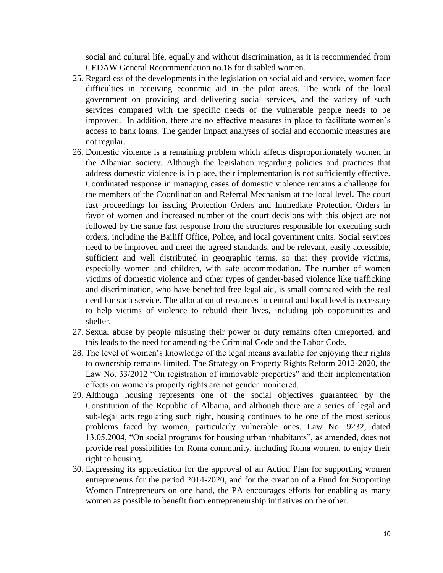social and cultural life, equally and without discrimination, as it is recommended from CEDAW General Recommendation no.18 for disabled women.

- 25. Regardless of the developments in the legislation on social aid and service, women face difficulties in receiving economic aid in the pilot areas. The work of the local government on providing and delivering social services, and the variety of such services compared with the specific needs of the vulnerable people needs to be improved. In addition, there are no effective measures in place to facilitate women's access to bank loans. The gender impact analyses of social and economic measures are not regular.
- 26. Domestic violence is a remaining problem which affects disproportionately women in the Albanian society. Although the legislation regarding policies and practices that address domestic violence is in place, their implementation is not sufficiently effective. Coordinated response in managing cases of domestic violence remains a challenge for the members of the Coordination and Referral Mechanism at the local level. The court fast proceedings for issuing Protection Orders and Immediate Protection Orders in favor of women and increased number of the court decisions with this object are not followed by the same fast response from the structures responsible for executing such orders, including the Bailiff Office, Police, and local government units. Social services need to be improved and meet the agreed standards, and be relevant, easily accessible, sufficient and well distributed in geographic terms, so that they provide victims, especially women and children, with safe accommodation. The number of women victims of domestic violence and other types of gender-based violence like trafficking and discrimination, who have benefited free legal aid, is small compared with the real need for such service. The allocation of resources in central and local level is necessary to help victims of violence to rebuild their lives, including job opportunities and shelter.
- 27. Sexual abuse by people misusing their power or duty remains often unreported, and this leads to the need for amending the Criminal Code and the Labor Code.
- 28. The level of women's knowledge of the legal means available for enjoying their rights to ownership remains limited. The Strategy on Property Rights Reform 2012-2020, the Law No. 33/2012 "On registration of immovable properties" and their implementation effects on women's property rights are not gender monitored.
- 29. Although housing represents one of the social objectives guaranteed by the Constitution of the Republic of Albania, and although there are a series of legal and sub-legal acts regulating such right, housing continues to be one of the most serious problems faced by women, particularly vulnerable ones. Law No. 9232, dated 13.05.2004, "On social programs for housing urban inhabitants", as amended, does not provide real possibilities for Roma community, including Roma women, to enjoy their right to housing.
- 30. Expressing its appreciation for the approval of an Action Plan for supporting women entrepreneurs for the period 2014-2020, and for the creation of a Fund for Supporting Women Entrepreneurs on one hand, the PA encourages efforts for enabling as many women as possible to benefit from entrepreneurship initiatives on the other.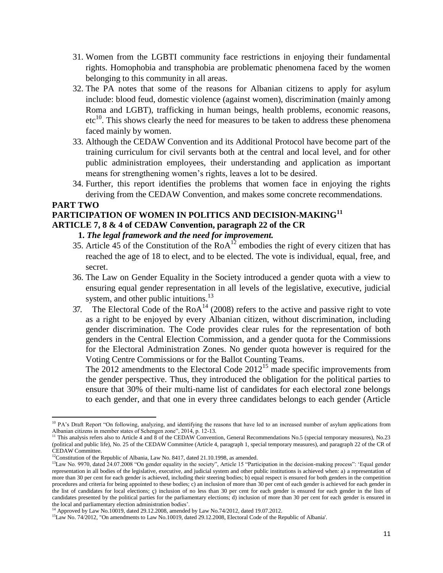- 31. Women from the LGBTI community face restrictions in enjoying their fundamental rights. Homophobia and transphobia are problematic phenomena faced by the women belonging to this community in all areas.
- 32. The PA notes that some of the reasons for Albanian citizens to apply for asylum include: blood feud, domestic violence (against women), discrimination (mainly among Roma and LGBT), trafficking in human beings, health problems, economic reasons,  $etc<sup>10</sup>$ . This shows clearly the need for measures to be taken to address these phenomena faced mainly by women.
- 33. Although the CEDAW Convention and its Additional Protocol have become part of the training curriculum for civil servants both at the central and local level, and for other public administration employees, their understanding and application as important means for strengthening women's rights, leaves a lot to be desired.
- 34. Further, this report identifies the problems that women face in enjoying the rights deriving from the CEDAW Convention, and makes some concrete recommendations.

## **PART TWO**

 $\overline{a}$ 

# **PARTICIPATION OF WOMEN IN POLITICS AND DECISION-MAKING<sup>11</sup>**

## **ARTICLE 7, 8 & 4 of CEDAW Convention, paragraph 22 of the CR**

# **1.** *The legal framework and the need for improvement.*

- 35. Article 45 of the Constitution of the  $RoA^{12}$  embodies the right of every citizen that has reached the age of 18 to elect, and to be elected. The vote is individual, equal, free, and secret.
- 36. The Law on Gender Equality in the Society introduced a gender quota with a view to ensuring equal gender representation in all levels of the legislative, executive, judicial system, and other public intuitions. $13$
- 37. The Electoral Code of the  $RoA^{14}$  (2008) refers to the active and passive right to vote as a right to be enjoyed by every Albanian citizen, without discrimination, including gender discrimination. The Code provides clear rules for the representation of both genders in the Central Election Commission, and a gender quota for the Commissions for the Electoral Administration Zones. No gender quota however is required for the Voting Centre Commissions or for the Ballot Counting Teams.

The  $2012$  amendments to the Electoral Code  $2012^{15}$  made specific improvements from the gender perspective. Thus, they introduced the obligation for the political parties to ensure that 30% of their multi-name list of candidates for each electoral zone belongs to each gender, and that one in every three candidates belongs to each gender (Article

<sup>&</sup>lt;sup>10</sup> PA's Draft Report "On following, analyzing, and identifying the reasons that have led to an increased number of asylum applications from Albanian citizens in member states of Schengen zone", 2014, p. 12-13.

<sup>&</sup>lt;sup>11</sup> This analysis refers also to Article 4 and 8 of the CEDAW Convention, General Recommendations No.5 (special temporary measures), No.23 (political and public life), No. 25 of the CEDAW Committee (Article 4, paragraph 1, special temporary measures), and paragraph 22 of the CR of CEDAW Committee.

 $12$ Constitution of the Republic of Albania, Law No. 8417, dated 21.10.1998, as amended.

<sup>&</sup>lt;sup>13</sup>Law No. 9970, dated 24.07.2008 "On gender equality in the society", Article 15 "Participation in the decision-making process": 'Equal gender representation in all bodies of the legislative, executive, and judicial system and other public institutions is achieved when: a) a representation of more than 30 per cent for each gender is achieved, including their steering bodies; b) equal respect is ensured for both genders in the competition procedures and criteria for being appointed to these bodies; c) an inclusion of more than 30 per cent of each gender is achieved for each gender in the list of candidates for local elections; ç) inclusion of no less than 30 per cent for each gender is ensured for each gender in the lists of candidates presented by the political parties for the parliamentary elections; d) inclusion of more than 30 per cent for each gender is ensured in the local and parliamentary election administration bodies'.

<sup>&</sup>lt;sup>14</sup> Approved by Law No.10019, dated 29.12.2008, amended by Law No.74/2012, dated 19.07.2012.

<sup>&</sup>lt;sup>15</sup>Law No. 74/2012, "On amendments to Law No.10019, dated 29.12.2008, Electoral Code of the Republic of Albania'.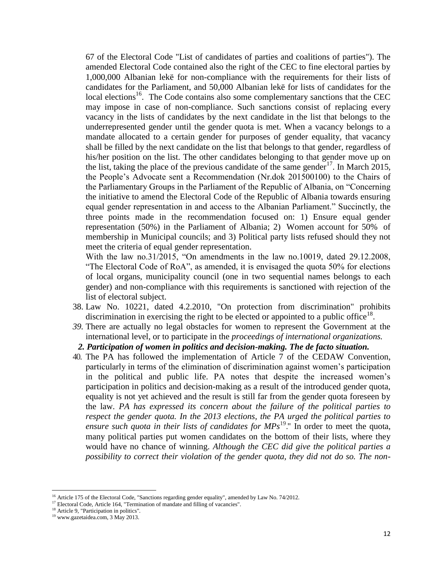67 of the Electoral Code "List of candidates of parties and coalitions of parties"). The amended Electoral Code contained also the right of the CEC to fine electoral parties by 1,000,000 Albanian lekë for non-compliance with the requirements for their lists of candidates for the Parliament, and 50,000 Albanian lekë for lists of candidates for the local elections<sup>16</sup>. The Code contains also some complementary sanctions that the CEC may impose in case of non-compliance. Such sanctions consist of replacing every vacancy in the lists of candidates by the next candidate in the list that belongs to the underrepresented gender until the gender quota is met. When a vacancy belongs to a mandate allocated to a certain gender for purposes of gender equality, that vacancy shall be filled by the next candidate on the list that belongs to that gender, regardless of his/her position on the list. The other candidates belonging to that gender move up on the list, taking the place of the previous candidate of the same gender<sup>17</sup>. In March 2015, the People's Advocate sent a Recommendation (Nr.dok 201500100) to the Chairs of the Parliamentary Groups in the Parliament of the Republic of Albania, on "Concerning the initiative to amend the Electoral Code of the Republic of Albania towards ensuring equal gender representation in and access to the Albanian Parliament." Succinctly, the three points made in the recommendation focused on: 1) Ensure equal gender representation (50%) in the Parliament of Albania; 2) Women account for 50% of membership in Municipal councils; and 3) Political party lists refused should they not meet the criteria of equal gender representation.

With the law no.31/2015, "On amendments in the law no.10019, dated 29.12.2008, "The Electoral Code of RoA", as amended, it is envisaged the quota 50% for elections of local organs, municipality council (one in two sequential names belongs to each gender) and non-compliance with this requirements is sanctioned with rejection of the list of electoral subject.

- 38. Law No. 10221, dated 4.2.2010, "On protection from discrimination" prohibits discrimination in exercising the right to be elected or appointed to a public office<sup>18</sup>.
- *39.* There are actually no legal obstacles for women to represent the Government at the international level, or to participate in the *proceedings of international organizations.*
- *2. Participation of women in politics and decision-making. The de facto situation.*
- 40. The PA has followed the implementation of Article 7 of the CEDAW Convention, particularly in terms of the elimination of discrimination against women's participation in the political and public life. PA notes that despite the increased women's participation in politics and decision-making as a result of the introduced gender quota, equality is not yet achieved and the result is still far from the gender quota foreseen by the law. *PA has expressed its concern about the failure of the political parties to respect the gender quota. In the 2013 elections, the PA urged the political parties to ensure such quota in their lists of candidates for MPs*<sup>19</sup>." In order to meet the quota, many political parties put women candidates on the bottom of their lists, where they would have no chance of winning. *Although the CEC did give the political parties a possibility to correct their violation of the gender quota, they did not do so. The non-*

<sup>&</sup>lt;sup>16</sup> Article 175 of the Electoral Code, "Sanctions regarding gender equality", amended by Law No. 74/2012.

<sup>&</sup>lt;sup>17</sup> Electoral Code, Article 164, "Termination of mandate and filling of vacancies".

<sup>&</sup>lt;sup>18</sup> Article 9, "Participation in politics".

<sup>19</sup> www.gazetaidea.com, 3 May 2013.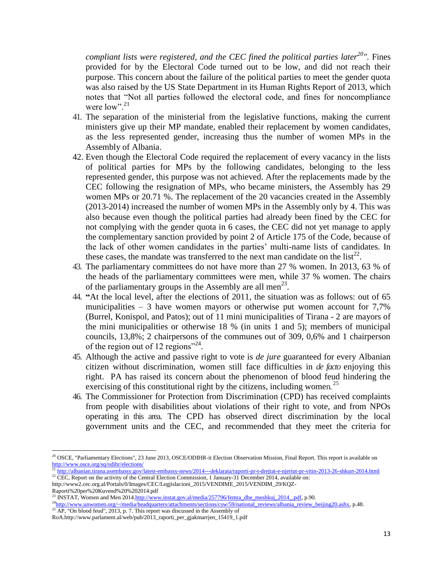*compliant lists were registered, and the CEC fined the political parties later<sup>20</sup>".* Fines provided for by the Electoral Code turned out to be low, and did not reach their purpose. This concern about the failure of the political parties to meet the gender quota was also raised by the US State Department in its Human Rights Report of 2013, which notes that "Not all parties followed the electoral code, and fines for noncompliance were low".<sup>21</sup>

- 41. The separation of the ministerial from the legislative functions, making the current ministers give up their MP mandate, enabled their replacement by women candidates, as the less represented gender, increasing thus the number of women MPs in the Assembly of Albania.
- 42. Even though the Electoral Code required the replacement of every vacancy in the lists of political parties for MPs by the following candidates, belonging to the less represented gender, this purpose was not achieved. After the replacements made by the CEC following the resignation of MPs, who became ministers, the Assembly has 29 women MPs or 20.71 %. The replacement of the 20 vacancies created in the Assembly (2013-2014) increased the number of women MPs in the Assembly only by 4. This was also because even though the political parties had already been fined by the CEC for not complying with the gender quota in 6 cases, the CEC did not yet manage to apply the complementary sanction provided by point 2 of Article 175 of the Code, because of the lack of other women candidates in the parties' multi-name lists of candidates. In these cases, the mandate was transferred to the next man candidate on the  $list^{22}$ .
- 43. The parliamentary committees do not have more than 27 % women. In 2013, 63 % of the heads of the parliamentary committees were men, while 37 % women. The chairs of the parliamentary groups in the Assembly are all men<sup>23</sup>.
- 44. **"**At the local level, after the elections of 2011, the situation was as follows: out of 65 municipalities  $-3$  have women mayors or otherwise put women account for 7,7% (Burrel, Konispol, and Patos); out of 11 mini municipalities of Tirana - 2 are mayors of the mini municipalities or otherwise 18 % (in units 1 and 5); members of municipal councils, 13,8%; 2 chairpersons of the communes out of 309, 0,6% and 1 chairperson of the region out of 12 regions"<sup>24</sup>.
- 45. Although the active and passive right to vote is *de jure* guaranteed for every Albanian citizen without discrimination, women still face difficulties in *de facto* enjoying this right. PA has raised its concern about the phenomenon of blood feud hindering the exercising of this constitutional right by the citizens, including women.  $2^5$
- 46. The Commissioner for Protection from Discrimination (CPD) has received complaints from people with disabilities about violations of their right to vote, and from NPOs operating in this area. The CPD has observed direct discrimination by the local government units and the CEC, and recommended that they meet the criteria for

<sup>&</sup>lt;sup>20</sup> OSCE, "Parliamentary Elections", 23 June 2013, OSCE/ODIHR-it Election Observation Mission, Final Report. This report is available on <http://www.osce.org/sq/odihr/elections/>

<sup>21</sup> <http://albanian.tirana.usembassy.gov/latest-embassy-news/2014---deklarata/raporti-pr-t-drejtat-e-njeriut-pr-vitin-2013-26-shkurt-2014.html> <sup>22</sup> CEC, Report on the activity of the Central Election Commission, 1 January-31 December 2014, available on: http://www2.cec.org.al/Portals/0/Images/CEC/Legjislacioni\_2015/VENDIME\_2015/VENDIM\_29/KQZ-

Raporti%20per%20Kuvend%20%202014.pdf

<sup>&</sup>lt;sup>23</sup> INSTAT, Women and Men 201[4.http://www.instat.gov.al/media/257796/femra\\_dhe\\_meshkuj\\_2014\\_.pdf,](http://www.instat.gov.al/media/257796/femra_dhe_meshkuj_2014_.pdf) p.90.

<sup>&</sup>lt;sup>24</sup>[http://www.unwomen.org/~/media/headquarters/attachments/sections/csw/59/national\\_reviews/albania\\_review\\_beijing20.ashx,](http://www.unwomen.org/~/media/headquarters/attachments/sections/csw/59/national_reviews/albania_review_beijing20.ashx) p.48.

 $^{25}$  AP, "On blood feud", 2013, p. 7. This report was discussed in the Assembly of

RoA.http://www.parlament.al/web/pub/2013\_raporti\_per\_gjakmarrjen\_15419\_1.pdf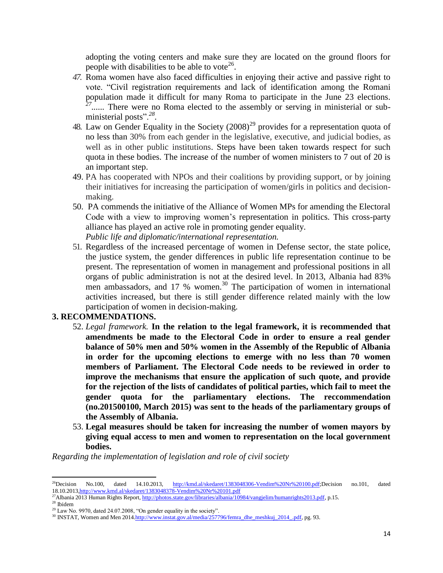adopting the voting centers and make sure they are located on the ground floors for people with disabilities to be able to vote<sup>26</sup>.

- *47.* Roma women have also faced difficulties in enjoying their active and passive right to vote. "Civil registration requirements and lack of identification among the Romani population made it difficult for many Roma to participate in the June 23 elections. <sup>27</sup>....... There were no Roma elected to the assembly or serving in ministerial or subministerial posts".*<sup>28</sup> .*
- 48. Law on Gender Equality in the Society  $(2008)^{29}$  provides for a representation quota of no less than 30% from each gender in the legislative, executive, and judicial bodies, as well as in other public institutions. Steps have been taken towards respect for such quota in these bodies. The increase of the number of women ministers to 7 out of 20 is an important step.
- 49. PA has cooperated with NPOs and their coalitions by providing support, or by joining their initiatives for increasing the participation of women/girls in politics and decisionmaking.
- 50. PA commends the initiative of the Alliance of Women MPs for amending the Electoral Code with a view to improving women's representation in politics. This cross-party alliance has played an active role in promoting gender equality. *Public life and diplomatic/international representation.*
- 51. Regardless of the increased percentage of women in Defense sector, the state police, the justice system, the gender differences in public life representation continue to be present. The representation of women in management and professional positions in all organs of public administration is not at the desired level. In 2013, Albania had 83% men ambassadors, and 17 % women.<sup>30</sup> The participation of women in international activities increased, but there is still gender difference related mainly with the low participation of women in decision-making.

# **3. RECOMMENDATIONS.**

- 52. *Legal framework.* **In the relation to the legal framework, it is recommended that amendments be made to the Electoral Code in order to ensure a real gender balance of 50% men and 50% women in the Assembly of the Republic of Albania in order for the upcoming elections to emerge with no less than 70 women members of Parliament. The Electoral Code needs to be reviewed in order to improve the mechanisms that ensure the application of such quote, and provide for the rejection of the lists of candidates of political parties, which fail to meet the gender quota for the parliamentary elections. The reccommendation (no.201500100, March 2015) was sent to the heads of the parliamentary groups of the Assembly of Albania.**
- 53. **Legal measures should be taken for increasing the number of women mayors by giving equal access to men and women to representation on the local government bodies.**

*Regarding the implementation of legislation and role of civil society*

<sup>&</sup>lt;sup>26</sup>Decision No.100, dated 14.10.2013, [http://kmd.al/skedaret/1383048306-Vendim%20Nr%20100.pdf;](http://kmd.al/skedaret/1383048306-Vendim%20Nr%20100.pdf)Decision no.101, dated 18.10.201[3,http://www.kmd.al/skedaret/1383048378-Vendim%20Nr%20101.pdf](http://www.kmd.al/skedaret/1383048378-Vendim%20Nr%20101.pdf)

<sup>&</sup>lt;sup>27</sup>Albania 2013 Human Rights Report[, http://photos.state.gov/libraries/albania/10984/vangjelim/humanrights2013.pdf,](http://photos.state.gov/libraries/albania/10984/vangjelim/humanrights2013.pdf) p.15.

<sup>28</sup> Ibidem

 $29$  Law No. 9970, dated 24.07.2008, "On gender equality in the society".

<sup>&</sup>lt;sup>30</sup> INSTAT, Women and Men 201[4.http://www.instat.gov.al/media/257796/femra\\_dhe\\_meshkuj\\_2014\\_.pdf,](http://www.instat.gov.al/media/257796/femra_dhe_meshkuj_2014_.pdf) pg. 93.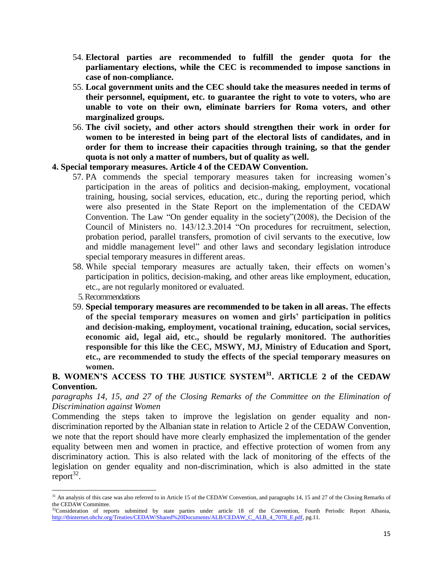- 54. **Electoral parties are recommended to fulfill the gender quota for the parliamentary elections, while the CEC is recommended to impose sanctions in case of non-compliance.**
- 55. **Local government units and the CEC should take the measures needed in terms of their personnel, equipment, etc. to guarantee the right to vote to voters, who are unable to vote on their own, eliminate barriers for Roma voters, and other marginalized groups.**
- 56. **The civil society, and other actors should strengthen their work in order for women to be interested in being part of the electoral lists of candidates, and in order for them to increase their capacities through training, so that the gender quota is not only a matter of numbers, but of quality as well.**

### **4. Special temporary measures. Article 4 of the CEDAW Convention.**

- 57. PA commends the special temporary measures taken for increasing women's participation in the areas of politics and decision-making, employment, vocational training, housing, social services, education, etc., during the reporting period, which were also presented in the State Report on the implementation of the CEDAW Convention. The Law "On gender equality in the society"(2008), the Decision of the Council of Ministers no. 143/12.3.2014 "On procedures for recruitment, selection, probation period, parallel transfers, promotion of civil servants to the executive, low and middle management level" and other laws and secondary legislation introduce special temporary measures in different areas.
- 58. While special temporary measures are actually taken, their effects on women's participation in politics, decision-making, and other areas like employment, education, etc., are not regularly monitored or evaluated.
- 5. Recommendations

 $\overline{a}$ 

59. **Special temporary measures are recommended to be taken in all areas. The effects of the special temporary measures on women and girls' participation in politics and decision-making, employment, vocational training, education, social services, economic aid, legal aid, etc., should be regularly monitored. The authorities responsible for this like the CEC, MSWY, MJ, Ministry of Education and Sport, etc., are recommended to study the effects of the special temporary measures on women.**

# **B. WOMEN'S ACCESS TO THE JUSTICE SYSTEM<sup>31</sup>. ARTICLE 2 of the CEDAW Convention.**

*paragraphs 14, 15, and 27 of the Closing Remarks of the Committee on the Elimination of Discrimination against Women* 

Commending the steps taken to improve the legislation on gender equality and nondiscrimination reported by the Albanian state in relation to Article 2 of the CEDAW Convention, we note that the report should have more clearly emphasized the implementation of the gender equality between men and women in practice, and effective protection of women from any discriminatory action. This is also related with the lack of monitoring of the effects of the legislation on gender equality and non-discrimination, which is also admitted in the state  $report^{32}$ .

<sup>&</sup>lt;sup>31</sup> An analysis of this case was also referred to in Article 15 of the CEDAW Convention, and paragraphs 14, 15 and 27 of the Closing Remarks of the CEDAW Committee.

<sup>&</sup>lt;sup>32</sup>Consideration of reports submitted by state parties under article 18 of the Convention, Fourth Periodic Report Albania, [http://tbinternet.ohchr.org/Treaties/CEDAW/Shared%20Documents/ALB/CEDAW\\_C\\_ALB\\_4\\_7078\\_E.pdf,](http://tbinternet.ohchr.org/Treaties/CEDAW/Shared%20Documents/ALB/CEDAW_C_ALB_4_7078_E.pdf) pg.11.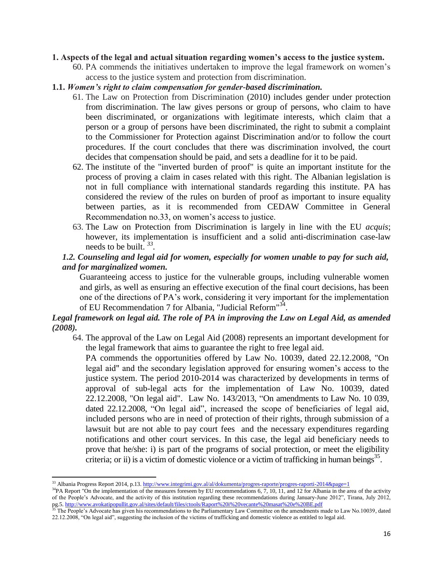#### **1. Aspects of the legal and actual situation regarding women's access to the justice system.**

60. PA commends the initiatives undertaken to improve the legal framework on women's access to the justice system and protection from discrimination.

#### **1.1.** *Women's right to claim compensation for gender-based discrimination.*

- 61. The Law on Protection from Discrimination (2010) includes gender under protection from discrimination. The law gives persons or group of persons, who claim to have been discriminated, or organizations with legitimate interests, which claim that a person or a group of persons have been discriminated, the right to submit a complaint to the Commissioner for Protection against Discrimination and/or to follow the court procedures. If the court concludes that there was discrimination involved, the court decides that compensation should be paid, and sets a deadline for it to be paid.
- 62. The institute of the "inverted burden of proof" is quite an important institute for the process of proving a claim in cases related with this right. The Albanian legislation is not in full compliance with international standards regarding this institute. PA has considered the review of the rules on burden of proof as important to insure equality between parties, as it is recommended from CEDAW Committee in General Recommendation no.33, on women's access to justice.
- 63. The Law on Protection from Discrimination is largely in line with the EU *acquis*; however, its implementation is insufficient and a solid anti-discrimination case-law needs to be built. *<sup>33</sup> .*

## *1.2. Counseling and legal aid for women, especially for women unable to pay for such aid, and for marginalized women.*

Guaranteeing access to justice for the vulnerable groups, including vulnerable women and girls, as well as ensuring an effective execution of the final court decisions, has been one of the directions of PA's work, considering it very important for the implementation of EU Recommendation 7 for Albania, "Judicial Reform"<sup>34</sup>.

# *Legal framework on legal aid. The role of PA in improving the Law on Legal Aid, as amended (2008).*

64. The approval of the Law on Legal Aid (2008) represents an important development for the legal framework that aims to guarantee the right to free legal aid.

PA commends the opportunities offered by Law No. 10039, dated 22.12.2008, "On legal aid" and the secondary legislation approved for ensuring women's access to the justice system. The period 2010-2014 was characterized by developments in terms of approval of sub-legal acts for the implementation of Law No. 10039, dated 22.12.2008, "On legal aid". Law No. 143/2013, "On amendments to Law No. 10 039, dated 22.12.2008, "On legal aid", increased the scope of beneficiaries of legal aid, included persons who are in need of protection of their rights, through submission of a lawsuit but are not able to pay court fees and the necessary expenditures regarding notifications and other court services. In this case, the legal aid beneficiary needs to prove that he/she: i) is part of the programs of social protection, or meet the eligibility criteria; or ii) is a victim of domestic violence or a victim of trafficking in human beings<sup>35</sup>.

<sup>33</sup> Albania Progress Report 2014, p.13[. http://www.integrimi.gov.al/al/dokumenta/progres-raporte/progres-raporti-2014&page=1](http://www.integrimi.gov.al/al/dokumenta/progres-raporte/progres-raporti-2014&page=1)

 $34$ PA Report "On the implementation of the measures foreseen by EU recommendations 6, 7, 10, 11, and 12 for Albania in the area of the activity of the People's Advocate, and the activity of this institution regarding these recommendations during January-June 2012", Tirana, July 2012, pg.5. http://www.avokatipopullit.gov.al/sites/default/files/ctools/Raport%20i%20vecante%20masat%20e%20BE.pdf<br><sup>35</sup> The Recele<sup>9</sup>: A division of the Receles of the Recent of the Recent of the Recent of the Recent of the Rece

<sup>35</sup> The People's Advocate has given his recommendations to the Parliamentary Law Committee on the amendments made to Law No.10039, dated 22.12.2008, "On legal aid", suggesting the inclusion of the victims of trafficking and domestic violence as entitled to legal aid.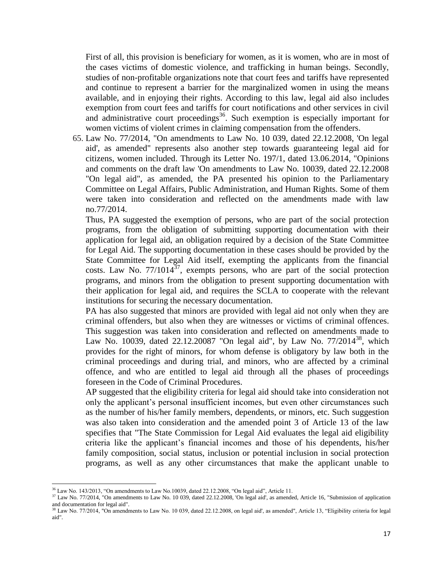First of all, this provision is beneficiary for women, as it is women, who are in most of the cases victims of domestic violence, and trafficking in human beings. Secondly, studies of non-profitable organizations note that court fees and tariffs have represented and continue to represent a barrier for the marginalized women in using the means available, and in enjoying their rights. According to this law, legal aid also includes exemption from court fees and tariffs for court notifications and other services in civil and administrative court proceedings<sup>36</sup>. Such exemption is especially important for women victims of violent crimes in claiming compensation from the offenders.

65. Law No. 77/2014, "On amendments to Law No. 10 039, dated 22.12.2008, 'On legal aid', as amended" represents also another step towards guaranteeing legal aid for citizens, women included. Through its Letter No. 197/1, dated 13.06.2014, "Opinions and comments on the draft law 'On amendments to Law No. 10039, dated 22.12.2008 "On legal aid", as amended, the PA presented his opinion to the Parliamentary Committee on Legal Affairs, Public Administration, and Human Rights. Some of them were taken into consideration and reflected on the amendments made with law no.77/2014.

Thus, PA suggested the exemption of persons, who are part of the social protection programs, from the obligation of submitting supporting documentation with their application for legal aid, an obligation required by a decision of the State Committee for Legal Aid. The supporting documentation in these cases should be provided by the State Committee for Legal Aid itself, exempting the applicants from the financial costs. Law No.  $77/1014^{37}$ , exempts persons, who are part of the social protection programs, and minors from the obligation to present supporting documentation with their application for legal aid, and requires the SCLA to cooperate with the relevant institutions for securing the necessary documentation.

PA has also suggested that minors are provided with legal aid not only when they are criminal offenders, but also when they are witnesses or victims of criminal offences. This suggestion was taken into consideration and reflected on amendments made to Law No. 10039, dated 22.12.20087 "On legal aid", by Law No.  $77/2014^{38}$ , which provides for the right of minors, for whom defense is obligatory by law both in the criminal proceedings and during trial, and minors, who are affected by a criminal offence, and who are entitled to legal aid through all the phases of proceedings foreseen in the Code of Criminal Procedures.

AP suggested that the eligibility criteria for legal aid should take into consideration not only the applicant's personal insufficient incomes, but even other circumstances such as the number of his/her family members, dependents, or minors, etc. Such suggestion was also taken into consideration and the amended point 3 of Article 13 of the law specifies that "The State Commission for Legal Aid evaluates the legal aid eligibility criteria like the applicant's financial incomes and those of his dependents, his/her family composition, social status, inclusion or potential inclusion in social protection programs, as well as any other circumstances that make the applicant unable to

 $\overline{\phantom{a}}$ 

<sup>36</sup> Law No. 143/2013, "On amendments to Law No.10039, dated 22.12.2008, "On legal aid", Article 11.

<sup>&</sup>lt;sup>37</sup> Law No. 77/2014, "On amendments to Law No. 10 039, dated 22.12.2008, 'On legal aid', as amended, Article 16, "Submission of application and documentation for legal aid".

<sup>&</sup>lt;sup>38</sup> Law No. 77/2014, "On amendments to Law No. 10 039, dated 22.12.2008, on legal aid', as amended", Article 13, "Eligibility criteria for legal aid".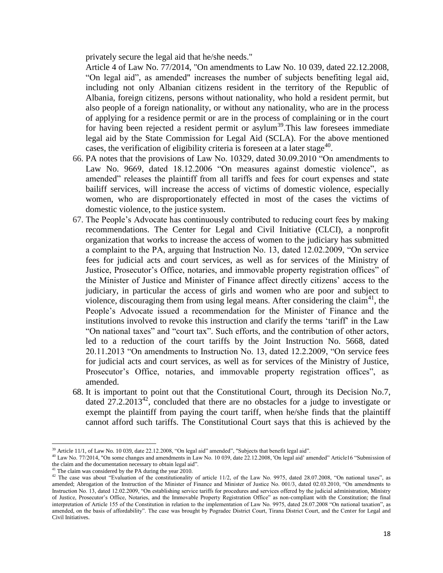privately secure the legal aid that he/she needs."

Article 4 of Law No. 77/2014, "On amendments to Law No. 10 039, dated 22.12.2008, "On legal aid", as amended" increases the number of subjects benefiting legal aid, including not only Albanian citizens resident in the territory of the Republic of Albania, foreign citizens, persons without nationality, who hold a resident permit, but also people of a foreign nationality, or without any nationality, who are in the process of applying for a residence permit or are in the process of complaining or in the court for having been rejected a resident permit or asylum<sup>39</sup>. This law foresees immediate legal aid by the State Commission for Legal Aid (SCLA). For the above mentioned cases, the verification of eligibility criteria is foreseen at a later stage<sup>40</sup>.

- 66. PA notes that the provisions of Law No. 10329, dated 30.09.2010 "On amendments to Law No. 9669, dated 18.12.2006 "On measures against domestic violence", as amended" releases the plaintiff from all tariffs and fees for court expenses and state bailiff services, will increase the access of victims of domestic violence, especially women, who are disproportionately effected in most of the cases the victims of domestic violence, to the justice system.
- 67. The People's Advocate has continuously contributed to reducing court fees by making recommendations. The Center for Legal and Civil Initiative (CLCI), a nonprofit organization that works to increase the access of women to the judiciary has submitted a complaint to the PA, arguing that Instruction No. 13, dated 12.02.2009, "On service fees for judicial acts and court services, as well as for services of the Ministry of Justice, Prosecutor's Office, notaries, and immovable property registration offices" of the Minister of Justice and Minister of Finance affect directly citizens' access to the judiciary, in particular the access of girls and women who are poor and subject to violence, discouraging them from using legal means. After considering the claim<sup>41</sup>, the People's Advocate issued a recommendation for the Minister of Finance and the institutions involved to revoke this instruction and clarify the terms 'tariff' in the Law "On national taxes" and "court tax". Such efforts, and the contribution of other actors, led to a reduction of the court tariffs by the Joint Instruction No. 5668, dated 20.11.2013 "On amendments to Instruction No. 13, dated 12.2.2009, "On service fees for judicial acts and court services, as well as for services of the Ministry of Justice, Prosecutor's Office, notaries, and immovable property registration offices", as amended.
- 68. It is important to point out that the Constitutional Court, through its Decision No.7, dated  $27.2.2013^{42}$ , concluded that there are no obstacles for a judge to investigate or exempt the plaintiff from paying the court tariff, when he/she finds that the plaintiff cannot afford such tariffs. The Constitutional Court says that this is achieved by the

 $\overline{\phantom{a}}$ 

 $39$  Article 11/1, of Law No. 10 039, date 22.12.2008, "On legal aid" amended", "Subjects that benefit legal aid".

<sup>&</sup>lt;sup>40</sup> Law No. 77/2014, "On some changes and amendments in Law No. 10 039, date 22.12.2008, 'On legal aid' amended" Article16 "Submission of the claim and the documentation necessary to obtain legal aid".

The claim was considered by the PA during the year 2010.

<sup>&</sup>lt;sup>42</sup> The case was about "Evaluation of the constitutionality of article 11/2, of the Law No. 9975, dated 28.07.2008, "On national taxes", as amended; Abrogation of the Instruction of the Minister of Finance and Minister of Justice No. 001/3, dated 02.03.2010, "On amendments to Instruction No. 13, dated 12.02.2009, "On establishing service tariffs for procedures and services offered by the judicial administration, Ministry of Justice, Prosecutor's Office, Notaries, and the Immovable Property Registration Office" as non-compliant with the Constitution; the final interpretation of Article 155 of the Constitution in relation to the implementation of Law No. 9975, dated 28.07.2008 "On national taxation", as amended, on the basis of affordability". The case was brought by Pogradec District Court, Tirana District Court, and the Center for Legal and Civil Initiatives.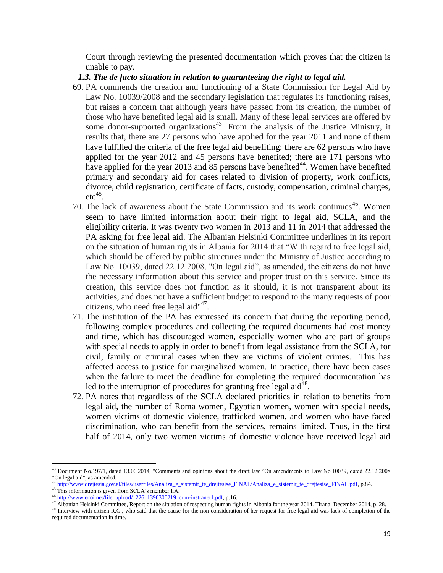Court through reviewing the presented documentation which proves that the citizen is unable to pay.

#### *1.3. The de facto situation in relation to guaranteeing the right to legal aid.*

- 69. PA commends the creation and functioning of a State Commission for Legal Aid by Law No. 10039/2008 and the secondary legislation that regulates its functioning raises, but raises a concern that although years have passed from its creation, the number of those who have benefited legal aid is small. Many of these legal services are offered by some donor-supported organizations<sup>43</sup>. From the analysis of the Justice Ministry, it results that, there are 27 persons who have applied for the year 2011 and none of them have fulfilled the criteria of the free legal aid benefiting; there are 62 persons who have applied for the year 2012 and 45 persons have benefited; there are 171 persons who have applied for the year 2013 and  $\overline{85}$  persons have benefited<sup>44</sup>. Women have benefited primary and secondary aid for cases related to division of property, work conflicts, divorce, child registration, certificate of facts, custody, compensation, criminal charges,  $etc<sup>45</sup>$ .
- 70. The lack of awareness about the State Commission and its work continues<sup>46</sup>. Women seem to have limited information about their right to legal aid, SCLA, and the eligibility criteria. It was twenty two women in 2013 and 11 in 2014 that addressed the PA asking for free legal aid. The Albanian Helsinki Committee underlines in its report on the situation of human rights in Albania for 2014 that "With regard to free legal aid, which should be offered by public structures under the Ministry of Justice according to Law No. 10039, dated 22.12.2008, "On legal aid", as amended, the citizens do not have the necessary information about this service and proper trust on this service. Since its creation, this service does not function as it should, it is not transparent about its activities, and does not have a sufficient budget to respond to the many requests of poor citizens, who need free legal aid $147$ .
- 71. The institution of the PA has expressed its concern that during the reporting period, following complex procedures and collecting the required documents had cost money and time, which has discouraged women, especially women who are part of groups with special needs to apply in order to benefit from legal assistance from the SCLA, for civil, family or criminal cases when they are victims of violent crimes. This has affected access to justice for marginalized women. In practice, there have been cases when the failure to meet the deadline for completing the required documentation has led to the interruption of procedures for granting free legal aid<sup>48</sup>.
- 72. PA notes that regardless of the SCLA declared priorities in relation to benefits from legal aid, the number of Roma women, Egyptian women, women with special needs, women victims of domestic violence, trafficked women, and women who have faced discrimination, who can benefit from the services, remains limited. Thus, in the first half of 2014, only two women victims of domestic violence have received legal aid

<sup>43</sup> Document No.197/1, dated 13.06.2014, "Comments and opinions about the draft law "On amendments to Law No.10039, dated 22.12.2008 "On legal aid", as amended.

<sup>44</sup> [http://www.drejtesia.gov.al/files/userfiles/Analiza\\_e\\_sistemit\\_te\\_drejtesise\\_FINAL/Analiza\\_e\\_sistemit\\_te\\_drejtesise\\_FINAL.pdf,](http://www.drejtesia.gov.al/files/userfiles/Analiza_e_sistemit_te_drejtesise_FINAL/Analiza_e_sistemit_te_drejtesise_FINAL.pdf) p.84.

<sup>&</sup>lt;sup>45</sup> This information is given from SCLA's member I.A.

<sup>&</sup>lt;sup>46</sup> [http://www.ecoi.net/file\\_upload/1226\\_1390300219\\_com-instranet1.pdf,](http://www.ecoi.net/file_upload/1226_1390300219_com-instranet1.pdf) p.16.

<sup>47</sup> Albanian Helsinki Committee, Report on the situation of respecting human rights in Albania for the year 2014. Tirana, December 2014, p. 28. <sup>48</sup> Interview with citizen R.G., who said that the cause for the non-consideration of her request for free legal aid was lack of completion of the required documentation in time.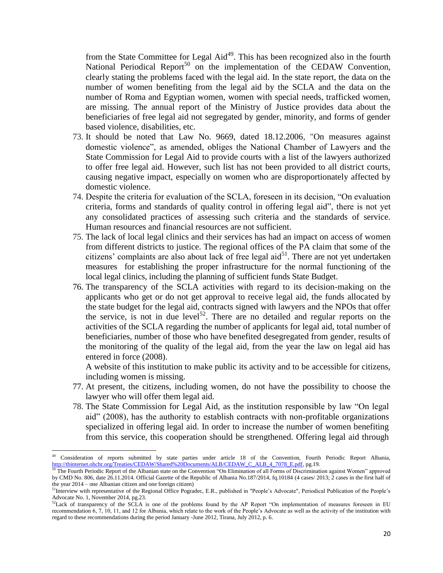from the State Committee for Legal  $\text{Aid}^{49}$ . This has been recognized also in the fourth National Periodical Report<sup>50</sup> on the implementation of the CEDAW Convention, clearly stating the problems faced with the legal aid. In the state report, the data on the number of women benefiting from the legal aid by the SCLA and the data on the number of Roma and Egyptian women, women with special needs, trafficked women, are missing. The annual report of the Ministry of Justice provides data about the beneficiaries of free legal aid not segregated by gender, minority, and forms of gender based violence, disabilities, etc.

- 73. It should be noted that Law No. 9669, dated 18.12.2006, "On measures against domestic violence", as amended, obliges the National Chamber of Lawyers and the State Commission for Legal Aid to provide courts with a list of the lawyers authorized to offer free legal aid. However, such list has not been provided to all district courts, causing negative impact, especially on women who are disproportionately affected by domestic violence.
- 74. Despite the criteria for evaluation of the SCLA, foreseen in its decision, "On evaluation criteria, forms and standards of quality control in offering legal aid", there is not yet any consolidated practices of assessing such criteria and the standards of service. Human resources and financial resources are not sufficient.
- 75. The lack of local legal clinics and their services has had an impact on access of women from different districts to justice. The regional offices of the PA claim that some of the citizens' complaints are also about lack of free legal  $\text{aid}^{51}$ . There are not yet undertaken measures for establishing the proper infrastructure for the normal functioning of the local legal clinics, including the planning of sufficient funds State Budget.
- 76. The transparency of the SCLA activities with regard to its decision-making on the applicants who get or do not get approval to receive legal aid, the funds allocated by the state budget for the legal aid, contracts signed with lawyers and the NPOs that offer the service, is not in due level<sup>52</sup>. There are no detailed and regular reports on the activities of the SCLA regarding the number of applicants for legal aid, total number of beneficiaries, number of those who have benefited desegregated from gender, results of the monitoring of the quality of the legal aid, from the year the law on legal aid has entered in force (2008).

A website of this institution to make public its activity and to be accessible for citizens, including women is missing.

- 77. At present, the citizens, including women, do not have the possibility to choose the lawyer who will offer them legal aid.
- 78. The State Commission for Legal Aid, as the institution responsible by law "On legal aid" (2008), has the authority to establish contracts with non-profitable organizations specialized in offering legal aid. In order to increase the number of women benefiting from this service, this cooperation should be strengthened. Offering legal aid through

<sup>49</sup> Consideration of reports submitted by state parties under article 18 of the Convention, Fourth Periodic Report Albania, [http://tbinternet.ohchr.org/Treaties/CEDAW/Shared%20Documents/ALB/CEDAW\\_C\\_ALB\\_4\\_7078\\_E.pdf,](http://tbinternet.ohchr.org/Treaties/CEDAW/Shared%20Documents/ALB/CEDAW_C_ALB_4_7078_E.pdf) pg.19.

The Fourth Periodic Report of the Albanian state on the Convention "On Elimination of all Forms of Discrimination against Women" approved by CMD No. 806, date 26.11.2014. Official Gazette of the Republic of Albania No.187/2014, fq.10184 (4 cases/ 2013; 2 cases in the first half of the year 2014 – one Albanian citizen and one foreign citizen)

<sup>&</sup>lt;sup>51</sup>Interview with representative of the Regional Office Pogradec, E.R., published in "People's Advocate", Periodical Publication of the People's Advocate No. 1, November 2014, pg.23.

 $52$ Lack of transparency of the SCLA is one of the problems found by the AP Report "On implementation of measures foreseen in EU recommendation 6, 7, 10, 11, and 12 for Albania, which relate to the work of the People's Advocate as well as the activity of the institution with regard to these recommendations during the period January -June 2012, Tirana, July 2012, p. 6.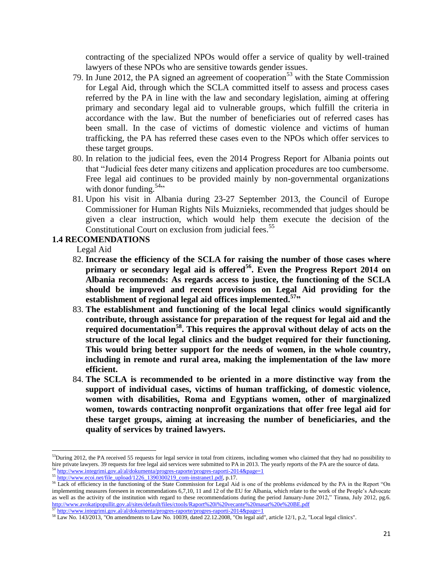contracting of the specialized NPOs would offer a service of quality by well-trained lawyers of these NPOs who are sensitive towards gender issues.

- 79. In June 2012, the PA signed an agreement of cooperation<sup>53</sup> with the State Commission for Legal Aid, through which the SCLA committed itself to assess and process cases referred by the PA in line with the law and secondary legislation, aiming at offering primary and secondary legal aid to vulnerable groups, which fulfill the criteria in accordance with the law. But the number of beneficiaries out of referred cases has been small. In the case of victims of domestic violence and victims of human trafficking, the PA has referred these cases even to the NPOs which offer services to these target groups.
- 80. In relation to the judicial fees, even the 2014 Progress Report for Albania points out that "Judicial fees deter many citizens and application procedures are too cumbersome. Free legal aid continues to be provided mainly by non-governmental organizations with donor funding.  $54$ <sup>34</sup>
- 81. Upon his visit in Albania during 23-27 September 2013, the Council of Europe Commissioner for Human Rights Nils Muiznieks, recommended that judges should be given a clear instruction, which would help them execute the decision of the Constitutional Court on exclusion from judicial fees.<sup>55</sup>

# **1.4 RECOMENDATIONS**

Legal Aid

- 82. **Increase the efficiency of the SCLA for raising the number of those cases where primary or secondary legal aid is offered<sup>56</sup> . Even the Progress Report 2014 on Albania recommends: As regards access to justice, the functioning of the SCLA should be improved and recent provisions on Legal Aid providing for the establishment of regional legal aid offices implemented.<sup>57</sup>"**
- 83. **The establishment and functioning of the local legal clinics would significantly contribute, through assistance for preparation of the request for legal aid and the required documentation<sup>58</sup>. This requires the approval without delay of acts on the structure of the local legal clinics and the budget required for their functioning. This would bring better support for the needs of women, in the whole country, including in remote and rural area, making the implementation of the law more efficient.**
- 84. **The SCLA is recommended to be oriented in a more distinctive way from the support of individual cases, victims of human trafficking, of domestic violence, women with disabilities, Roma and Egyptians women, other of marginalized women, towards contracting nonprofit organizations that offer free legal aid for these target groups, aiming at increasing the number of beneficiaries, and the quality of services by trained lawyers.**

 $53$ During 2012, the PA received 55 requests for legal service in total from citizens, including women who claimed that they had no possibility to hire private lawyers. 39 requests for free legal aid services were submitted to PA in 2013. The yearly reports of the PA are the source of data. <sup>54</sup> <http://www.integrimi.gov.al/al/dokumenta/progres-raporte/progres-raporti-2014&page=1>

<sup>&</sup>lt;sup>55</sup> [http://www.ecoi.net/file\\_upload/1226\\_1390300219\\_com-instranet1.pdf,](http://www.ecoi.net/file_upload/1226_1390300219_com-instranet1.pdf) p.17.

<sup>&</sup>lt;sup>56</sup> Lack of efficiency in the functioning of the State Commission for Legal Aid is one of the problems evidenced by the PA in the Report "On implementing measures foreseen in recommendations 6,7,10, 11 and 12 of the EU for Albania, which relate to the work of the People's Advocate as well as the activity of the institution with regard to these recommendations during the period January-June 2012," Tirana, July 2012, pg.6. <http://www.avokatipopullit.gov.al/sites/default/files/ctools/Raport%20i%20vecante%20masat%20e%20BE.pdf> <sup>57</sup> <http://www.integrimi.gov.al/al/dokumenta/progres-raporte/progres-raporti-2014&page=1>

<sup>58</sup> Law No. 143/2013, "On amendments to Law No. 10039, dated 22.12.2008, "On legal aid", article 12/1, p.2, "Local legal clinics".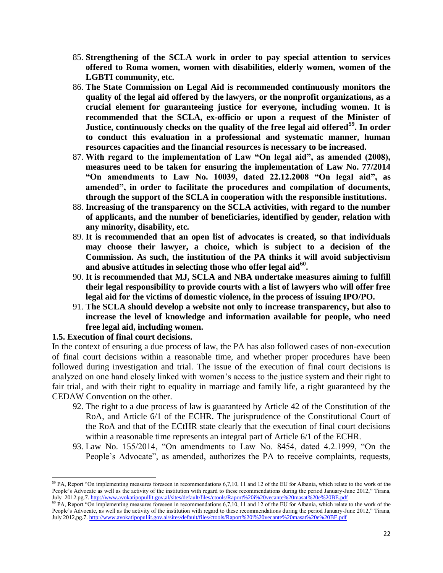- 85. **Strengthening of the SCLA work in order to pay special attention to services offered to Roma women, women with disabilities, elderly women, women of the LGBTI community, etc.**
- 86. **The State Commission on Legal Aid is recommended continuously monitors the quality of the legal aid offered by the lawyers, or the nonprofit organizations, as a crucial element for guaranteeing justice for everyone, including women. It is recommended that the SCLA, ex-officio or upon a request of the Minister of Justice, continuously checks on the quality of the free legal aid offered<sup>59</sup>. In order to conduct this evaluation in a professional and systematic manner, human resources capacities and the financial resources is necessary to be increased.**
- 87. **With regard to the implementation of Law "On legal aid", as amended (2008), measures need to be taken for ensuring the implementation of Law No. 77/2014 "On amendments to Law No. 10039, dated 22.12.2008 "On legal aid", as amended", in order to facilitate the procedures and compilation of documents, through the support of the SCLA in cooperation with the responsible institutions.**
- 88. **Increasing of the transparency on the SCLA activities, with regard to the number of applicants, and the number of beneficiaries, identified by gender, relation with any minority, disability, etc.**
- 89. **It is recommended that an open list of advocates is created, so that individuals may choose their lawyer, a choice, which is subject to a decision of the Commission. As such, the institution of the PA thinks it will avoid subjectivism and abusive attitudes in selecting those who offer legal aid<sup>60</sup> .**
- 90. **It is recommended that MJ, SCLA and NBA undertake measures aiming to fulfill their legal responsibility to provide courts with a list of lawyers who will offer free legal aid for the victims of domestic violence, in the process of issuing IPO/PO.**
- 91. **The SCLA should develop a website not only to increase transparency, but also to increase the level of knowledge and information available for people, who need free legal aid, including women.**

## **1.5. Execution of final court decisions.**

 $\overline{a}$ 

In the context of ensuring a due process of law, the PA has also followed cases of non-execution of final court decisions within a reasonable time, and whether proper procedures have been followed during investigation and trial. The issue of the execution of final court decisions is analyzed on one hand closely linked with women's access to the justice system and their right to fair trial, and with their right to equality in marriage and family life, a right guaranteed by the CEDAW Convention on the other.

- 92. The right to a due process of law is guaranteed by Article 42 of the Constitution of the RoA, and Article 6/1 of the ECHR. The jurisprudence of the Constitutional Court of the RoA and that of the ECtHR state clearly that the execution of final court decisions within a reasonable time represents an integral part of Article 6/1 of the ECHR.
- 93. Law No. 155/2014, "On amendments to Law No. 8454, dated 4.2.1999, "On the People's Advocate", as amended, authorizes the PA to receive complaints, requests,

<sup>&</sup>lt;sup>59</sup> PA, Report "On implementing measures foreseen in recommendations 6,7,10, 11 and 12 of the EU for Albania, which relate to the work of the People's Advocate as well as the activity of the institution with regard to these recommendations during the period January-June 2012," Tirana, July 2012.pg.7[. http://www.avokatipopullit.gov.al/sites/default/files/ctools/Raport%20i%20vecante%20masat%20e%20BE.pdf](http://www.avokatipopullit.gov.al/sites/default/files/ctools/Raport%20i%20vecante%20masat%20e%20BE.pdf)

<sup>&</sup>lt;sup>60</sup> PA, Report "On implementing measures foreseen in recommendations 6,7,10, 11 and 12 of the EU for Albania, which relate to the work of the People's Advocate, as well as the activity of the institution with regard to these recommendations during the period January-June 2012," Tirana, July 2012,pg.7[. http://www.avokatipopullit.gov.al/sites/default/files/ctools/Raport%20i%20vecante%20masat%20e%20BE.pdf](http://www.avokatipopullit.gov.al/sites/default/files/ctools/Raport%20i%20vecante%20masat%20e%20BE.pdf)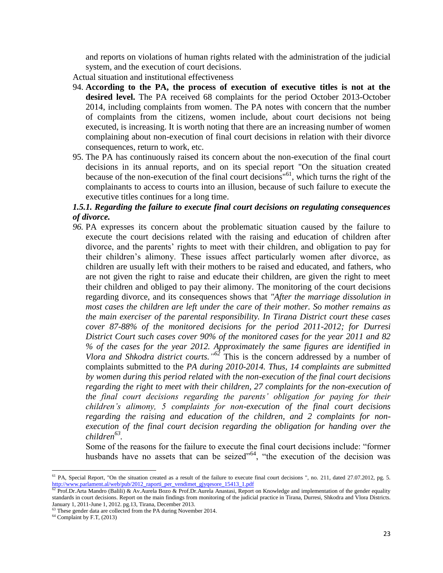and reports on violations of human rights related with the administration of the judicial system, and the execution of court decisions.

Actual situation and institutional effectiveness

- 94. **According to the PA, the process of execution of executive titles is not at the desired level.** The PA received 68 complaints for the period October 2013-October 2014, including complaints from women. The PA notes with concern that the number of complaints from the citizens, women include, about court decisions not being executed, is increasing. It is worth noting that there are an increasing number of women complaining about non-execution of final court decisions in relation with their divorce consequences, return to work, etc.
- 95. The PA has continuously raised its concern about the non-execution of the final court decisions in its annual reports, and on its special report "On the situation created because of the non-execution of the final court decisions<sup> $n^{61}$ </sup>, which turns the right of the complainants to access to courts into an illusion, because of such failure to execute the executive titles continues for a long time.

# *1.5.1. Regarding the failure to execute final court decisions on regulating consequences of divorce.*

*96.* PA expresses its concern about the problematic situation caused by the failure to execute the court decisions related with the raising and education of children after divorce, and the parents' rights to meet with their children, and obligation to pay for their children's alimony. These issues affect particularly women after divorce, as children are usually left with their mothers to be raised and educated, and fathers, who are not given the right to raise and educate their children, are given the right to meet their children and obliged to pay their alimony. The monitoring of the court decisions regarding divorce, and its consequences shows that *"After the marriage dissolution in most cases the children are left under the care of their mother. So mother remains as the main exerciser of the parental responsibility. In Tirana District court these cases cover 87-88% of the monitored decisions for the period 2011-2012; for Durresi District Court such cases cover 90% of the monitored cases for the year 2011 and 82 % of the cases for the year 2012. Approximately the same figures are identified in Vlora and Shkodra district courts." <sup>62</sup>* This is the concern addressed by a number of complaints submitted to the *PA during 2010-2014. Thus, 14 complaints are submitted by women during this period related with the non-execution of the final court decisions regarding the right to meet with their children, 27 complaints for the non-execution of the final court decisions regarding the parents' obligation for paying for their children's alimony, 5 complaints for non-execution of the final court decisions regarding the raising and education of the children, and 2 complaints for nonexecution of the final court decision regarding the obligation for handing over the children<sup>63</sup> .* 

Some of the reasons for the failure to execute the final court decisions include: "former husbands have no assets that can be seized<sup>"64</sup>, "the execution of the decision was

 $\overline{\phantom{a}}$ 

<sup>&</sup>lt;sup>61</sup> PA, Special Report, "On the situation created as a result of the failure to execute final court decisions ", no. 211, dated 27.07.2012, pg. 5. [http://www.parlament.al/web/pub/2012\\_raporti\\_per\\_vendimet\\_gjyqesore\\_15413\\_1.pdf](http://www.parlament.al/web/pub/2012_raporti_per_vendimet_gjyqesore_15413_1.pdf)

 $^{62}$  Prof.Dr.Arta Mandro (Balili) & Av.Aurela Bozo & Prof.Dr.Aurela Anastasi, Report on Knowledge and implementation of the gender equality standards in court decisions. Report on the main findings from monitoring of the judicial practice in Tirana, Durresi, Shkodra and Vlora Districts. January 1, 2011-June 1, 2012. pg.13, Tirana, December 2013.

<sup>&</sup>lt;sup>63</sup> These gender data are collected from the PA during November 2014.

<sup>64</sup> Complaint by F.T, (2013)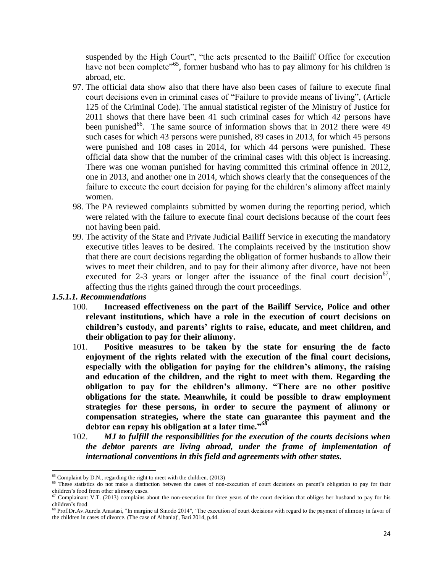suspended by the High Court", "the acts presented to the Bailiff Office for execution have not been complete<sup>"65</sup>, former husband who has to pay alimony for his children is abroad, etc.

- 97. The official data show also that there have also been cases of failure to execute final court decisions even in criminal cases of "Failure to provide means of living", (Article 125 of the Criminal Code). The annual statistical register of the Ministry of Justice for 2011 shows that there have been 41 such criminal cases for which 42 persons have been punished<sup>66</sup>. The same source of information shows that in 2012 there were 49 such cases for which 43 persons were punished, 89 cases in 2013, for which 45 persons were punished and 108 cases in 2014, for which 44 persons were punished. These official data show that the number of the criminal cases with this object is increasing. There was one woman punished for having committed this criminal offence in 2012, one in 2013, and another one in 2014, which shows clearly that the consequences of the failure to execute the court decision for paying for the children's alimony affect mainly women.
- 98. The PA reviewed complaints submitted by women during the reporting period, which were related with the failure to execute final court decisions because of the court fees not having been paid.
- 99. The activity of the State and Private Judicial Bailiff Service in executing the mandatory executive titles leaves to be desired. The complaints received by the institution show that there are court decisions regarding the obligation of former husbands to allow their wives to meet their children, and to pay for their alimony after divorce, have not been executed for 2-3 years or longer after the issuance of the final court decision<sup>67</sup>, affecting thus the rights gained through the court proceedings.

## *1.5.1.1. Recommendations*

 $\overline{\phantom{a}}$ 

- 100. **Increased effectiveness on the part of the Bailiff Service, Police and other relevant institutions, which have a role in the execution of court decisions on children's custody, and parents' rights to raise, educate, and meet children, and their obligation to pay for their alimony.**
- 101. **Positive measures to be taken by the state for ensuring the de facto enjoyment of the rights related with the execution of the final court decisions, especially with the obligation for paying for the children's alimony, the raising and education of the children, and the right to meet with them. Regarding the obligation to pay for the children's alimony. "There are no other positive obligations for the state. Meanwhile, it could be possible to draw employment strategies for these persons, in order to secure the payment of alimony or compensation strategies, where the state can guarantee this payment and the debtor can repay his obligation at a later time."***<sup>68</sup>*
- 102. *MJ to fulfill the responsibilities for the execution of the courts decisions when the debtor parents are living abroad, under the frame of implementation of international conventions in this field and agreements with other states.*

 $65$  Complaint by D.N., regarding the right to meet with the children. (2013)

<sup>&</sup>lt;sup>66</sup> These statistics do not make a distinction between the cases of non-execution of court decisions on parent's obligation to pay for their children's food from other alimony cases.

<sup>67</sup> Complainant V.T. (2013) complains about the non-execution for three years of the court decision that obliges her husband to pay for his children's food.

<sup>&</sup>lt;sup>68</sup> Prof.Dr.Av.Aurela Anastasi, "In margine al Sinodo 2014", 'The execution of court decisions with regard to the payment of alimony in favor of the children in cases of divorce. (The case of Albania)', Bari 2014, p.44.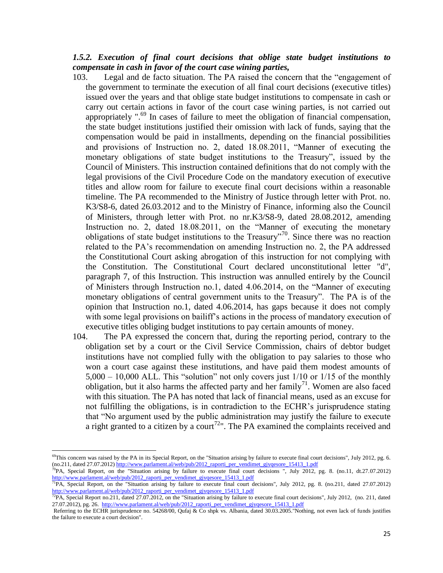# *1.5.2. Execution of final court decisions that oblige state budget institutions to compensate in cash in favor of the court case wining parties,*

- 103. Legal and de facto situation. The PA raised the concern that the "engagement of the government to terminate the execution of all final court decisions (executive titles) issued over the years and that oblige state budget institutions to compensate in cash or carry out certain actions in favor of the court case wining parties, is not carried out appropriately ".<sup>69</sup> In cases of failure to meet the obligation of financial compensation, the state budget institutions justified their omission with lack of funds, saying that the compensation would be paid in installments, depending on the financial possibilities and provisions of Instruction no. 2, dated 18.08.2011, "Manner of executing the monetary obligations of state budget institutions to the Treasury", issued by the Council of Ministers. This instruction contained definitions that do not comply with the legal provisions of the Civil Procedure Code on the mandatory execution of executive titles and allow room for failure to execute final court decisions within a reasonable timeline. The PA recommended to the Ministry of Justice through letter with Prot. no. K3/S8-6, dated 26.03.2012 and to the Ministry of Finance, informing also the Council of Ministers, through letter with Prot. no nr.K3/S8-9, dated 28.08.2012, amending Instruction no. 2, dated 18.08.2011, on the "Manner of executing the monetary obligations of state budget institutions to the Treasury"<sup>70</sup>. Since there was no reaction related to the PA's recommendation on amending Instruction no. 2, the PA addressed the Constitutional Court asking abrogation of this instruction for not complying with the Constitution. The Constitutional Court declared unconstitutional letter "d", paragraph 7, of this Instruction. This instruction was annulled entirely by the Council of Ministers through Instruction no.1, dated 4.06.2014, on the "Manner of executing monetary obligations of central government units to the Treasury". The PA is of the opinion that Instruction no.1, dated 4.06.2014, has gaps because it does not comply with some legal provisions on bailiff's actions in the process of mandatory execution of executive titles obliging budget institutions to pay certain amounts of money.
- 104. The PA expressed the concern that, during the reporting period, contrary to the obligation set by a court or the Civil Service Commission, chairs of debtor budget institutions have not complied fully with the obligation to pay salaries to those who won a court case against these institutions, and have paid them modest amounts of  $5,000 - 10,000$  ALL. This "solution" not only covers just  $1/10$  or  $1/15$  of the monthly obligation, but it also harms the affected party and her family<sup>71</sup>. Women are also faced with this situation. The PA has noted that lack of financial means, used as an excuse for not fulfilling the obligations, is in contradiction to the ECHR's jurisprudence stating that "No argument used by the public administration may justify the failure to execute a right granted to a citizen by a court<sup>72</sup>". The PA examined the complaints received and

<sup>&</sup>lt;sup>69</sup>This concern was raised by the PA in its Special Report, on the "Situation arising by failure to execute final court decisions", July 2012, pg. 6. (no.211, dated 27.07.2012[\) http://www.parlament.al/web/pub/2012\\_raporti\\_per\\_vendimet\\_gjyqesore\\_15413\\_1.pdf](http://www.parlament.al/web/pub/2012_raporti_per_vendimet_gjyqesore_15413_1.pdf)

<sup>70</sup>PA, Special Report, on the "Situation arising by failure to execute final court decisions ", July 2012, pg. 8. (no.11, dt.27.07.2012) [http://www.parlament.al/web/pub/2012\\_raporti\\_per\\_vendimet\\_gjyqesore\\_15413\\_1.pdf](http://www.parlament.al/web/pub/2012_raporti_per_vendimet_gjyqesore_15413_1.pdf)

<sup>&</sup>lt;sup>71</sup>PA, Special Report, on the "Situation arising by failure to execute final court decisions", July 2012, pg. 8. (no.211, dated 27.07.2012) [http://www.parlament.al/web/pub/2012\\_raporti\\_per\\_vendimet\\_gjyqesore\\_15413\\_1.pdf](http://www.parlament.al/web/pub/2012_raporti_per_vendimet_gjyqesore_15413_1.pdf)

<sup>&</sup>lt;sup>72</sup>PA, Special Report no.211, dated 27.07.2012, on the "Situation arising by failure to execute final court decisions", July 2012, (no. 211, dated 27.07.2012), pg. 26. [http://www.parlament.al/web/pub/2012\\_raporti\\_per\\_vendimet\\_gjyqesore\\_15413\\_1.pdf](http://www.parlament.al/web/pub/2012_raporti_per_vendimet_gjyqesore_15413_1.pdf)

Referring to the ECHR jurisprudence no. 54268/00, Qufaj & Co shpk vs. Albania, dated 30.03.2005."Nothing, not even lack of funds justifies the failure to execute a court decision".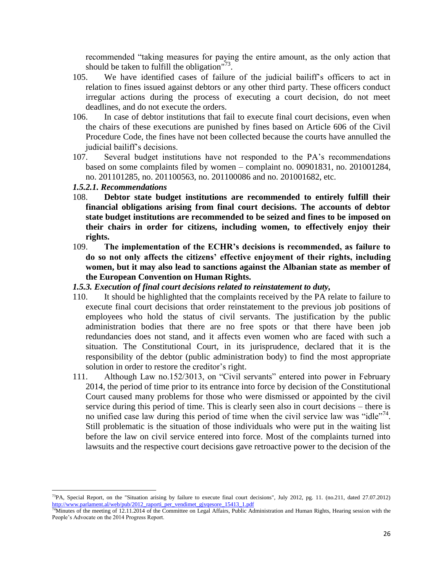recommended "taking measures for paying the entire amount, as the only action that should be taken to fulfill the obligation" $\frac{73}{2}$ .

- 105. We have identified cases of failure of the judicial bailiff's officers to act in relation to fines issued against debtors or any other third party. These officers conduct irregular actions during the process of executing a court decision, do not meet deadlines, and do not execute the orders.
- 106. In case of debtor institutions that fail to execute final court decisions, even when the chairs of these executions are punished by fines based on Article 606 of the Civil Procedure Code, the fines have not been collected because the courts have annulled the judicial bailiff's decisions.
- 107. Several budget institutions have not responded to the PA's recommendations based on some complaints filed by women – complaint no. 00901831, no. 201001284, no. 201101285, no. 201100563, no. 201100086 and no. 201001682, etc.

#### *1.5.2.1. Recommendations*

- 108. **Debtor state budget institutions are recommended to entirely fulfill their financial obligations arising from final court decisions. The accounts of debtor state budget institutions are recommended to be seized and fines to be imposed on their chairs in order for citizens, including women, to effectively enjoy their rights.**
- 109. **The implementation of the ECHR's decisions is recommended, as failure to do so not only affects the citizens' effective enjoyment of their rights, including women, but it may also lead to sanctions against the Albanian state as member of the European Convention on Human Rights.**
- *1.5.3. Execution of final court decisions related to reinstatement to duty,*
- 110. It should be highlighted that the complaints received by the PA relate to failure to execute final court decisions that order reinstatement to the previous job positions of employees who hold the status of civil servants. The justification by the public administration bodies that there are no free spots or that there have been job redundancies does not stand, and it affects even women who are faced with such a situation. The Constitutional Court, in its jurisprudence, declared that it is the responsibility of the debtor (public administration body) to find the most appropriate solution in order to restore the creditor's right.
- 111. Although Law no.152/3013, on "Civil servants" entered into power in February 2014, the period of time prior to its entrance into force by decision of the Constitutional Court caused many problems for those who were dismissed or appointed by the civil service during this period of time. This is clearly seen also in court decisions – there is no unified case law during this period of time when the civil service law was "idle"<sup>74</sup>. Still problematic is the situation of those individuals who were put in the waiting list before the law on civil service entered into force. Most of the complaints turned into lawsuits and the respective court decisions gave retroactive power to the decision of the

 $^{73}$ PA, Special Report, on the "Situation arising by failure to execute final court decisions", July 2012, pg. 11. (no.211, dated 27.07.2012) [http://www.parlament.al/web/pub/2012\\_raporti\\_per\\_vendimet\\_gjyqesore\\_15413\\_1.pdf](http://www.parlament.al/web/pub/2012_raporti_per_vendimet_gjyqesore_15413_1.pdf)

 $^{74}$ Minutes of the meeting of 12.11.2014 of the Committee on Legal Affairs, Public Administration and Human Rights, Hearing session with the People's Advocate on the 2014 Progress Report.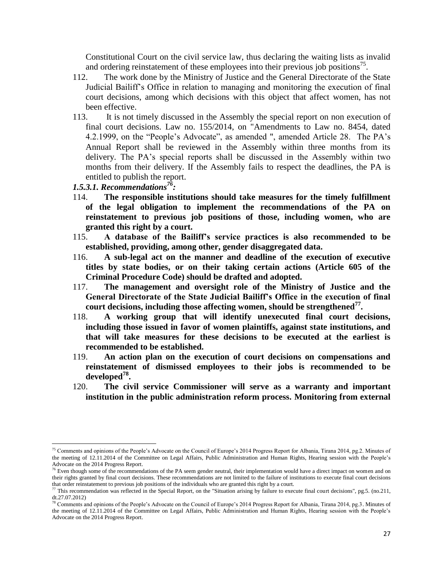Constitutional Court on the civil service law, thus declaring the waiting lists as invalid and ordering reinstatement of these employees into their previous job positions<sup>75</sup>.

- 112. The work done by the Ministry of Justice and the General Directorate of the State Judicial Bailiff's Office in relation to managing and monitoring the execution of final court decisions, among which decisions with this object that affect women, has not been effective.
- 113. It is not timely discussed in the Assembly the special report on non execution of final court decisions. Law no. 155/2014, on "Amendments to Law no. 8454, dated 4.2.1999, on the "People's Advocate", as amended ", amended Article 28. The PA's Annual Report shall be reviewed in the Assembly within three months from its delivery. The PA's special reports shall be discussed in the Assembly within two months from their delivery. If the Assembly fails to respect the deadlines, the PA is entitled to publish the report.
- *1.5.3.1. Recommendations<sup>76</sup> :*

 $\overline{\phantom{a}}$ 

- 114. **The responsible institutions should take measures for the timely fulfillment of the legal obligation to implement the recommendations of the PA on reinstatement to previous job positions of those, including women, who are granted this right by a court.**
- 115. **A database of the Bailiff's service practices is also recommended to be established, providing, among other, gender disaggregated data.**
- 116. **A sub-legal act on the manner and deadline of the execution of executive titles by state bodies, or on their taking certain actions (Article 605 of the Criminal Procedure Code) should be drafted and adopted.**
- 117. **The management and oversight role of the Ministry of Justice and the General Directorate of the State Judicial Bailiff's Office in the execution of final court decisions, including those affecting women, should be strengthened<sup>77</sup> .**
- 118. **A working group that will identify unexecuted final court decisions, including those issued in favor of women plaintiffs, against state institutions, and that will take measures for these decisions to be executed at the earliest is recommended to be established.**
- 119. **An action plan on the execution of court decisions on compensations and reinstatement of dismissed employees to their jobs is recommended to be developed<sup>78</sup> .**
- 120. **The civil service Commissioner will serve as a warranty and important institution in the public administration reform process. Monitoring from external**

<sup>&</sup>lt;sup>75</sup> Comments and opinions of the People's Advocate on the Council of Europe's 2014 Progress Report for Albania, Tirana 2014, pg.2. Minutes of the meeting of 12.11.2014 of the Committee on Legal Affairs, Public Administration and Human Rights, Hearing session with the People's Advocate on the 2014 Progress Report.

<sup>&</sup>lt;sup>76</sup> Even though some of the recommendations of the PA seem gender neutral, their implementation would have a direct impact on women and on their rights granted by final court decisions. These recommendations are not limited to the failure of institutions to execute final court decisions that order reinstatement to previous job positions of the individuals who are granted this right by a court.

 $^{77}$  This recommendation was reflected in the Special Report, on the "Situation arising by failure to execute final court decisions", pg.5. (no.211,  $dt.27.07.2012$ 

<sup>78</sup> Comments and opinions of the People's Advocate on the Council of Europe's 2014 Progress Report for Albania, Tirana 2014, pg.3. Minutes of the meeting of 12.11.2014 of the Committee on Legal Affairs, Public Administration and Human Rights, Hearing session with the People's Advocate on the 2014 Progress Report.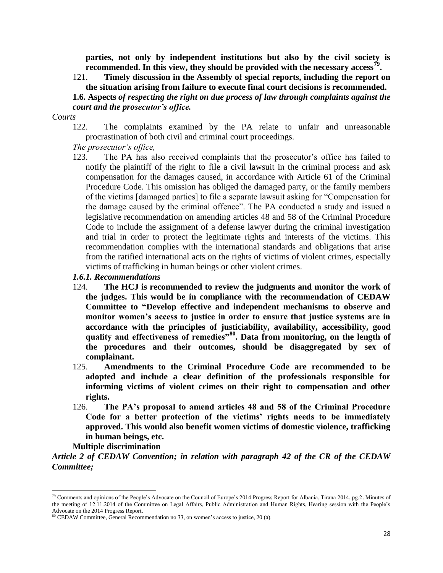**parties, not only by independent institutions but also by the civil society is**  recommended. In this view, they should be provided with the necessary access<sup>79</sup>.

121. **Timely discussion in the Assembly of special reports, including the report on the situation arising from failure to execute final court decisions is recommended. 1.6. Aspects** *of respecting the right on due process of law through complaints against the* 

#### *court and the prosecutor's office.*

#### *Courts*

122. The complaints examined by the PA relate to unfair and unreasonable procrastination of both civil and criminal court proceedings.

## *The prosecutor's office,*

123. The PA has also received complaints that the prosecutor's office has failed to notify the plaintiff of the right to file a civil lawsuit in the criminal process and ask compensation for the damages caused, in accordance with Article 61 of the Criminal Procedure Code. This omission has obliged the damaged party, or the family members of the victims [damaged parties] to file a separate lawsuit asking for "Compensation for the damage caused by the criminal offence". The PA conducted a study and issued a legislative recommendation on amending articles 48 and 58 of the Criminal Procedure Code to include the assignment of a defense lawyer during the criminal investigation and trial in order to protect the legitimate rights and interests of the victims. This recommendation complies with the international standards and obligations that arise from the ratified international acts on the rights of victims of violent crimes, especially victims of trafficking in human beings or other violent crimes.

#### *1.6.1. Recommendations*

- 124. **The HCJ is recommended to review the judgments and monitor the work of the judges. This would be in compliance with the recommendation of CEDAW Committee to "Develop effective and independent mechanisms to observe and monitor women's access to justice in order to ensure that justice systems are in accordance with the principles of justiciability, availability, accessibility, good quality and effectiveness of remedies"<sup>80</sup> . Data from monitoring, on the length of the procedures and their outcomes, should be disaggregated by sex of complainant.**
- 125. **Amendments to the Criminal Procedure Code are recommended to be adopted and include a clear definition of the professionals responsible for informing victims of violent crimes on their right to compensation and other rights.**
- 126. **The PA's proposal to amend articles 48 and 58 of the Criminal Procedure Code for a better protection of the victims' rights needs to be immediately approved. This would also benefit women victims of domestic violence, trafficking in human beings, etc.**

#### **Multiple discrimination**

 $\overline{a}$ 

*Article 2 of CEDAW Convention; in relation with paragraph 42 of the CR of the CEDAW Committee;*

<sup>&</sup>lt;sup>79</sup> Comments and opinions of the People's Advocate on the Council of Europe's 2014 Progress Report for Albania, Tirana 2014, pg.2. Minutes of the meeting of 12.11.2014 of the Committee on Legal Affairs, Public Administration and Human Rights, Hearing session with the People's Advocate on the 2014 Progress Report.

<sup>80</sup> CEDAW Committee, General Recommendation no.33, on women's access to justice, 20 (a).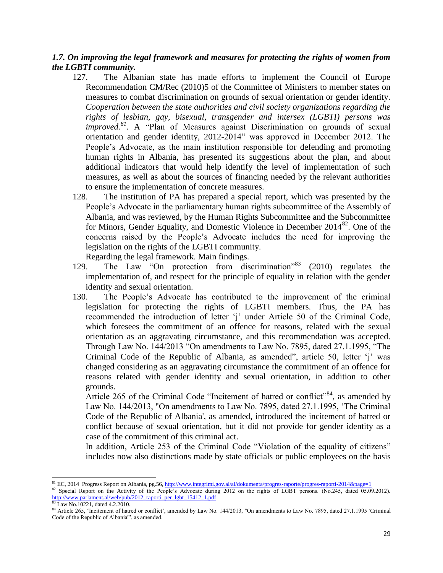# *1.7. On improving the legal framework and measures for protecting the rights of women from the LGBTI community.*

- 127. The Albanian state has made efforts to implement the Council of Europe Recommendation CM/Rec (2010)5 of the Committee of Ministers to member states on measures to combat discrimination on grounds of sexual orientation or gender identity. *Cooperation between the state authorities and civil society organizations regarding the rights of lesbian, gay, bisexual, transgender and intersex (LGBTI) persons was improved.<sup>81</sup>*. A "Plan of Measures against Discrimination on grounds of sexual orientation and gender identity, 2012-2014" was approved in December 2012. The People's Advocate, as the main institution responsible for defending and promoting human rights in Albania, has presented its suggestions about the plan, and about additional indicators that would help identify the level of implementation of such measures, as well as about the sources of financing needed by the relevant authorities to ensure the implementation of concrete measures.
- 128. The institution of PA has prepared a special report, which was presented by the People's Advocate in the parliamentary human rights subcommittee of the Assembly of Albania, and was reviewed, by the Human Rights Subcommittee and the Subcommittee for Minors, Gender Equality, and Domestic Violence in December  $2014^{82}$ . One of the concerns raised by the People's Advocate includes the need for improving the legislation on the rights of the LGBTI community.

Regarding the legal framework. Main findings.

- 129. The Law "On protection from discrimination"<sup>83</sup> (2010) regulates the implementation of, and respect for the principle of equality in relation with the gender identity and sexual orientation.
- 130. The People's Advocate has contributed to the improvement of the criminal legislation for protecting the rights of LGBTI members. Thus, the PA has recommended the introduction of letter 'j' under Article 50 of the Criminal Code, which foresees the commitment of an offence for reasons, related with the sexual orientation as an aggravating circumstance, and this recommendation was accepted. Through Law No. 144/2013 "On amendments to Law No. 7895, dated 27.1.1995, "The Criminal Code of the Republic of Albania, as amended", article 50, letter 'j' was changed considering as an aggravating circumstance the commitment of an offence for reasons related with gender identity and sexual orientation, in addition to other grounds.

Article 265 of the Criminal Code "Incitement of hatred or conflict"<sup>84</sup>, as amended by Law No. 144/2013, "On amendments to Law No. 7895, dated 27.1.1995, 'The Criminal Code of the Republic of Albania', as amended, introduced the incitement of hatred or conflict because of sexual orientation, but it did not provide for gender identity as a case of the commitment of this criminal act.

In addition, Article 253 of the Criminal Code "Violation of the equality of citizens" includes now also distinctions made by state officials or public employees on the basis

 $\overline{a}$ <sup>81</sup> EC, 2014 Progress Report on Albania, pg.56,<http://www.integrimi.gov.al/al/dokumenta/progres-raporte/progres-raporti-2014&page=1>

<sup>82</sup> Special Report on the Activity of the People's Advocate during 2012 on the rights of LGBT persons. (No.245, dated 05.09.2012). [http://www.parlament.al/web/pub/2012\\_raporti\\_per\\_lgbt\\_15412\\_1.pdf](http://www.parlament.al/web/pub/2012_raporti_per_lgbt_15412_1.pdf)

<sup>83</sup> Law No.10221, dated 4.2.2010.

<sup>84</sup> Article 265, 'Incitement of hatred or conflict', amended by Law No. 144/2013, "On amendments to Law No. 7895, dated 27.1.1995 'Criminal Code of the Republic of Albania'", as amended.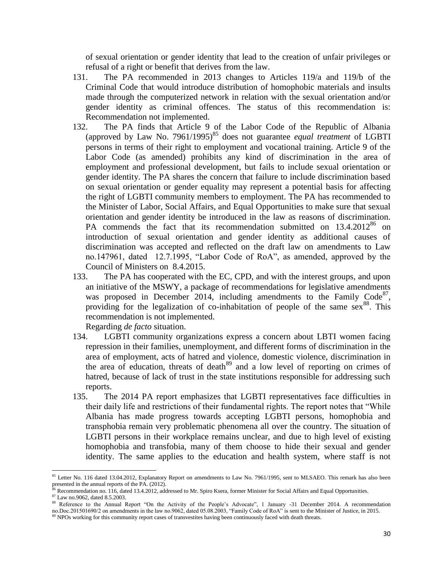of sexual orientation or gender identity that lead to the creation of unfair privileges or refusal of a right or benefit that derives from the law.

- 131. The PA recommended in 2013 changes to Articles 119/a and 119/b of the Criminal Code that would introduce distribution of homophobic materials and insults made through the computerized network in relation with the sexual orientation and/or gender identity as criminal offences. The status of this recommendation is: Recommendation not implemented.
- 132. The PA finds that Article 9 of the Labor Code of the Republic of Albania (approved by Law No. 7961/1995)<sup>85</sup> does not guarantee *equal treatment* of LGBTI persons in terms of their right to employment and vocational training. Article 9 of the Labor Code (as amended) prohibits any kind of discrimination in the area of employment and professional development, but fails to include sexual orientation or gender identity. The PA shares the concern that failure to include discrimination based on sexual orientation or gender equality may represent a potential basis for affecting the right of LGBTI community members to employment. The PA has recommended to the Minister of Labor, Social Affairs, and Equal Opportunities to make sure that sexual orientation and gender identity be introduced in the law as reasons of discrimination. PA commends the fact that its recommendation submitted on 13.4.2012<sup>86</sup> on introduction of sexual orientation and gender identity as additional causes of discrimination was accepted and reflected on the draft law on amendments to Law no.147961, dated 12.7.1995, "Labor Code of RoA", as amended, approved by the Council of Ministers on 8.4.2015.
- 133. The PA has cooperated with the EC, CPD, and with the interest groups, and upon an initiative of the MSWY, a package of recommendations for legislative amendments was proposed in December 2014, including amendments to the Family Code $87$ , providing for the legalization of co-inhabitation of people of the same  $sex^{88}$ . This recommendation is not implemented.

Regarding *de facto* situation.

- 134. LGBTI community organizations express a concern about LBTI women facing repression in their families, unemployment, and different forms of discrimination in the area of employment, acts of hatred and violence, domestic violence, discrimination in the area of education, threats of death<sup>89</sup> and a low level of reporting on crimes of hatred, because of lack of trust in the state institutions responsible for addressing such reports.
- 135. The 2014 PA report emphasizes that LGBTI representatives face difficulties in their daily life and restrictions of their fundamental rights. The report notes that "While Albania has made progress towards accepting LGBTI persons, homophobia and transphobia remain very problematic phenomena all over the country. The situation of LGBTI persons in their workplace remains unclear, and due to high level of existing homophobia and transfobia, many of them choose to hide their sexual and gender identity. The same applies to the education and health system, where staff is not

 $\overline{\phantom{a}}$ 

<sup>&</sup>lt;sup>85</sup> Letter No. 116 dated 13.04.2012, Explanatory Report on amendments to Law No. 7961/1995, sent to MLSAEO. This remark has also been presented in the annual reports of the PA. (2012).

 $\frac{86}{10}$  Recommendation no. 116, dated 13.4.2012, addressed to Mr. Spiro Ksera, former Minister for Social Affairs and Equal Opportunities.

<sup>87</sup> Law no.9062, dated 8.5.2003.

<sup>88</sup> Reference to the Annual Report "On the Activity of the People's Advocate", 1 January -31 December 2014. A recommendation no.Doc.201501690/2 on amendments in the law no.9062, dated 05.08.2003, "Family Code of RoA" is sent to the Minister of Justice, in 2015.

<sup>&</sup>lt;sup>89</sup> NPOs working for this community report cases of transvestites having been continuously faced with death threats.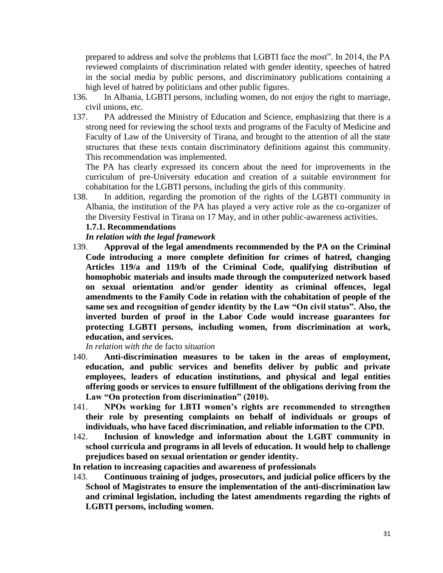prepared to address and solve the problems that LGBTI face the most". In 2014, the PA reviewed complaints of discrimination related with gender identity, speeches of hatred in the social media by public persons, and discriminatory publications containing a high level of hatred by politicians and other public figures.

- 136. In Albania, LGBTI persons, including women, do not enjoy the right to marriage, civil unions, etc.
- 137. PA addressed the Ministry of Education and Science, emphasizing that there is a strong need for reviewing the school texts and programs of the Faculty of Medicine and Faculty of Law of the University of Tirana, and brought to the attention of all the state structures that these texts contain discriminatory definitions against this community. This recommendation was implemented.

The PA has clearly expressed its concern about the need for improvements in the curriculum of pre-University education and creation of a suitable environment for cohabitation for the LGBTI persons, including the girls of this community.

138. In addition, regarding the promotion of the rights of the LGBTI community in Albania, the institution of the PA has played a very active role as the co-organizer of the Diversity Festival in Tirana on 17 May, and in other public-awareness activities.

# **1.7.1. Recommendations**

*In relation with the legal framework*

139. **Approval of the legal amendments recommended by the PA on the Criminal Code introducing a more complete definition for crimes of hatred, changing Articles 119/a and 119/b of the Criminal Code, qualifying distribution of homophobic materials and insults made through the computerized network based on sexual orientation and/or gender identity as criminal offences, legal amendments to the Family Code in relation with the cohabitation of people of the same sex and recognition of gender identity by the Law "On civil status". Also, the inverted burden of proof in the Labor Code would increase guarantees for protecting LGBTI persons, including women, from discrimination at work, education, and services.**

*In relation with the* de facto *situation*

- 140. **Anti-discrimination measures to be taken in the areas of employment, education, and public services and benefits deliver by public and private employees, leaders of education institutions, and physical and legal entities offering goods or services to ensure fulfillment of the obligations deriving from the Law "On protection from discrimination" (2010).**
- 141. **NPOs working for LBTI women's rights are recommended to strengthen their role by presenting complaints on behalf of individuals or groups of individuals, who have faced discrimination, and reliable information to the CPD.**
- 142. **Inclusion of knowledge and information about the LGBT community in school curricula and programs in all levels of education. It would help to challenge prejudices based on sexual orientation or gender identity.**
- **In relation to increasing capacities and awareness of professionals**
- 143. **Continuous training of judges, prosecutors, and judicial police officers by the School of Magistrates to ensure the implementation of the anti-discrimination law and criminal legislation, including the latest amendments regarding the rights of LGBTI persons, including women.**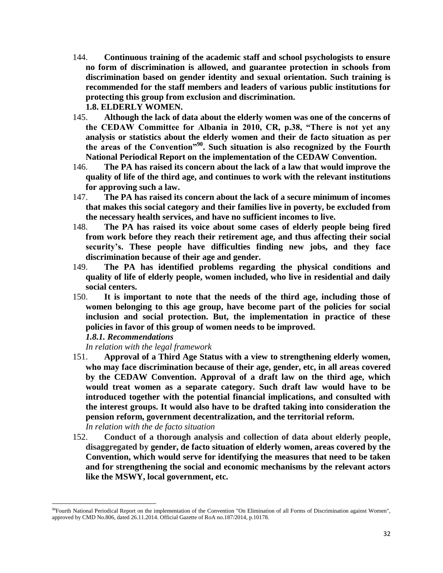- 144. **Continuous training of the academic staff and school psychologists to ensure no form of discrimination is allowed, and guarantee protection in schools from discrimination based on gender identity and sexual orientation. Such training is recommended for the staff members and leaders of various public institutions for protecting this group from exclusion and discrimination. 1.8. ELDERLY WOMEN.**
- 145. **Although the lack of data about the elderly women was one of the concerns of the CEDAW Committee for Albania in 2010, CR, p.38, "There is not yet any analysis or statistics about the elderly women and their de facto situation as per the areas of the Convention"<sup>90</sup>. Such situation is also recognized by the Fourth National Periodical Report on the implementation of the CEDAW Convention.**
- 146. **The PA has raised its concern about the lack of a law that would improve the quality of life of the third age, and continues to work with the relevant institutions for approving such a law.**
- 147. **The PA has raised its concern about the lack of a secure minimum of incomes that makes this social category and their families live in poverty, be excluded from the necessary health services, and have no sufficient incomes to live.**
- 148. **The PA has raised its voice about some cases of elderly people being fired from work before they reach their retirement age, and thus affecting their social security's. These people have difficulties finding new jobs, and they face discrimination because of their age and gender.**
- 149. **The PA has identified problems regarding the physical conditions and quality of life of elderly people, women included, who live in residential and daily social centers.**
- 150. **It is important to note that the needs of the third age, including those of women belonging to this age group, have become part of the policies for social inclusion and social protection. But, the implementation in practice of these policies in favor of this group of women needs to be improved.**

#### *1.8.1. Recommendations*

*In relation with the legal framework*

151. **Approval of a Third Age Status with a view to strengthening elderly women, who may face discrimination because of their age, gender, etc, in all areas covered by the CEDAW Convention. Approval of a draft law on the third age, which would treat women as a separate category. Such draft law would have to be introduced together with the potential financial implications, and consulted with the interest groups. It would also have to be drafted taking into consideration the pension reform, government decentralization, and the territorial reform.** 

## *In relation with the de facto situation*

l

152. **Conduct of a thorough analysis and collection of data about elderly people, disaggregated by gender, de facto situation of elderly women, areas covered by the Convention, which would serve for identifying the measures that need to be taken and for strengthening the social and economic mechanisms by the relevant actors like the MSWY, local government, etc.**

<sup>&</sup>lt;sup>90</sup>Fourth National Periodical Report on the implementation of the Convention "On Elimination of all Forms of Discrimination against Women", approved by CMD No.806, dated 26.11.2014. Official Gazette of RoA no.187/2014, p.10178.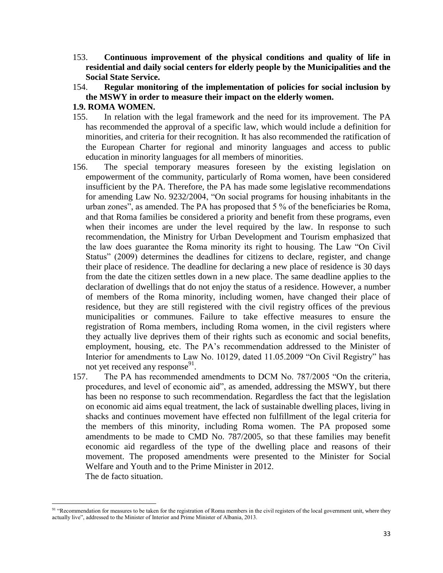- 153. **Continuous improvement of the physical conditions and quality of life in residential and daily social centers for elderly people by the Municipalities and the Social State Service.**
- 154. **Regular monitoring of the implementation of policies for social inclusion by the MSWY in order to measure their impact on the elderly women.**

#### **1.9. ROMA WOMEN.**

l

- 155. In relation with the legal framework and the need for its improvement. The PA has recommended the approval of a specific law, which would include a definition for minorities, and criteria for their recognition. It has also recommended the ratification of the European Charter for regional and minority languages and access to public education in minority languages for all members of minorities.
- 156. The special temporary measures foreseen by the existing legislation on empowerment of the community, particularly of Roma women, have been considered insufficient by the PA. Therefore, the PA has made some legislative recommendations for amending Law No. 9232/2004, "On social programs for housing inhabitants in the urban zones", as amended. The PA has proposed that 5 % of the beneficiaries be Roma, and that Roma families be considered a priority and benefit from these programs, even when their incomes are under the level required by the law. In response to such recommendation, the Ministry for Urban Development and Tourism emphasized that the law does guarantee the Roma minority its right to housing. The Law "On Civil Status" (2009) determines the deadlines for citizens to declare, register, and change their place of residence. The deadline for declaring a new place of residence is 30 days from the date the citizen settles down in a new place. The same deadline applies to the declaration of dwellings that do not enjoy the status of a residence. However, a number of members of the Roma minority, including women, have changed their place of residence, but they are still registered with the civil registry offices of the previous municipalities or communes. Failure to take effective measures to ensure the registration of Roma members, including Roma women, in the civil registers where they actually live deprives them of their rights such as economic and social benefits, employment, housing, etc. The PA's recommendation addressed to the Minister of Interior for amendments to Law No. 10129, dated 11.05.2009 "On Civil Registry" has not yet received any response $91$ .
- 157. The PA has recommended amendments to DCM No. 787/2005 "On the criteria, procedures, and level of economic aid", as amended, addressing the MSWY, but there has been no response to such recommendation. Regardless the fact that the legislation on economic aid aims equal treatment, the lack of sustainable dwelling places, living in shacks and continues movement have effected non fulfillment of the legal criteria for the members of this minority, including Roma women. The PA proposed some amendments to be made to CMD No. 787/2005, so that these families may benefit economic aid regardless of the type of the dwelling place and reasons of their movement. The proposed amendments were presented to the Minister for Social Welfare and Youth and to the Prime Minister in 2012. The de facto situation.

<sup>&</sup>lt;sup>91</sup> "Recommendation for measures to be taken for the registration of Roma members in the civil registers of the local government unit, where they actually live", addressed to the Minister of Interior and Prime Minister of Albania, 2013.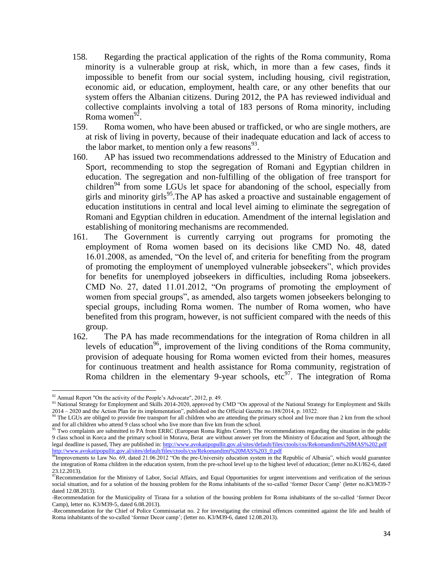- 158. Regarding the practical application of the rights of the Roma community, Roma minority is a vulnerable group at risk, which, in more than a few cases, finds it impossible to benefit from our social system, including housing, civil registration, economic aid, or education, employment, health care, or any other benefits that our system offers the Albanian citizens. During 2012, the PA has reviewed individual and collective complaints involving a total of 183 persons of Roma minority, including Roma women $^{92}$ .
- 159. Roma women, who have been abused or trafficked, or who are single mothers, are at risk of living in poverty, because of their inadequate education and lack of access to the labor market, to mention only a few reasons $^{93}$ .
- 160. AP has issued two recommendations addressed to the Ministry of Education and Sport, recommending to stop the segregation of Romani and Egyptian children in education. The segregation and non-fulfilling of the obligation of free transport for children<sup>94</sup> from some LGUs let space for abandoning of the school, especially from girls and minority girls<sup>95</sup>. The AP has asked a proactive and sustainable engagement of education institutions in central and local level aiming to eliminate the segregation of Romani and Egyptian children in education. Amendment of the internal legislation and establishing of monitoring mechanisms are recommended.
- 161. The Government is currently carrying out programs for promoting the employment of Roma women based on its decisions like CMD No. 48, dated 16.01.2008, as amended, "On the level of, and criteria for benefiting from the program of promoting the employment of unemployed vulnerable jobseekers", which provides for benefits for unemployed jobseekers in difficulties, including Roma jobseekers. CMD No. 27, dated 11.01.2012, "On programs of promoting the employment of women from special groups", as amended, also targets women jobseekers belonging to special groups, including Roma women. The number of Roma women, who have benefited from this program, however, is not sufficient compared with the needs of this group.
- 162. The PA has made recommendations for the integration of Roma children in all levels of education<sup>96</sup>, improvement of the living conditions of the Roma community, provision of adequate housing for Roma women evicted from their homes, measures for continuous treatment and health assistance for Roma community, registration of Roma children in the elementary 9-year schools,  $\text{etc}^{97}$ . The integration of Roma

l

 $92$  Annual Report "On the activity of the People's Advocate", 2012, p. 49.

<sup>&</sup>lt;sup>93</sup> National Strategy for Employment and Skills 2014-2020, approved by CMD "On approval of the National Strategy for Employment and Skills 2014 – 2020 and the Action Plan for its implementation", published on the Official Gazette no.188/2014, p. 10322.

<sup>&</sup>lt;sup>94</sup> The LGUs are obliged to provide free transport for all children who are attending the primary school and live more than 2 km from the school and for all children who attend 9 class school who live more than five km from the school.

<sup>&</sup>lt;sup>95</sup> Two complaints are submitted to PA from ERRC (European Roma Rights Center). The recommendations regarding the situation in the public 9 class school in Korca and the primary school in Morava, Berat are without answer yet from the Ministry of Education and Sport, although the legal deadline is passed, They are published in[: http://www.avokatipopullit.gov.al/sites/default/files/ctools/css/Rekomandimi%20MAS%202.pdf](http://www.avokatipopullit.gov.al/sites/default/files/ctools/css/Rekomandimi%20MAS%202.pdf) [http://www.avokatipopullit.gov.al/sites/default/files/ctools/css/Rekomandimi%20MAS%203\\_0.pdf](http://www.avokatipopullit.gov.al/sites/default/files/ctools/css/Rekomandimi%20MAS%203_0.pdf)

 $^{96}$ Improvements to Law No. 69, dated 21.06.2012 "On the pre-University education system in the Republic of Albania", which would guarantee the integration of Roma children in the education system, from the pre-school level up to the highest level of education; (letter no.K1/I62-6, dated 23.12.2013).

 $\frac{97}{97}$ Recommendation for the Ministry of Labor, Social Affairs, and Equal Opportunities for urgent interventions and verification of the serious social situation, and for a solution of the housing problem for the Roma inhabitants of the so-called 'former Decor Camp' (letter no.K3/M39-7 dated 12.08.2013).

<sup>-</sup>Recommendation for the Municipality of Tirana for a solution of the housing problem for Roma inhabitants of the so-called 'former Decor Camp), letter no. K3/M39-5, dated 6.08.2013).

<sup>-</sup>Recommendation for the Chief of Police Commissariat no. 2 for investigating the criminal offences committed against the life and health of Roma inhabitants of the so-called 'former Decor camp'; (letter no. K3/M39-6, dated 12.08.2013).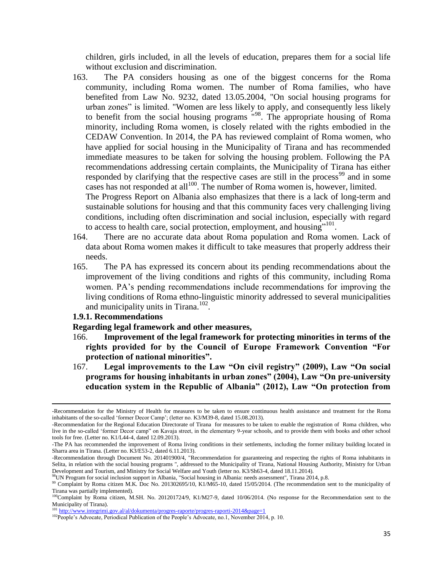children, girls included, in all the levels of education, prepares them for a social life without exclusion and discrimination.

163. The PA considers housing as one of the biggest concerns for the Roma community, including Roma women. The number of Roma families, who have benefited from Law No. 9232, dated 13.05.2004, "On social housing programs for urban zones" is limited. "Women are less likely to apply, and consequently less likely to benefit from the social housing programs "<sup>98</sup> . The appropriate housing of Roma minority, including Roma women, is closely related with the rights embodied in the CEDAW Convention. In 2014, the PA has reviewed complaint of Roma women, who have applied for social housing in the Municipality of Tirana and has recommended immediate measures to be taken for solving the housing problem. Following the PA recommendations addressing certain complaints, the Municipality of Tirana has either responded by clarifying that the respective cases are still in the process<sup>99</sup> and in some cases has not responded at all<sup>100</sup>. The number of Roma women is, however, limited.

The Progress Report on Albania also emphasizes that there is a lack of long-term and sustainable solutions for housing and that this community faces very challenging living conditions, including often discrimination and social inclusion, especially with regard to access to health care, social protection, employment, and housing $^{101}$ .

- 164. There are no accurate data about Roma population and Roma women. Lack of data about Roma women makes it difficult to take measures that properly address their needs.
- 165. The PA has expressed its concern about its pending recommendations about the improvement of the living conditions and rights of this community, including Roma women. PA's pending recommendations include recommendations for improving the living conditions of Roma ethno-linguistic minority addressed to several municipalities and municipality units in Tirana.<sup>102</sup>.

#### **1.9.1. Recommendations**

l

#### **Regarding legal framework and other measures,**

- 166. **Improvement of the legal framework for protecting minorities in terms of the rights provided for by the Council of Europe Framework Convention "For protection of national minorities".**
- 167. **Legal improvements to the Law "On civil registry" (2009), Law "On social programs for housing inhabitants in urban zones" (2004), Law "On pre-university education system in the Republic of Albania" (2012), Law "On protection from**

<sup>-</sup>Recommendation for the Ministry of Health for measures to be taken to ensure continuous health assistance and treatment for the Roma inhabitants of the so-called 'former Decor Camp'; (letter no. K3/M39-8, dated 15.08.2013).

<sup>-</sup>Recommendation for the Regional Education Directorate of Tirana for measures to be taken to enable the registration of Roma children, who live in the so-called 'former Decor camp" on Kavaja street, in the elementary 9-year schools, and to provide them with books and other school tools for free. (Letter no. K1/L44-4, dated 12.09.2013).

<sup>-</sup>The PA has recommended the improvement of Roma living conditions in their settlements, including the former military building located in Sharra area in Tirana. (Letter no. K3/E53-2, dated 6.11.2013).

<sup>-</sup>Recommendation through Document No. 201401900/4, "Recommendation for guaranteeing and respecting the rights of Roma inhabitants in Selita, in relation with the social housing programs ", addressed to the Municipality of Tirana, National Housing Authority, Ministry for Urban Development and Tourism, and Ministry for Social Welfare and Youth (letter no. K3/Sh63-4, dated 18.11.2014).

 $^{98}$ UN Program for social inclusion support in Albania, "Social housing in Albania: needs assessment", Tirana 2014, p.8.

<sup>&</sup>lt;sup>99</sup> Complaint by Roma citizen M.K. Doc No. 201302695/10, K1/M65-10, dated 15/05/2014. (The recommendation sent to the municipality of Tirana was partially implemented).

<sup>&</sup>lt;sup>100</sup>Complaint by Roma citizen, M.SH. No. 201201724/9, K1/M27-9, dated 10/06/2014. (No response for the Recommendation sent to the Municipality of Tirana).

<sup>&</sup>lt;sup>101</sup> <http://www.integrimi.gov.al/al/dokumenta/progres-raporte/progres-raporti-2014&page=1>

<sup>&</sup>lt;sup>102</sup>People's Advocate, Periodical Publication of the People's Advocate, no.1, November 2014, p. 10.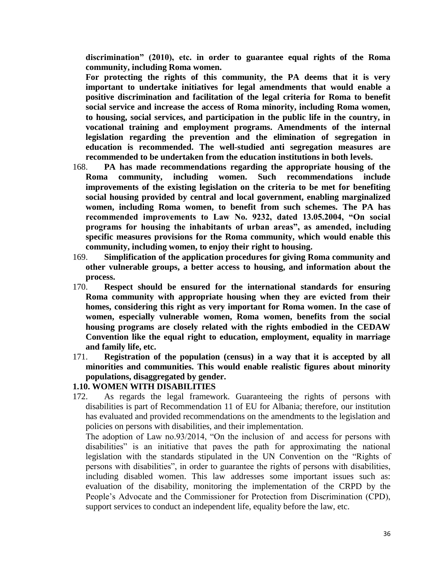**discrimination" (2010), etc. in order to guarantee equal rights of the Roma community, including Roma women.**

**For protecting the rights of this community, the PA deems that it is very important to undertake initiatives for legal amendments that would enable a positive discrimination and facilitation of the legal criteria for Roma to benefit social service and increase the access of Roma minority, including Roma women, to housing, social services, and participation in the public life in the country, in vocational training and employment programs. Amendments of the internal legislation regarding the prevention and the elimination of segregation in education is recommended. The well-studied anti segregation measures are recommended to be undertaken from the education institutions in both levels.**

- 168. **PA has made recommendations regarding the appropriate housing of the Roma community, including women. Such recommendations include improvements of the existing legislation on the criteria to be met for benefiting social housing provided by central and local government, enabling marginalized women, including Roma women, to benefit from such schemes. The PA has recommended improvements to Law No. 9232, dated 13.05.2004, "On social programs for housing the inhabitants of urban areas", as amended, including specific measures provisions for the Roma community, which would enable this community, including women, to enjoy their right to housing.**
- 169. **Simplification of the application procedures for giving Roma community and other vulnerable groups, a better access to housing, and information about the process.**
- 170. **Respect should be ensured for the international standards for ensuring Roma community with appropriate housing when they are evicted from their homes, considering this right as very important for Roma women. In the case of women, especially vulnerable women, Roma women, benefits from the social housing programs are closely related with the rights embodied in the CEDAW Convention like the equal right to education, employment, equality in marriage and family life, etc.**
- 171. **Registration of the population (census) in a way that it is accepted by all minorities and communities. This would enable realistic figures about minority populations, disaggregated by gender.**

## **1.10. WOMEN WITH DISABILITIES**

172. As regards the legal framework. Guaranteeing the rights of persons with disabilities is part of Recommendation 11 of EU for Albania; therefore, our institution has evaluated and provided recommendations on the amendments to the legislation and policies on persons with disabilities, and their implementation.

The adoption of Law no.93/2014, "On the inclusion of and access for persons with disabilities" is an initiative that paves the path for approximating the national legislation with the standards stipulated in the UN Convention on the "Rights of persons with disabilities", in order to guarantee the rights of persons with disabilities, including disabled women. This law addresses some important issues such as: evaluation of the disability, monitoring the implementation of the CRPD by the People's Advocate and the Commissioner for Protection from Discrimination (CPD), support services to conduct an independent life, equality before the law, etc.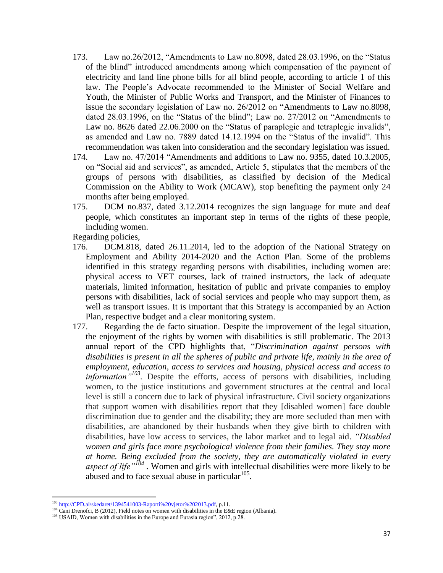- 173. Law no.26/2012, "Amendments to Law no.8098, dated 28.03.1996, on the "Status of the blind" introduced amendments among which compensation of the payment of electricity and land line phone bills for all blind people, according to article 1 of this law. The People's Advocate recommended to the Minister of Social Welfare and Youth, the Minister of Public Works and Transport, and the Minister of Finances to issue the secondary legislation of Law no. 26/2012 on "Amendments to Law no.8098, dated 28.03.1996, on the "Status of the blind"; Law no. 27/2012 on "Amendments to Law no. 8626 dated 22.06.2000 on the "Status of paraplegic and tetraplegic invalids", as amended and Law no. 7889 dated 14.12.1994 on the "Status of the invalid". This recommendation was taken into consideration and the secondary legislation was issued.
- 174. Law no. 47/2014 "Amendments and additions to Law no. 9355, dated 10.3.2005, on "Social aid and services", as amended, Article 5, stipulates that the members of the groups of persons with disabilities, as classified by decision of the Medical Commission on the Ability to Work (MCAW), stop benefiting the payment only 24 months after being employed.
- 175. DCM no.837, dated 3.12.2014 recognizes the sign language for mute and deaf people, which constitutes an important step in terms of the rights of these people, including women.

Regarding policies,

- 176. DCM.818, dated 26.11.2014, led to the adoption of the National Strategy on Employment and Ability 2014-2020 and the Action Plan. Some of the problems identified in this strategy regarding persons with disabilities, including women are: physical access to VET courses, lack of trained instructors, the lack of adequate materials, limited information, hesitation of public and private companies to employ persons with disabilities, lack of social services and people who may support them, as well as transport issues. It is important that this Strategy is accompanied by an Action Plan, respective budget and a clear monitoring system.
- 177. Regarding the de facto situation. Despite the improvement of the legal situation, the enjoyment of the rights by women with disabilities is still problematic. The 2013 annual report of the CPD highlights that, "*Discrimination against persons with disabilities is present in all the spheres of public and private life, mainly in the area of employment, education, access to services and housing, physical access and access to information*<sup>"103</sup>. Despite the efforts, access of persons with disabilities, including women, to the justice institutions and government structures at the central and local level is still a concern due to lack of physical infrastructure. Civil society organizations that support women with disabilities report that they [disabled women] face double discrimination due to gender and the disability; they are more secluded than men with disabilities, are abandoned by their husbands when they give birth to children with disabilities, have low access to services, the labor market and to legal aid. *"Disabled women and girls face more psychological violence from their families. They stay more at home. Being excluded from the society, they are automatically violated in every aspect of life"<sup>104</sup> .* Women and girls with intellectual disabilities were more likely to be abused and to face sexual abuse in particular $105$ .

 $\overline{\phantom{a}}$ <sup>103</sup> [http://CPD.al/skedaret/1394541003-Raporti%20vjetor%202013.pdf,](http://kmd.al/skedaret/1394541003-Raporti%20vjetor%202013.pdf) p.11.

 $104$  Cani Drenofci, B (2012), Field notes on women with disabilities in the E&E region (Albania).

<sup>&</sup>lt;sup>105</sup> USAID, Women with disabilities in the Europe and Eurasia region", 2012, p.28.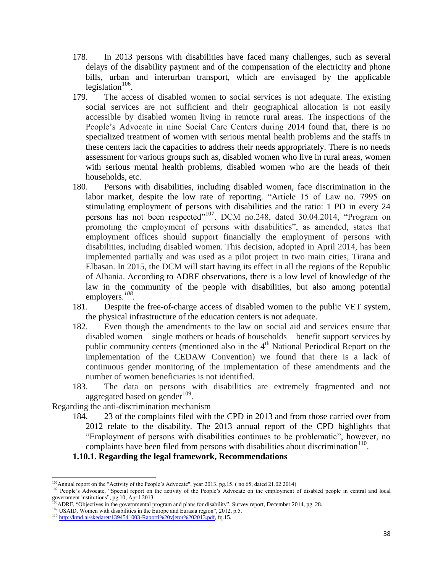- 178. In 2013 persons with disabilities have faced many challenges, such as several delays of the disability payment and of the compensation of the electricity and phone bills, urban and interurban transport, which are envisaged by the applicable legislation $106$ .
- 179. The access of disabled women to social services is not adequate. The existing social services are not sufficient and their geographical allocation is not easily accessible by disabled women living in remote rural areas. The inspections of the People's Advocate in nine Social Care Centers during 2014 found that, there is no specialized treatment of women with serious mental health problems and the staffs in these centers lack the capacities to address their needs appropriately. There is no needs assessment for various groups such as, disabled women who live in rural areas, women with serious mental health problems, disabled women who are the heads of their households, etc.
- 180. Persons with disabilities, including disabled women, face discrimination in the labor market, despite the low rate of reporting. "Article 15 of Law no. 7995 on stimulating employment of persons with disabilities and the ratio: 1 PD in every 24 persons has not been respected"<sup>107</sup>. DCM no.248, dated 30.04.2014, "Program on promoting the employment of persons with disabilities", as amended, states that employment offices should support financially the employment of persons with disabilities, including disabled women. This decision, adopted in April 2014, has been implemented partially and was used as a pilot project in two main cities, Tirana and Elbasan. In 2015, the DCM will start having its effect in all the regions of the Republic of Albania. According to ADRF observations, there is a low level of knowledge of the law in the community of the people with disabilities, but also among potential employers.*<sup>108</sup> .*
- 181. Despite the free-of-charge access of disabled women to the public VET system, the physical infrastructure of the education centers is not adequate.
- 182. Even though the amendments to the law on social aid and services ensure that disabled women – single mothers or heads of households – benefit support services by public community centers (mentioned also in the  $4<sup>th</sup>$  National Periodical Report on the implementation of the CEDAW Convention) we found that there is a lack of continuous gender monitoring of the implementation of these amendments and the number of women beneficiaries is not identified.
- 183. The data on persons with disabilities are extremely fragmented and not aggregated based on gender $109$ .

Regarding the anti-discrimination mechanism

 $\overline{a}$ 

184. 23 of the complaints filed with the CPD in 2013 and from those carried over from 2012 relate to the disability. The 2013 annual report of the CPD highlights that "Employment of persons with disabilities continues to be problematic", however, no complaints have been filed from persons with disabilities about discrimination $110$ .

#### **1.10.1. Regarding the legal framework, Recommendations**

<sup>&</sup>lt;sup>106</sup>Annual report on the "Activity of the People's Advocate", year 2013, pg.15. (no.65, dated 21.02.2014)

<sup>107</sup> People's Advocate, "Special report on the activity of the People's Advocate on the employment of disabled people in central and local government institutions", pg.10, April 2013.

<sup>108</sup>ADRF, "Objectives in the governmental program and plans for disability", Survey report, December 2014, pg. 28.

<sup>&</sup>lt;sup>109</sup> USAID, Women with disabilities in the Europe and Eurasia region", 2012, p.5.

<sup>110</sup> [http://kmd.al/skedaret/1394541003-Raporti%20vjetor%202013.pdf,](http://kmd.al/skedaret/1394541003-Raporti%20vjetor%202013.pdf) fq.15.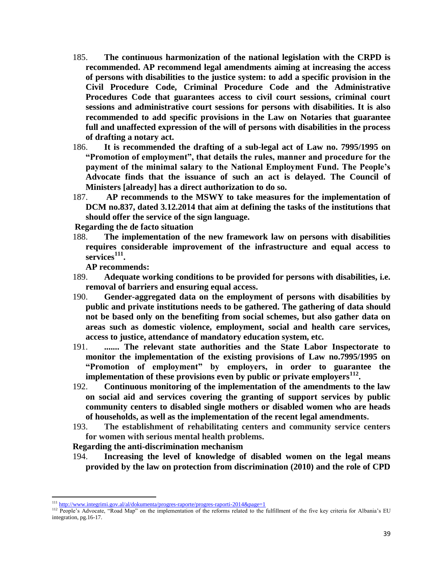- 185. **The continuous harmonization of the national legislation with the CRPD is recommended. AP recommend legal amendments aiming at increasing the access of persons with disabilities to the justice system: to add a specific provision in the Civil Procedure Code, Criminal Procedure Code and the Administrative Procedures Code that guarantees access to civil court sessions, criminal court sessions and administrative court sessions for persons with disabilities. It is also recommended to add specific provisions in the Law on Notaries that guarantee full and unaffected expression of the will of persons with disabilities in the process of drafting a notary act.**
- 186. **It is recommended the drafting of a sub-legal act of Law no. 7995/1995 on "Promotion of employment", that details the rules, manner and procedure for the payment of the minimal salary to the National Employment Fund. The People's Advocate finds that the issuance of such an act is delayed. The Council of Ministers [already] has a direct authorization to do so.**
- 187. **AP recommends to the MSWY to take measures for the implementation of DCM no.837, dated 3.12.2014 that aim at defining the tasks of the institutions that should offer the service of the sign language.**

**Regarding the de facto situation**

188. **The implementation of the new framework law on persons with disabilities requires considerable improvement of the infrastructure and equal access to services<sup>111</sup> .** 

**AP recommends:**

- 189. **Adequate working conditions to be provided for persons with disabilities, i.e. removal of barriers and ensuring equal access.**
- 190. **Gender-aggregated data on the employment of persons with disabilities by public and private institutions needs to be gathered. The gathering of data should not be based only on the benefiting from social schemes, but also gather data on areas such as domestic violence, employment, social and health care services, access to justice, attendance of mandatory education system, etc.**
- 191. **....... The relevant state authorities and the State Labor Inspectorate to monitor the implementation of the existing provisions of Law no.7995/1995 on "Promotion of employment" by employers, in order to guarantee the implementation of these provisions even by public or private employers<sup>112</sup> .**
- 192. **Continuous monitoring of the implementation of the amendments to the law on social aid and services covering the granting of support services by public community centers to disabled single mothers or disabled women who are heads of households, as well as the implementation of the recent legal amendments.**
- 193. **The establishment of rehabilitating centers and community service centers for women with serious mental health problems.**

**Regarding the anti-discrimination mechanism**

194. **Increasing the level of knowledge of disabled women on the legal means provided by the law on protection from discrimination (2010) and the role of CPD** 

<sup>&</sup>lt;sup>111</sup> <http://www.integrimi.gov.al/al/dokumenta/progres-raporte/progres-raporti-2014&page=1>

<sup>&</sup>lt;sup>112</sup> People's Advocate, "Road Map" on the implementation of the reforms related to the fulfillment of the five key criteria for Albania's EU integration, pg.16-17.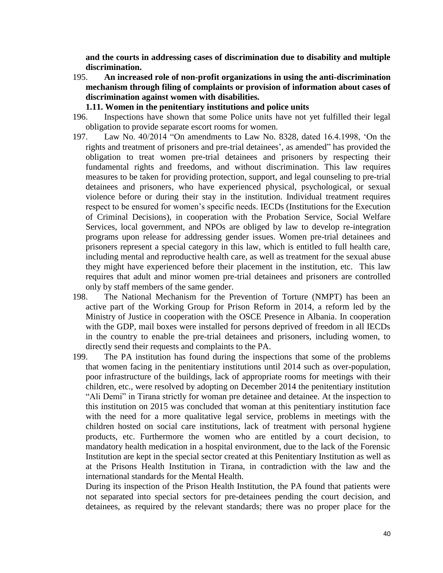**and the courts in addressing cases of discrimination due to disability and multiple discrimination.** 

- 195. **An increased role of non-profit organizations in using the anti-discrimination mechanism through filing of complaints or provision of information about cases of discrimination against women with disabilities.** 
	- **1.11. Women in the penitentiary institutions and police units**
- 196. Inspections have shown that some Police units have not yet fulfilled their legal obligation to provide separate escort rooms for women.
- 197. Law No. 40/2014 "On amendments to Law No. 8328, dated 16.4.1998, 'On the rights and treatment of prisoners and pre-trial detainees', as amended" has provided the obligation to treat women pre-trial detainees and prisoners by respecting their fundamental rights and freedoms, and without discrimination. This law requires measures to be taken for providing protection, support, and legal counseling to pre-trial detainees and prisoners, who have experienced physical, psychological, or sexual violence before or during their stay in the institution. Individual treatment requires respect to be ensured for women's specific needs. IECDs (Institutions for the Execution of Criminal Decisions), in cooperation with the Probation Service, Social Welfare Services, local government, and NPOs are obliged by law to develop re-integration programs upon release for addressing gender issues. Women pre-trial detainees and prisoners represent a special category in this law, which is entitled to full health care, including mental and reproductive health care, as well as treatment for the sexual abuse they might have experienced before their placement in the institution, etc. This law requires that adult and minor women pre-trial detainees and prisoners are controlled only by staff members of the same gender.
- 198. The National Mechanism for the Prevention of Torture (NMPT) has been an active part of the Working Group for Prison Reform in 2014, a reform led by the Ministry of Justice in cooperation with the OSCE Presence in Albania. In cooperation with the GDP, mail boxes were installed for persons deprived of freedom in all IECDs in the country to enable the pre-trial detainees and prisoners, including women, to directly send their requests and complaints to the PA.
- 199. The PA institution has found during the inspections that some of the problems that women facing in the penitentiary institutions until 2014 such as over-population, poor infrastructure of the buildings, lack of appropriate rooms for meetings with their children, etc., were resolved by adopting on December 2014 the penitentiary institution "Ali Demi" in Tirana strictly for woman pre detainee and detainee. At the inspection to this institution on 2015 was concluded that woman at this penitentiary institution face with the need for a more qualitative legal service, problems in meetings with the children hosted on social care institutions, lack of treatment with personal hygiene products, etc. Furthermore the women who are entitled by a court decision, to mandatory health medication in a hospital environment, due to the lack of the Forensic Institution are kept in the special sector created at this Penitentiary Institution as well as at the Prisons Health Institution in Tirana, in contradiction with the law and the international standards for the Mental Health.

During its inspection of the Prison Health Institution, the PA found that patients were not separated into special sectors for pre-detainees pending the court decision, and detainees, as required by the relevant standards; there was no proper place for the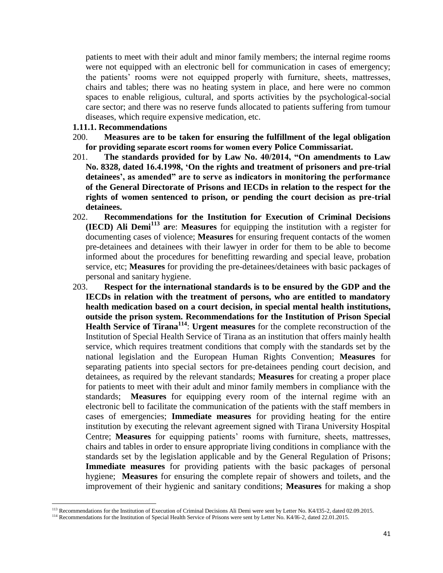patients to meet with their adult and minor family members; the internal regime rooms were not equipped with an electronic bell for communication in cases of emergency; the patients' rooms were not equipped properly with furniture, sheets, mattresses, chairs and tables; there was no heating system in place, and here were no common spaces to enable religious, cultural, and sports activities by the psychological-social care sector; and there was no reserve funds allocated to patients suffering from tumour diseases, which require expensive medication, etc.

#### **1.11.1. Recommendations**

l

- 200. **Measures are to be taken for ensuring the fulfillment of the legal obligation for providing separate escort rooms for women every Police Commissariat.**
- 201. **The standards provided for by Law No. 40/2014, "On amendments to Law No. 8328, dated 16.4.1998, 'On the rights and treatment of prisoners and pre-trial detainees', as amended" are to serve as indicators in monitoring the performance of the General Directorate of Prisons and IECDs in relation to the respect for the rights of women sentenced to prison, or pending the court decision as pre-trial detainees.**
- 202. **Recommendations for the Institution for Execution of Criminal Decisions (IECD) Ali Demi<sup>113</sup> ar**e: **Measures** for equipping the institution with a register for documenting cases of violence; **Measures** for ensuring frequent contacts of the women pre-detainees and detainees with their lawyer in order for them to be able to become informed about the procedures for benefitting rewarding and special leave, probation service, etc; **Measures** for providing the pre-detainees/detainees with basic packages of personal and sanitary hygiene.
- 203. **Respect for the international standards is to be ensured by the GDP and the IECDs in relation with the treatment of persons, who are entitled to mandatory health medication based on a court decision, in special mental health institutions, outside the prison system. Recommendations for the Institution of Prison Special Health Service of Tirana<sup>114</sup>** : **Urgent measures** for the complete reconstruction of the Institution of Special Health Service of Tirana as an institution that offers mainly health service, which requires treatment conditions that comply with the standards set by the national legislation and the European Human Rights Convention; **Measures** for separating patients into special sectors for pre-detainees pending court decision, and detainees, as required by the relevant standards; **Measures** for creating a proper place for patients to meet with their adult and minor family members in compliance with the standards; **Measures** for equipping every room of the internal regime with an electronic bell to facilitate the communication of the patients with the staff members in cases of emergencies; **Immediate measures** for providing heating for the entire institution by executing the relevant agreement signed with Tirana University Hospital Centre; **Measures** for equipping patients' rooms with furniture, sheets, mattresses, chairs and tables in order to ensure appropriate living conditions in compliance with the standards set by the legislation applicable and by the General Regulation of Prisons; **Immediate measures** for providing patients with the basic packages of personal hygiene; **Measures** for ensuring the complete repair of showers and toilets, and the improvement of their hygienic and sanitary conditions; **Measures** for making a shop

<sup>113</sup> Recommendations for the Institution of Execution of Criminal Decisions Ali Demi were sent by Letter No. K4/I35-2, dated 02.09.2015.

<sup>&</sup>lt;sup>114</sup> Recommendations for the Institution of Special Health Service of Prisons were sent by Letter No. K4/I6-2, dated 22.01.2015.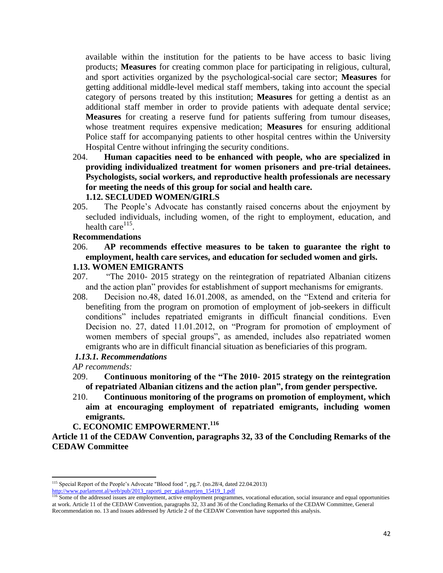available within the institution for the patients to be have access to basic living products; **Measures** for creating common place for participating in religious, cultural, and sport activities organized by the psychological-social care sector; **Measures** for getting additional middle-level medical staff members, taking into account the special category of persons treated by this institution; **Measures** for getting a dentist as an additional staff member in order to provide patients with adequate dental service; **Measures** for creating a reserve fund for patients suffering from tumour diseases, whose treatment requires expensive medication; **Measures** for ensuring additional Police staff for accompanying patients to other hospital centres within the University Hospital Centre without infringing the security conditions.

204. **Human capacities need to be enhanced with people, who are specialized in providing individualized treatment for women prisoners and pre-trial detainees. Psychologists, social workers, and reproductive health professionals are necessary for meeting the needs of this group for social and health care.**

### **1.12. SECLUDED WOMEN/GIRLS**

205. The People's Advocate has constantly raised concerns about the enjoyment by secluded individuals, including women, of the right to employment, education, and health care $^{115}$ .

# **Recommendations**

### 206. **AP recommends effective measures to be taken to guarantee the right to employment, health care services, and education for secluded women and girls. 1.13. WOMEN EMIGRANTS**

- 207. "The 2010- 2015 strategy on the reintegration of repatriated Albanian citizens and the action plan" provides for establishment of support mechanisms for emigrants.
- 208. Decision no.48, dated 16.01.2008, as amended, on the "Extend and criteria for benefiting from the program on promotion of employment of job-seekers in difficult conditions" includes repatriated emigrants in difficult financial conditions. Even Decision no. 27, dated 11.01.2012, on "Program for promotion of employment of women members of special groups", as amended, includes also repatriated women emigrants who are in difficult financial situation as beneficiaries of this program.

# *1.13.1. Recommendations*

*AP recommends:*

 $\overline{a}$ 

- 209. **Continuous monitoring of the "The 2010- 2015 strategy on the reintegration of repatriated Albanian citizens and the action plan", from gender perspective.**
- 210. **Continuous monitoring of the programs on promotion of employment, which aim at encouraging employment of repatriated emigrants, including women emigrants.**

# **C. ECONOMIC EMPOWERMENT.<sup>116</sup>**

**Article 11 of the CEDAW Convention, paragraphs 32, 33 of the Concluding Remarks of the CEDAW Committee** 

<sup>&</sup>lt;sup>115</sup> Special Report of the People's Advocate "Blood food ", pg.7. (no.28/4, dated 22.04.2013) [http://www.parlament.al/web/pub/2013\\_raporti\\_per\\_gjakmarrjen\\_15419\\_1.pdf](http://www.parlament.al/web/pub/2013_raporti_per_gjakmarrjen_15419_1.pdf)

<sup>&</sup>lt;sup>116</sup> Some of the addressed issues are employment, active employment programmes, vocational education, social insurance and equal opportunities at work. Article 11 of the CEDAW Convention, paragraphs 32, 33 and 36 of the Concluding Remarks of the CEDAW Committee, General Recommendation no. 13 and issues addressed by Article 2 of the CEDAW Convention have supported this analysis.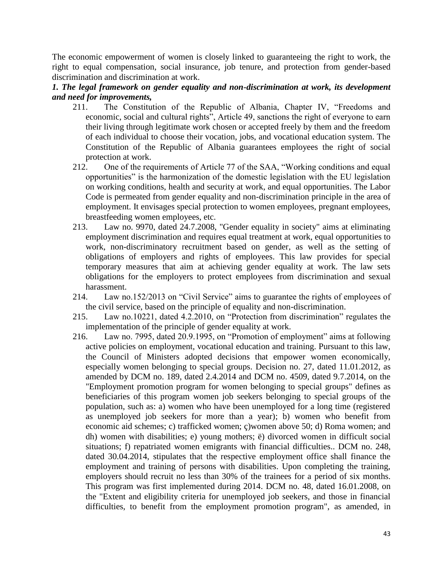The economic empowerment of women is closely linked to guaranteeing the right to work, the right to equal compensation, social insurance, job tenure, and protection from gender-based discrimination and discrimination at work.

*1. The legal framework on gender equality and non-discrimination at work, its development and need for improvements,*

- 211. The Constitution of the Republic of Albania, Chapter IV, "Freedoms and economic, social and cultural rights", Article 49, sanctions the right of everyone to earn their living through legitimate work chosen or accepted freely by them and the freedom of each individual to choose their vocation, jobs, and vocational education system. The Constitution of the Republic of Albania guarantees employees the right of social protection at work.
- 212. One of the requirements of Article 77 of the SAA, "Working conditions and equal opportunities" is the harmonization of the domestic legislation with the EU legislation on working conditions, health and security at work, and equal opportunities. The Labor Code is permeated from gender equality and non-discrimination principle in the area of employment. It envisages special protection to women employees, pregnant employees, breastfeeding women employees, etc.
- 213. Law no. 9970, dated 24.7.2008, "Gender equality in society" aims at eliminating employment discrimination and requires equal treatment at work, equal opportunities to work, non-discriminatory recruitment based on gender, as well as the setting of obligations of employers and rights of employees. This law provides for special temporary measures that aim at achieving gender equality at work. The law sets obligations for the employers to protect employees from discrimination and sexual harassment.
- 214. Law no.152/2013 on "Civil Service" aims to guarantee the rights of employees of the civil service, based on the principle of equality and non-discrimination.
- 215. Law no.10221, dated 4.2.2010, on "Protection from discrimination" regulates the implementation of the principle of gender equality at work.
- 216. Law no. 7995, dated 20.9.1995, on "Promotion of employment" aims at following active policies on employment, vocational education and training. Pursuant to this law, the Council of Ministers adopted decisions that empower women economically, especially women belonging to special groups. Decision no. 27, dated 11.01.2012, as amended by DCM no. 189, dated 2.4.2014 and DCM no. 4509, dated 9.7.2014, on the "Employment promotion program for women belonging to special groups" defines as beneficiaries of this program women job seekers belonging to special groups of the population, such as: a) women who have been unemployed for a long time (registered as unemployed job seekers for more than a year); b) women who benefit from economic aid schemes; c) trafficked women; ç)women above 50; d) Roma women; and dh) women with disabilities; e) young mothers; ë) divorced women in difficult social situations; f) repatriated women emigrants with financial difficulties.. DCM no. 248, dated 30.04.2014, stipulates that the respective employment office shall finance the employment and training of persons with disabilities. Upon completing the training, employers should recruit no less than 30% of the trainees for a period of six months. This program was first implemented during 2014. DCM no. 48, dated 16.01.2008, on the "Extent and eligibility criteria for unemployed job seekers, and those in financial difficulties, to benefit from the employment promotion program", as amended, in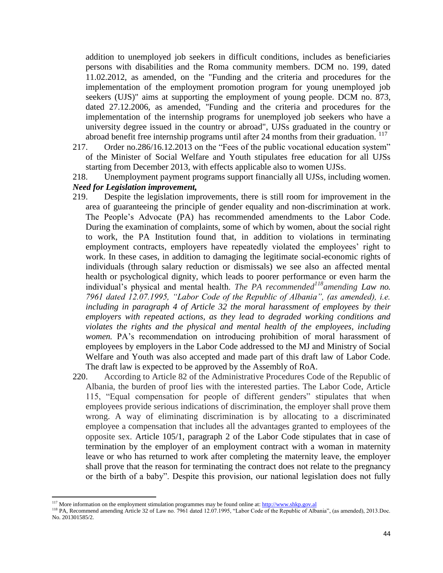addition to unemployed job seekers in difficult conditions, includes as beneficiaries persons with disabilities and the Roma community members. DCM no. 199, dated 11.02.2012, as amended, on the "Funding and the criteria and procedures for the implementation of the employment promotion program for young unemployed job seekers (UJS)" aims at supporting the employment of young people. DCM no. 873, dated 27.12.2006, as amended, "Funding and the criteria and procedures for the implementation of the internship programs for unemployed job seekers who have a university degree issued in the country or abroad", UJSs graduated in the country or abroad benefit free internship programs until after 24 months from their graduation.  $117$ 

- 217. Order no.286/16.12.2013 on the "Fees of the public vocational education system" of the Minister of Social Welfare and Youth stipulates free education for all UJSs starting from December 2013, with effects applicable also to women UJSs.
- 218. Unemployment payment programs support financially all UJSs, including women. *Need for Legislation improvement,*
- 219. Despite the legislation improvements, there is still room for improvement in the area of guaranteeing the principle of gender equality and non-discrimination at work. The People's Advocate (PA) has recommended amendments to the Labor Code. During the examination of complaints, some of which by women, about the social right to work, the PA Institution found that, in addition to violations in terminating employment contracts, employers have repeatedly violated the employees' right to work. In these cases, in addition to damaging the legitimate social-economic rights of individuals (through salary reduction or dismissals) we see also an affected mental health or psychological dignity, which leads to poorer performance or even harm the individual's physical and mental health. *The PA recommended<sup>118</sup>amending Law no. 7961 dated 12.07.1995, "Labor Code of the Republic of Albania", (as amended), i.e. including in paragraph 4 of Article 32 the moral harassment of employees by their employers with repeated actions, as they lead to degraded working conditions and violates the rights and the physical and mental health of the employees, including women.* PA's recommendation on introducing prohibition of moral harassment of employees by employers in the Labor Code addressed to the MJ and Ministry of Social Welfare and Youth was also accepted and made part of this draft law of Labor Code. The draft law is expected to be approved by the Assembly of RoA.
- 220. According to Article 82 of the Administrative Procedures Code of the Republic of Albania, the burden of proof lies with the interested parties. The Labor Code, Article 115, "Equal compensation for people of different genders" stipulates that when employees provide serious indications of discrimination, the employer shall prove them wrong. A way of eliminating discrimination is by allocating to a discriminated employee a compensation that includes all the advantages granted to employees of the opposite sex. Article 105/1, paragraph 2 of the Labor Code stipulates that in case of termination by the employer of an employment contract with a woman in maternity leave or who has returned to work after completing the maternity leave, the employer shall prove that the reason for terminating the contract does not relate to the pregnancy or the birth of a baby". Despite this provision, our national legislation does not fully

<sup>&</sup>lt;sup>117</sup> More information on the employment stimulation programmes may be found online at: http://www.shkp.gov.al

<sup>&</sup>lt;sup>118</sup> PA, Recommend amending Article 32 of Law no. 7961 dated 12.07.1995, "Labor Code of the Republic of Albania", (as amended), 2013.Doc. No. 201301585/2.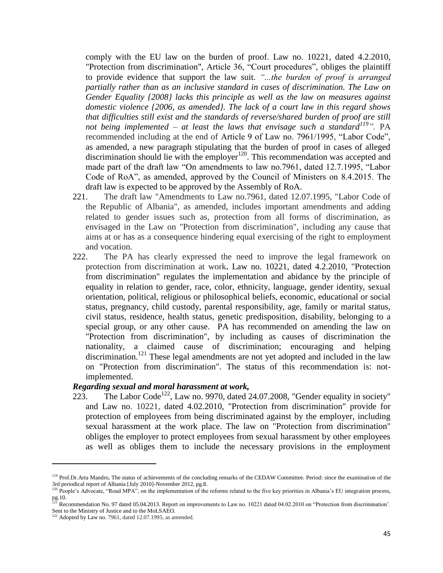comply with the EU law on the burden of proof. Law no. 10221, dated 4.2.2010, "Protection from discrimination", Article 36, "Court procedures", obliges the plaintiff to provide evidence that support the law suit. *"...the burden of proof is arranged partially rather than as an inclusive standard in cases of discrimination. The Law on Gender Equality {2008} lacks this principle as well as the law on measures against domestic violence {2006, as amended}. The lack of a court law in this regard shows that difficulties still exist and the standards of reverse/shared burden of proof are still not being implemented – at least the laws that envisage such a standard<sup>119</sup>".* PA recommended including at the end of Article 9 of Law no. 7961/1995, "Labor Code", as amended, a new paragraph stipulating that the burden of proof in cases of alleged discrimination should lie with the employer $120$ . This recommendation was accepted and made part of the draft law "On amendments to law no.7961, dated 12.7.1995, "Labor Code of RoA", as amended, approved by the Council of Ministers on 8.4.2015. The draft law is expected to be approved by the Assembly of RoA.

- 221. The draft law "Amendments to Law no.7961, dated 12.07.1995, "Labor Code of the Republic of Albania", as amended, includes important amendments and adding related to gender issues such as, protection from all forms of discrimination, as envisaged in the Law on "Protection from discrimination", including any cause that aims at or has as a consequence hindering equal exercising of the right to employment and vocation.
- 222. The PA has clearly expressed the need to improve the legal framework on protection from discrimination at work**.** Law no. 10221, dated 4.2.2010, "Protection from discrimination" regulates the implementation and abidance by the principle of equality in relation to gender, race, color, ethnicity, language, gender identity, sexual orientation, political, religious or philosophical beliefs, economic, educational or social status, pregnancy, child custody, parental responsibility, age, family or marital status, civil status, residence, health status, genetic predisposition, disability, belonging to a special group, or any other cause. PA has recommended on amending the law on "Protection from discrimination", by including as causes of discrimination the nationality, a claimed cause of discrimination; encouraging and helping discrimination.<sup>121</sup> These legal amendments are not yet adopted and included in the law on "Protection from discrimination". The status of this recommendation is: notimplemented.

### *Regarding sexual and moral harassment at work,*

223. The Labor Code<sup>122</sup>, Law no. 9970, dated 24.07.2008, "Gender equality in society" and Law no. 10221, dated 4.02.2010, "Protection from discrimination" provide for protection of employees from being discriminated against by the employer, including sexual harassment at the work place. The law on "Protection from discrimination" obliges the employer to protect employees from sexual harassment by other employees as well as obliges them to include the necessary provisions in the employment

 $\overline{a}$ 

<sup>&</sup>lt;sup>119</sup> Prof.Dr.Arta Mandro, The status of achievements of the concluding remarks of the CEDAW Committee. Period: since the examination of the 3rd periodical report of Albania [July 2010]-November 2012, pg.8.

<sup>&</sup>lt;sup>120</sup> People's Advocate, "Road MPA", on the implementation of the reforms related to the five key priorities in Albania's EU integration process, pg.10.

<sup>&</sup>lt;sup>121</sup> Recommendation No. 97 dated 05.04.2013. Report on improvements to Law no. 10221 dated 04.02.2010 on "Protection from discrimination'. Sent to the Ministry of Justice and to the MoLSAEO.

 $122$  Adopted by Law no. 7961, dated 12.07.1995, as amended.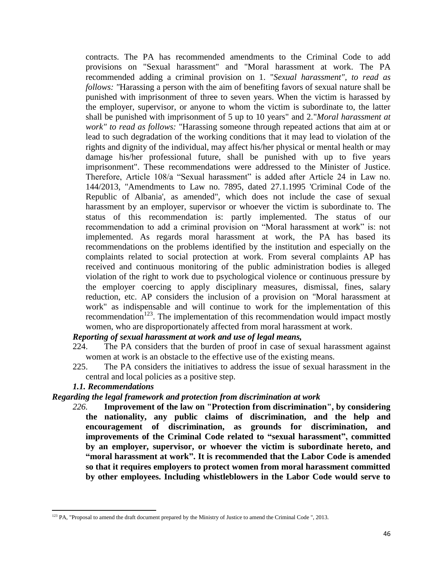contracts. The PA has recommended amendments to the Criminal Code to add provisions on "Sexual harassment" and "Moral harassment at work. The PA recommended adding a criminal provision on 1. "*Sexual harassment", to read as follows: "*Harassing a person with the aim of benefiting favors of sexual nature shall be punished with imprisonment of three to seven years. When the victim is harassed by the employer, supervisor, or anyone to whom the victim is subordinate to, the latter shall be punished with imprisonment of 5 up to 10 years" and 2."*Moral harassment at work" to read as follows:* "Harassing someone through repeated actions that aim at or lead to such degradation of the working conditions that it may lead to violation of the rights and dignity of the individual, may affect his/her physical or mental health or may damage his/her professional future, shall be punished with up to five years imprisonment". These recommendations were addressed to the Minister of Justice. Therefore, Article 108/a "Sexual harassment" is added after Article 24 in Law no. 144/2013, "Amendments to Law no. 7895, dated 27.1.1995 'Criminal Code of the Republic of Albania', as amended", which does not include the case of sexual harassment by an employer, supervisor or whoever the victim is subordinate to. The status of this recommendation is: partly implemented. The status of our recommendation to add a criminal provision on "Moral harassment at work" is: not implemented. As regards moral harassment at work, the PA has based its recommendations on the problems identified by the institution and especially on the complaints related to social protection at work. From several complaints AP has received and continuous monitoring of the public administration bodies is alleged violation of the right to work due to psychological violence or continuous pressure by the employer coercing to apply disciplinary measures, dismissal, fines, salary reduction, etc. AP considers the inclusion of a provision on "Moral harassment at work" as indispensable and will continue to work for the implementation of this recommendation $123$ . The implementation of this recommendation would impact mostly women, who are disproportionately affected from moral harassment at work.

### *Reporting of sexual harassment at work and use of legal means,*

- 224. The PA considers that the burden of proof in case of sexual harassment against women at work is an obstacle to the effective use of the existing means.
- 225. The PA considers the initiatives to address the issue of sexual harassment in the central and local policies as a positive step.

### *1.1. Recommendations*

### *Regarding the legal framework and protection from discrimination at work*

*226.* **Improvement of the law on "Protection from discrimination", by considering the nationality, any public claims of discrimination, and the help and encouragement of discrimination, as grounds for discrimination, and improvements of the Criminal Code related to "sexual harassment", committed by an employer, supervisor, or whoever the victim is subordinate hereto, and "moral harassment at work". It is recommended that the Labor Code is amended so that it requires employers to protect women from moral harassment committed by other employees. Including whistleblowers in the Labor Code would serve to** 

 $\overline{\phantom{a}}$  $123$  PA, "Proposal to amend the draft document prepared by the Ministry of Justice to amend the Criminal Code ", 2013.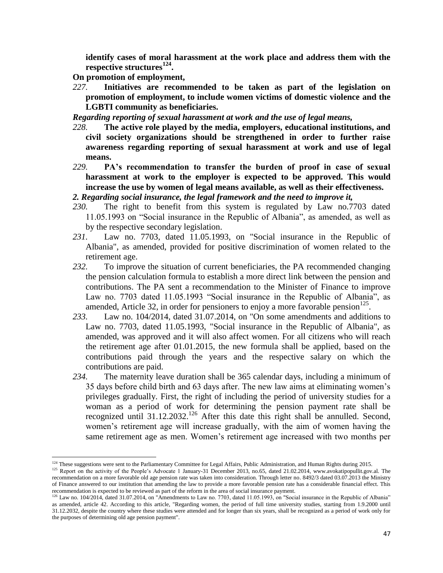**identify cases of moral harassment at the work place and address them with the respective structures<sup>124</sup> .**

**On promotion of employment,**

 $\overline{\phantom{a}}$ 

*227.* **Initiatives are recommended to be taken as part of the legislation on promotion of employment, to include women victims of domestic violence and the LGBTI community as beneficiaries.**

*Regarding reporting of sexual harassment at work and the use of legal means,*

- *228.* **The active role played by the media, employers, educational institutions, and civil society organizations should be strengthened in order to further raise awareness regarding reporting of sexual harassment at work and use of legal means.**
- *229.* **PA's recommendation to transfer the burden of proof in case of sexual harassment at work to the employer is expected to be approved. This would increase the use by women of legal means available, as well as their effectiveness.**

*2. Regarding social insurance, the legal framework and the need to improve it,*

- *230.* The right to benefit from this system is regulated by Law no.7703 dated 11.05.1993 on "Social insurance in the Republic of Albania", as amended, as well as by the respective secondary legislation.
- *231.* Law no. 7703, dated 11.05.1993, on "Social insurance in the Republic of Albania", as amended, provided for positive discrimination of women related to the retirement age.
- *232.* To improve the situation of current beneficiaries, the PA recommended changing the pension calculation formula to establish a more direct link between the pension and contributions. The PA sent a recommendation to the Minister of Finance to improve Law no. 7703 dated 11.05.1993 "Social insurance in the Republic of Albania", as amended, Article 32, in order for pensioners to enjoy a more favorable pension<sup>125</sup>.
- *233.* Law no. 104/2014, dated 31.07.2014, on "On some amendments and additions to Law no. 7703, dated 11.05.1993, "Social insurance in the Republic of Albania", as amended, was approved and it will also affect women. For all citizens who will reach the retirement age after 01.01.2015, the new formula shall be applied, based on the contributions paid through the years and the respective salary on which the contributions are paid.
- *234.* The maternity leave duration shall be 365 calendar days, including a minimum of 35 days before child birth and 63 days after. The new law aims at eliminating women's privileges gradually. First, the right of including the period of university studies for a woman as a period of work for determining the pension payment rate shall be recognized until 31.12.2032.<sup>126</sup> After this date this right shall be annulled. Second, women's retirement age will increase gradually, with the aim of women having the same retirement age as men. Women's retirement age increased with two months per

<sup>&</sup>lt;sup>124</sup> These suggestions were sent to the Parliamentary Committee for Legal Affairs, Public Administration, and Human Rights during 2015.

<sup>&</sup>lt;sup>125</sup> Report on the activity of the People's Advocate 1 January-31 December 2013, no.65, dated 21.02.2014, www.avokatipopullit.gov.al. The recommendation on a more favorable old age pension rate was taken into consideration. Through letter no. 8492/3 dated 03.07.2013 the Ministry of Finance answered to our institution that amending the law to provide a more favorable pension rate has a considerable financial effect. This recommendation is expected to be reviewed as part of the reform in the area of social insurance payment.

 $126$  Law no. 104/2014, dated 31.07.2014, on "Amendments to Law no. 7703, dated 11.05.1993, on "Social insurance in the Republic of Albania" as amended, article 42. According to this article, "Regarding women, the period of full time university studies, starting from 1.9.2000 until 31.12.2032, despite the country where these studies were attended and for longer than six years, shall be recognized as a period of work only for the purposes of determining old age pension payment".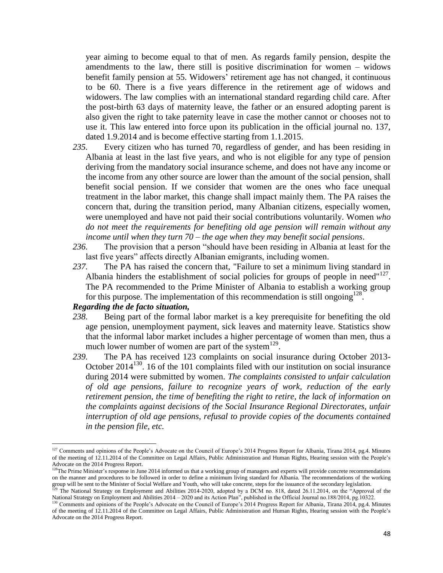year aiming to become equal to that of men. As regards family pension, despite the amendments to the law, there still is positive discrimination for women – widows benefit family pension at 55. Widowers' retirement age has not changed, it continuous to be 60. There is a five years difference in the retirement age of widows and widowers. The law complies with an international standard regarding child care. After the post-birth 63 days of maternity leave, the father or an ensured adopting parent is also given the right to take paternity leave in case the mother cannot or chooses not to use it. This law entered into force upon its publication in the official journal no. 137, dated 1.9.2014 and is become effective starting from 1.1.2015.

- *235.* Every citizen who has turned 70, regardless of gender, and has been residing in Albania at least in the last five years, and who is not eligible for any type of pension deriving from the mandatory social insurance scheme, and does not have any income or the income from any other source are lower than the amount of the social pension, shall benefit social pension. If we consider that women are the ones who face unequal treatment in the labor market, this change shall impact mainly them. The PA raises the concern that, during the transition period, many Albanian citizens, especially women, were unemployed and have not paid their social contributions voluntarily. Women *who do not meet the requirements for benefiting old age pension will remain without any income until when they turn 70 – the age when they may benefit social pensions*.
- *236.* The provision that a person "should have been residing in Albania at least for the last five years" affects directly Albanian emigrants, including women.
- *237.* The PA has raised the concern that, "Failure to set a minimum living standard in Albania hinders the establishment of social policies for groups of people in need" $127$ . The PA recommended to the Prime Minister of Albania to establish a working group for this purpose. The implementation of this recommendation is still ongoing  $128$ .

# *Regarding the de facto situation,*

- *238.* Being part of the formal labor market is a key prerequisite for benefiting the old age pension, unemployment payment, sick leaves and maternity leave. Statistics show that the informal labor market includes a higher percentage of women than men, thus a much lower number of women are part of the system $^{129}$ .
- *239.* The PA has received 123 complaints on social insurance during October 2013- October 2014<sup>130</sup>. 16 of the 101 complaints filed with our institution on social insurance during 2014 were submitted by women. *The complaints consisted to unfair calculation of old age pensions, failure to recognize years of work, reduction of the early retirement pension, the time of benefiting the right to retire, the lack of information on the complaints against decisions of the Social Insurance Regional Directorates, unfair interruption of old age pensions, refusal to provide copies of the documents contained in the pension file, etc.*

<sup>&</sup>lt;sup>127</sup> Comments and opinions of the People's Advocate on the Council of Europe's 2014 Progress Report for Albania, Tirana 2014, pg.4. Minutes of the meeting of 12.11.2014 of the Committee on Legal Affairs, Public Administration and Human Rights, Hearing session with the People's Advocate on the 2014 Progress Report.

<sup>&</sup>lt;sup>128</sup>The Prime Minister's response in June 2014 informed us that a working group of managers and experts will provide concrete recommendations on the manner and procedures to be followed in order to define a minimum living standard for Albania. The recommendations of the working group will be sent to the Minister of Social Welfare and Youth, who will take concrete, steps for the issuance of the secondary legislation.

<sup>&</sup>lt;sup>129</sup> The National Strategy on Employment and Abilities 2014-2020, adopted by a DCM no. 818, dated 26.11.2014, on the "Approval of the National Strategy on Employment and Abilities 2014 – 2020 and its Action Plan", published in the Official Journal no.188/2014, pg.10322.

<sup>130</sup> Comments and opinions of the People's Advocate on the Council of Europe's 2014 Progress Report for Albania, Tirana 2014, pg.4. Minutes of the meeting of 12.11.2014 of the Committee on Legal Affairs, Public Administration and Human Rights, Hearing session with the People's Advocate on the 2014 Progress Report.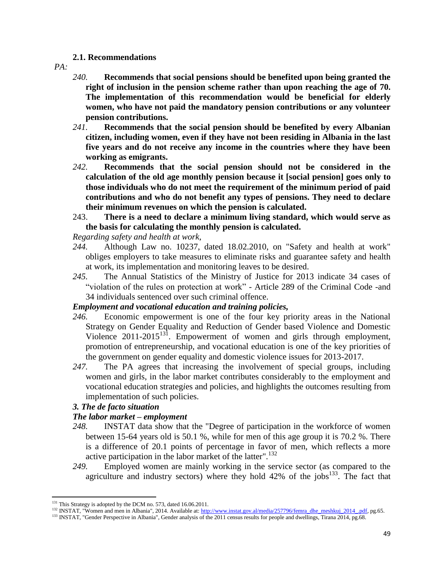### **2.1. Recommendations**

*PA:*

- *240.* **Recommends that social pensions should be benefited upon being granted the right of inclusion in the pension scheme rather than upon reaching the age of 70. The implementation of this recommendation would be beneficial for elderly women, who have not paid the mandatory pension contributions or any volunteer pension contributions.**
- *241.* **Recommends that the social pension should be benefited by every Albanian citizen, including women, even if they have not been residing in Albania in the last five years and do not receive any income in the countries where they have been working as emigrants.**
- *242.* **Recommends that the social pension should not be considered in the calculation of the old age monthly pension because it [social pension] goes only to those individuals who do not meet the requirement of the minimum period of paid contributions and who do not benefit any types of pensions. They need to declare their minimum revenues on which the pension is calculated.**
- 243. **There is a need to declare a minimum living standard, which would serve as the basis for calculating the monthly pension is calculated.**

# *Regarding safety and health at work,*

- *244.* Although Law no. 10237, dated 18.02.2010, on "Safety and health at work" obliges employers to take measures to eliminate risks and guarantee safety and health at work, its implementation and monitoring leaves to be desired.
- *245.* The Annual Statistics of the Ministry of Justice for 2013 indicate 34 cases of "violation of the rules on protection at work" - Article 289 of the Criminal Code -and 34 individuals sentenced over such criminal offence.

# *Employment and vocational education and training policies,*

- *246.* Economic empowerment is one of the four key priority areas in the National Strategy on Gender Equality and Reduction of Gender based Violence and Domestic Violence 2011-2015<sup>131</sup>. Empowerment of women and girls through employment, promotion of entrepreneurship, and vocational education is one of the key priorities of the government on gender equality and domestic violence issues for 2013-2017.
- *247.* The PA agrees that increasing the involvement of special groups, including women and girls, in the labor market contributes considerably to the employment and vocational education strateg*i*es and policies, and highlights the outcomes resulting from implementation of such policies.

# *3. The de facto situation*

# *The labor market – employment*

- *248.* INSTAT data show that the "Degree of participation in the workforce of women between 15-64 years old is 50.1 %, while for men of this age group it is 70.2 %. There is a difference of 20.1 points of percentage in favor of men, which reflects a more active participation in the labor market of the latter".<sup>132</sup>
- *249.* Employed women are mainly working in the service sector (as compared to the agriculture and industry sectors) where they hold  $42\%$  of the jobs<sup>133</sup>. The fact that

<sup>&</sup>lt;sup>131</sup> This Strategy is adopted by the DCM no. 573, dated 16.06.2011.

<sup>&</sup>lt;sup>132</sup> INSTAT, "Women and men in Albania", 2014. Available at: [http://www.instat.gov.al/media/257796/femra\\_dhe\\_meshkuj\\_2014\\_.pdf,](http://www.instat.gov.al/media/257796/femra_dhe_meshkuj_2014_.pdf) pg.65.

<sup>&</sup>lt;sup>133</sup> INSTAT, "Gender Perspective in Albania", Gender analysis of the 2011 census results for people and dwellings, Tirana 2014, pg.68.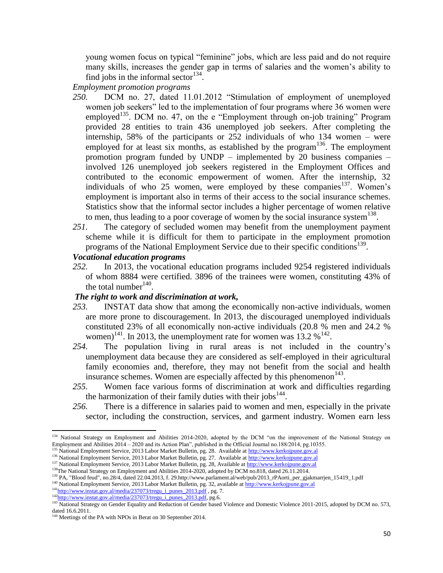young women focus on typical "feminine" jobs, which are less paid and do not require many skills, increases the gender gap in terms of salaries and the women's ability to find jobs in the informal sector $134$ .

*Employment promotion programs*

- *250.* DCM no. 27, dated 11.01.2012 "Stimulation of employment of unemployed women job seekers" led to the implementation of four programs where 36 women were employed<sup>135</sup>. DCM no. 47, on the e "Employment through on-job training" Program provided 28 entities to train 436 unemployed job seekers. After completing the internship, 58% of the participants or 252 individuals of who 134 women – were employed for at least six months, as established by the program<sup>136</sup>. The employment promotion program funded by UNDP – implemented by 20 business companies – involved 126 unemployed job seekers registered in the Employment Offices and contributed to the economic empowerment of women. After the internship, 32 individuals of who 25 women, were employed by these companies<sup>137</sup>. Women's employment is important also in terms of their access to the social insurance schemes. Statistics show that the informal sector includes a higher percentage of women relative to men, thus leading to a poor coverage of women by the social insurance system  $138$ .
- *251.* The category of secluded women may benefit from the unemployment payment scheme while it is difficult for them to participate in the employment promotion programs of the National Employment Service due to their specific conditions<sup>139</sup>.

# *Vocational education programs*

*252.* In 2013, the vocational education programs included 9254 registered individuals of whom 8884 were certified. 3896 of the trainees were women, constituting 43% of the total number  $140$ .

# *The right to work and discrimination at work,*

- *253.* INSTAT data show that among the economically non-active individuals, women are more prone to discouragement. In 2013, the discouraged unemployed individuals constituted 23% of all economically non-active individuals (20.8 % men and 24.2 % women)<sup>141</sup>. In 2013, the unemployment rate for women was  $13.2\%$ <sup>142</sup>.
- *254.* The population living in rural areas is not included in the country's unemployment data because they are considered as self-employed in their agricultural family economies and, therefore, they may not benefit from the social and health insurance schemes. Women are especially affected by this phenomenon $143$ .
- *255.* Women face various forms of discrimination at work and difficulties regarding the harmonization of their family duties with their jobs $^{144}$ .
- *256.* There is a difference in salaries paid to women and men, especially in the private sector, including the construction, services, and garment industry. Women earn less

 $\overline{\phantom{a}}$ <sup>134</sup> National Strategy on Employment and Abilities 2014-2020, adopted by the DCM "on the improvement of the National Strategy on Employment and Abilities 2014 – 2020 and its Action Plan", published in the Official Journal no.188/2014, pg.10355.

National Employment Service, 2013 Labor Market Bulletin, pg. 28. Available a[t http://www.kerkojpune.gov.al](http://www.kerkojpune.gov.al/)

<sup>&</sup>lt;sup>136</sup> National Employment Service, 2013 Labor Market Bulletin, pg. 27. Available a[t http://www.kerkojpune.gov.al](http://www.kerkojpune.gov.al/) <sup>137</sup> National Employment Service, 2013 Labor Market Bulletin, pg. 28, Available a[t http://www.kerkojpune.gov.al](http://www.kerkojpune.gov.al/)

<sup>&</sup>lt;sup>138</sup>The National Strategy on Employment and Abilities 2014-2020, adopted by DCM no.818, dated 26.11.2014.

<sup>&</sup>lt;sup>139</sup> PA, "Blood feud", no.28/4, dated 22.04.2013, f. 29.http://www.parlament.al/web/pub/2013\_rPAorti\_per\_gjakmarrjen\_15419\_1.pdf

<sup>&</sup>lt;sup>140</sup> National Employment Service, 2013 Labor Market Bulletin, pg. 32, available at [http://www.kerkojpune.gov.al](http://www.kerkojpune.gov.al/)

 $141$ <sub>[http://www.instat.gov.al/media/237073/tregu\\_i\\_punes\\_2013.pdf](http://www.instat.gov.al/media/237073/tregu_i_punes_2013.pdf)</sup>, pg. 7.</sub>

 $142$ <sub>[http://www.instat.gov.al/media/237073/tregu\\_i\\_punes\\_2013.pdf,](http://www.instat.gov.al/media/237073/tregu_i_punes_2013.pdf) pg.6.</sub>

<sup>&</sup>lt;sup>143</sup> National Strategy on Gender Equality and Reduction of Gender based Violence and Domestic Violence 2011-2015, adopted by DCM no. 573, dated 16.6.2011.

<sup>&</sup>lt;sup>144</sup> Meetings of the PA with NPOs in Berat on 30 September 2014.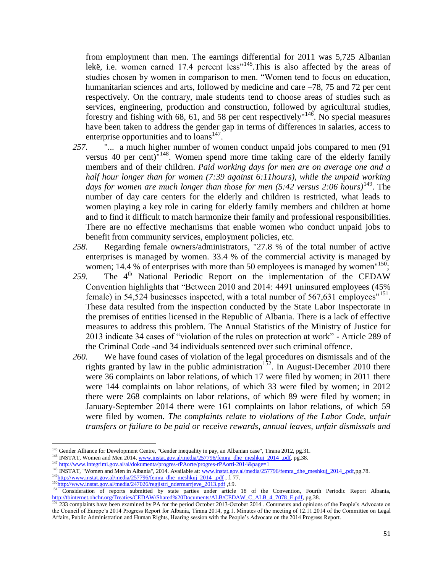from employment than men. The earnings differential for 2011 was 5,725 Albanian lekë, i.e. women earned 17.4 percent less"<sup>145</sup>. This is also affected by the areas of studies chosen by women in comparison to men. "Women tend to focus on education, humanitarian sciences and arts, followed by medicine and care –78, 75 and 72 per cent respectively. On the contrary, male students tend to choose areas of studies such as services, engineering, production and construction, followed by agricultural studies, forestry and fishing with 68, 61, and 58 per cent respectively<sup> $n^{146}$ </sup>. No special measures have been taken to address the gender gap in terms of differences in salaries, access to enterprise opportunities and to  $\text{loans}^{147}$ .

- *257.* "... a much higher number of women conduct unpaid jobs compared to men (91 versus 40 per cent)<sup>"148</sup>. Women spend more time taking care of the elderly family members and of their children. *Paid working days for men are on average one and a half hour longer than for women (7:39 against 6:11hours), while the unpaid working days for women are much longer than those for men (5:42 versus 2:06 hours)*<sup>149</sup>. The number of day care centers for the elderly and children is restricted, what leads to women playing a key role in caring for elderly family members and children at home and to find it difficult to match harmonize their family and professional responsibilities. There are no effective mechanisms that enable women who conduct unpaid jobs to benefit from community services, employment policies, etc.
- *258.* Regarding female owners/administrators, "27.8 % of the total number of active enterprises is managed by women. 33.4 % of the commercial activity is managed by women; 14.4 % of enterprises with more than 50 employees is managed by women<sup> $150$ </sup>;
- 259. The  $4<sup>th</sup>$  National Periodic Report on the implementation of the CEDAW Convention highlights that "Between 2010 and 2014: 4491 uninsured employees (45% female) in 54,524 businesses inspected, with a total number of 567,631 employees<sup> $151$ </sup>. These data resulted from the inspection conducted by the State Labor Inspectorate in the premises of entities licensed in the Republic of Albania. There is a lack of effective measures to address this problem. The Annual Statistics of the Ministry of Justice for 2013 indicate 34 cases of "violation of the rules on protection at work" - Article 289 of the Criminal Code -and 34 individuals sentenced over such criminal offence.
- *260.* We have found cases of violation of the legal procedures on dismissals and of the rights granted by law in the public administration<sup>152</sup>. In August-December 2010 there were 36 complaints on labor relations, of which 17 were filed by women; in 2011 there were 144 complaints on labor relations, of which 33 were filed by women; in 2012 there were 268 complaints on labor relations, of which 89 were filed by women; in January-September 2014 there were 161 complaints on labor relations, of which 59 were filed by women. *The complaints relate to violations of the Labor Code, unfair transfers or failure to be paid or receive rewards, annual leaves, unfair dismissals and*

<sup>&</sup>lt;sup>145</sup> Gender Alliance for Development Centre, "Gender inequality in pay, an Albanian case", Tirana 2012, pg.31.

<sup>&</sup>lt;sup>146</sup> INSTAT, Women and Men 2014[. www.instat.gov.al/media/257796/femra\\_dhe\\_meshkuj\\_2014\\_.pdf,](http://www.instat.gov.al/media/257796/femra_dhe_meshkuj_2014_.pdf) pg.38.

<sup>&</sup>lt;sup>147</sup> <http://www.integrimi.gov.al/al/dokumenta/progres-rPAorte/progres-rPAorti-2014&page=1>

<sup>&</sup>lt;sup>148</sup> INSTAT, "Women and Men in Albania", 2014. Available at[: www.instat.gov.al/media/257796/femra\\_dhe\\_meshkuj\\_2014\\_.pdf,p](http://www.instat.gov.al/media/257796/femra_dhe_meshkuj_2014_.pdf)g.78.

<sup>&</sup>lt;sup>149</sup>[http://www.instat.gov.al/media/257796/femra\\_dhe\\_meshkuj\\_2014\\_.pdf](http://www.instat.gov.al/media/257796/femra_dhe_meshkuj_2014_.pdf) , f. 77.

<sup>&</sup>lt;sup>150</sup>[http://www.instat.gov.al/media/247026/regjistri\\_ndermarrjeve\\_2013.pdf](http://www.instat.gov.al/media/247026/regjistri_ndermarrjeve_2013.pdf) ,f.9.

<sup>151</sup> Consideration of reports submitted by state parties under article 18 of the Convention, Fourth Periodic Report Albania, [http://tbinternet.ohchr.org/Treaties/CEDAW/Shared%20Documents/ALB/CEDAW\\_C\\_ALB\\_4\\_7078\\_E.pdf,](http://tbinternet.ohchr.org/Treaties/CEDAW/Shared%20Documents/ALB/CEDAW_C_ALB_4_7078_E.pdf) pg.38.

<sup>&</sup>lt;sup>152</sup> 233 complaints have been examined by PA for the period October 2013-October 2014 . Comments and opinions of the People's Advocate on the Council of Europe's 2014 Progress Report for Albania, Tirana 2014, pg.1. Minutes of the meeting of 12.11.2014 of the Committee on Legal Affairs, Public Administration and Human Rights, Hearing session with the People's Advocate on the 2014 Progress Report.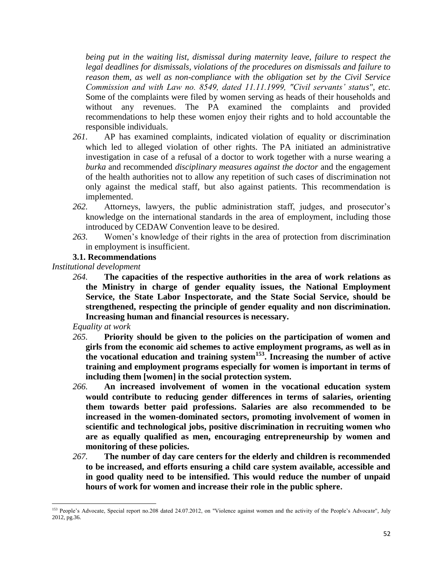*being put in the waiting list, dismissal during maternity leave, failure to respect the legal deadlines for dismissals, violations of the procedures on dismissals and failure to reason them, as well as non-compliance with the obligation set by the Civil Service Commission and with Law no. 8549, dated 11.11.1999, "Civil servants' status", etc.*  Some of the complaints were filed by women serving as heads of their households and without any revenues. The PA examined the complaints and provided recommendations to help these women enjoy their rights and to hold accountable the responsible individuals.

- *261.* AP has examined complaints, indicated violation of equality or discrimination which led to alleged violation of other rights. The PA initiated an administrative investigation in case of a refusal of a doctor to work together with a nurse wearing a *burka* and recommended *disciplinary measures against the doctor* and the engagement of the health authorities not to allow any repetition of such cases of discrimination not only against the medical staff, but also against patients. This recommendation is implemented.
- *262.* Attorneys, lawyers, the public administration staff, judges, and prosecutor's knowledge on the international standards in the area of employment, including those introduced by CEDAW Convention leave to be desired.
- *263.* Women's knowledge of their rights in the area of protection from discrimination in employment is insufficient.

# **3.1. Recommendations**

*Institutional development* 

*264.* **The capacities of the respective authorities in the area of work relations as the Ministry in charge of gender equality issues, the National Employment Service, the State Labor Inspectorate, and the State Social Service, should be strengthened, respecting the principle of gender equality and non discrimination. Increasing human and financial resources is necessary.**

*Equality at work* 

- *265.* **Priority should be given to the policies on the participation of women and girls from the economic aid schemes to active employment programs, as well as in the vocational education and training system<sup>153</sup>. Increasing the number of active training and employment programs especially for women is important in terms of including them [women] in the social protection system.**
- *266.* **An increased involvement of women in the vocational education system would contribute to reducing gender differences in terms of salaries, orienting them towards better paid professions. Salaries are also recommended to be increased in the women-dominated sectors, promoting involvement of women in scientific and technological jobs, positive discrimination in recruiting women who are as equally qualified as men, encouraging entrepreneurship by women and monitoring of these policies.**
- *267.* **The number of day care centers for the elderly and children is recommended to be increased, and efforts ensuring a child care system available, accessible and in good quality need to be intensified. This would reduce the number of unpaid hours of work for women and increase their role in the public sphere.**

l <sup>153</sup> People's Advocate, Special report no.208 dated 24.07.2012, on "Violence against women and the activity of the People's Advocate", July 2012, pg.36.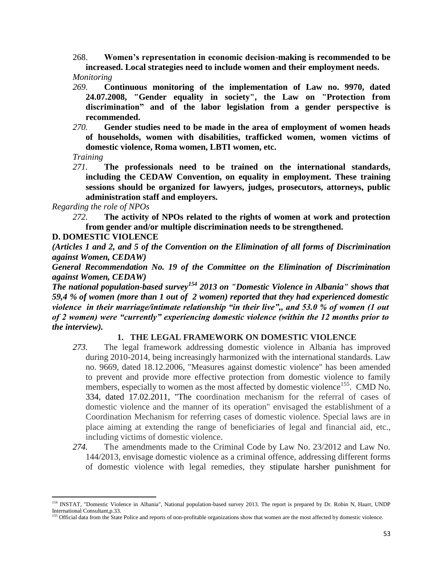268. **Women's representation in economic decision-making is recommended to be increased. Local strategies need to include women and their employment needs.**

*Monitoring*

- *269.* **Continuous monitoring of the implementation of Law no. 9970, dated 24.07.2008, "Gender equality in society", the Law on "Protection from discrimination" and of the labor legislation from a gender perspective is recommended.**
- *270.* **Gender studies need to be made in the area of employment of women heads of households, women with disabilities, trafficked women, women victims of domestic violence, Roma women, LBTI women, etc.**

*Training* 

 $\overline{\phantom{a}}$ 

*271.* **The professionals need to be trained on the international standards, including the CEDAW Convention, on equality in employment. These training sessions should be organized for lawyers, judges, prosecutors, attorneys, public administration staff and employers.** 

*Regarding the role of NPOs*

*272.* **The activity of NPOs related to the rights of women at work and protection from gender and/or multiple discrimination needs to be strengthened.** 

**D. DOMESTIC VIOLENCE** 

*(Articles 1 and 2, and 5 of the Convention on the Elimination of all forms of Discrimination against Women, CEDAW)*

*General Recommendation No. 19 of the Committee on the Elimination of Discrimination against Women, CEDAW)*

*The national population-based survey<sup>154</sup> 2013 on "Domestic Violence in Albania" shows that 59,4 % of women (more than 1 out of 2 women) reported that they had experienced domestic violence in their marriage/intimate relationship "in their live",, and 53.0 % of women (1 out of 2 women) were "currently" experiencing domestic violence (within the 12 months prior to the interview).*

# **1. THE LEGAL FRAMEWORK ON DOMESTIC VIOLENCE**

- *273.* The legal framework addressing domestic violence in Albania has improved during 2010-2014, being increasingly harmonized with the international standards. Law no. 9669, dated 18.12.2006, "Measures against domestic violence" has been amended to prevent and provide more effective protection from domestic violence to family members, especially to women as the most affected by domestic violence<sup>155</sup>. CMD No. 334, dated 17.02.2011, "The coordination mechanism for the referral of cases of domestic violence and the manner of its operation" envisaged the establishment of a Coordination Mechanism for referring cases of domestic violence. Special laws are in place aiming at extending the range of beneficiaries of legal and financial aid, etc., including victims of domestic violence.
- *274.* The amendments made to the Criminal Code by Law No. 23/2012 and Law No. 144/2013, envisage domestic violence as a criminal offence, addressing different forms of domestic violence with legal remedies, they stipulate harsher punishment for

<sup>&</sup>lt;sup>154</sup> INSTAT, "Domestic Violence in Albania", National population-based survey 2013. The report is prepared by Dr. Robin N, Haarr, UNDP International Consultant,p.33.

<sup>&</sup>lt;sup>155</sup> Official data from the State Police and reports of non-profitable organizations show that women are the most affected by domestic violence.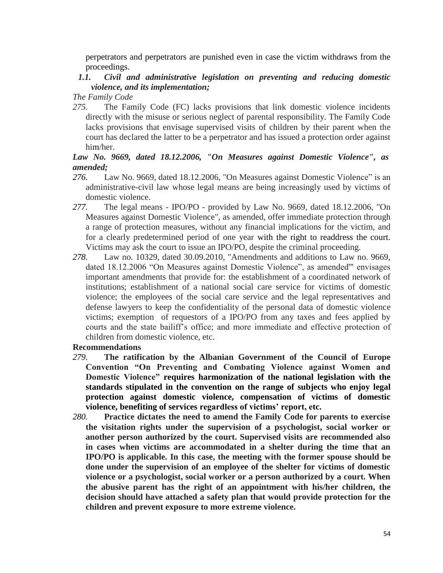perpetrators and perpetrators are punished even in case the victim withdraws from the proceedings.

# *1.1. Civil and administrative legislation on preventing and reducing domestic violence, and its implementation;*

*The Family Code*

*275.* The Family Code (FC) lacks provisions that link domestic violence incidents directly with the misuse or serious neglect of parental responsibility. The Family Code lacks provisions that envisage supervised visits of children by their parent when the court has declared the latter to be a perpetrator and has issued a protection order against him/her.

# *Law No. 9669, dated 18.12.2006, "On Measures against Domestic Violence", as amended;*

- *276.* Law No. 9669, dated 18.12.2006, "On Measures against Domestic Violence" is an administrative-civil law whose legal means are being increasingly used by victims of domestic violence.
- *277.* The legal means IPO/PO provided by Law No. 9669, dated 18.12.2006, "On Measures against Domestic Violence", as amended, offer immediate protection through a range of protection measures, without any financial implications for the victim, and for a clearly predetermined period of one year with the right to readdress the court. Victims may ask the court to issue an IPO/PO, despite the criminal proceeding.
- *278.* Law no. 10329, dated 30.09.2010, "Amendments and additions to Law no. 9669, dated 18.12.2006 "On Measures against Domestic Violence", as amended'" envisages important amendments that provide for: the establishment of a coordinated network of institutions; establishment of a national social care service for victims of domestic violence; the employees of the social care service and the legal representatives and defense lawyers to keep the confidentiality of the personal data of domestic violence victims; exemption of requestors of a IPO/PO from any taxes and fees applied by courts and the state bailiff's office; and more immediate and effective protection of children from domestic violence, etc.

# **Recommendations**

- *279.* **The ratification by the Albanian Government of the Council of Europe Convention "On Preventing and Combating Violence against Women and Domestic Violence" requires harmonization of the national legislation with the standards stipulated in the convention on the range of subjects who enjoy legal protection against domestic violence, compensation of victims of domestic violence, benefiting of services regardless of victims' report, etc.**
- *280.* **Practice dictates the need to amend the Family Code for parents to exercise the visitation rights under the supervision of a psychologist, social worker or another person authorized by the court. Supervised visits are recommended also in cases when victims are accommodated in a shelter during the time that an IPO/PO is applicable. In this case, the meeting with the former spouse should be done under the supervision of an employee of the shelter for victims of domestic violence or a psychologist, social worker or a person authorized by a court. When the abusive parent has the right of an appointment with his/her children, the decision should have attached a safety plan that would provide protection for the children and prevent exposure to more extreme violence.**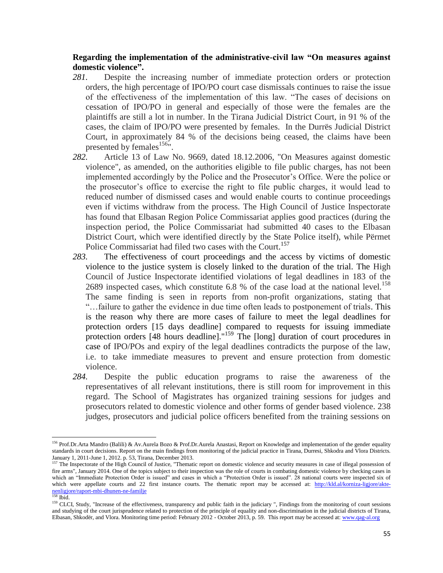# **Regarding the implementation of the administrative-civil law "On measures against domestic violence".**

- *281.* Despite the increasing number of immediate protection orders or protection orders, the high percentage of IPO/PO court case dismissals continues to raise the issue of the effectiveness of the implementation of this law. "The cases of decisions on cessation of IPO/PO in general and especially of those were the females are the plaintiffs are still a lot in number. In the Tirana Judicial District Court, in 91 % of the cases, the claim of IPO/PO were presented by females. In the Durrës Judicial District Court, in approximately 84 % of the decisions being ceased, the claims have been presented by females $156$ ".
- *282.* Article 13 of Law No. 9669, dated 18.12.2006, "On Measures against domestic violence", as amended, on the authorities eligible to file public charges, has not been implemented accordingly by the Police and the Prosecutor's Office. Were the police or the prosecutor's office to exercise the right to file public charges, it would lead to reduced number of dismissed cases and would enable courts to continue proceedings even if victims withdraw from the process. The High Council of Justice Inspectorate has found that Elbasan Region Police Commissariat applies good practices (during the inspection period, the Police Commissariat had submitted 40 cases to the Elbasan District Court, which were identified directly by the State Police itself), while Përmet Police Commissariat had filed two cases with the Court.<sup>157</sup>
- *283.* The effectiveness of court proceedings and the access by victims of domestic violence to the justice system is closely linked to the duration of the trial. The High Council of Justice Inspectorate identified violations of legal deadlines in 183 of the 2689 inspected cases, which constitute 6.8 % of the case load at the national level.<sup>158</sup> The same finding is seen in reports from non-profit organizations, stating that "…failure to gather the evidence in due time often leads to postponement of trials. This is the reason why there are more cases of failure to meet the legal deadlines for protection orders [15 days deadline] compared to requests for issuing immediate protection orders [48 hours deadline]."<sup>159</sup> The [long] duration of court procedures in case of IPO/POs and expiry of the legal deadlines contradicts the purpose of the law, i.e. to take immediate measures to prevent and ensure protection from domestic violence.
- *284.* Despite the public education programs to raise the awareness of the representatives of all relevant institutions, there is still room for improvement in this regard. The School of Magistrates has organized training sessions for judges and prosecutors related to domestic violence and other forms of gender based violence. 238 judges, prosecutors and judicial police officers benefited from the training sessions on

<sup>&</sup>lt;sup>156</sup> Prof.Dr.Arta Mandro (Balili) & Av.Aurela Bozo & Prof.Dr.Aurela Anastasi, Report on Knowledge and implementation of the gender equality standards in court decisions. Report on the main findings from monitoring of the judicial practice in Tirana, Durresi, Shkodra and Vlora Districts. January 1, 2011-June 1, 2012. p. 53, Tirana, December 2013.

<sup>&</sup>lt;sup>157</sup> The Inspectorate of the High Council of Justice, "Thematic report on domestic violence and security measures in case of illegal possession of fire arms", January 2014. One of the topics subject to their inspection was the role of courts in combating domestic violence by checking cases in which an "Immediate Protection Order is issued" and cases in which a "Protection Order is issued". 28 national courts were inspected six of which were appellate courts and 22 first instance courts. The thematic report may be accessed at: [http://kld.al/korniza-ligjore/akte](http://kld.al/korniza-ligjore/akte-nenligjore/raport-mbi-dhunen-ne-familje)[nenligjore/raport-mbi-dhunen-ne-familje](http://kld.al/korniza-ligjore/akte-nenligjore/raport-mbi-dhunen-ne-familje) 

<sup>158</sup> Ibid.

<sup>&</sup>lt;sup>159</sup> CLCI, Study, "Increase of the effectiveness, transparency and public faith in the judiciary ", Findings from the monitoring of court sessions and studying of the court jurisprudence related to protection of the principle of equality and non-discrimination in the judicial districts of Tirana, Elbasan, Shkodër, and Vlora. Monitoring time period: February 2012 - October 2013, p. 59. This report may be accessed at[: www.qag-al.org](http://www.qag-al.org/)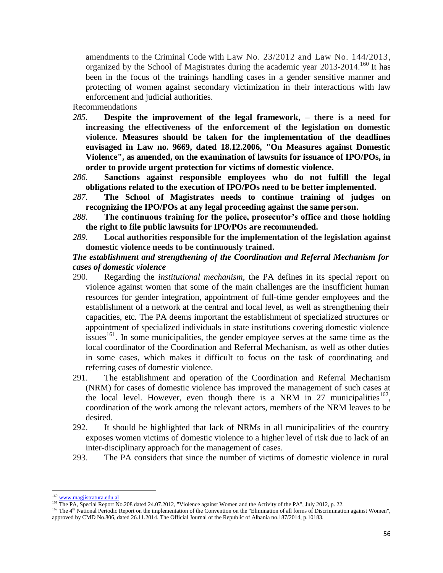amendments to the Criminal Code with Law No. 23/2012 and Law No. 144/2013, organized by the School of Magistrates during the academic year  $2013$ - $2014$ .<sup>160</sup> It has been in the focus of the trainings handling cases in a gender sensitive manner and protecting of women against secondary victimization in their interactions with law enforcement and judicial authorities.

Recommendations

- *285.* **Despite the improvement of the legal framework, – there is a need for increasing the effectiveness of the enforcement of the legislation on domestic violence. Measures should be taken for the implementation of the deadlines envisaged in Law no. 9669, dated 18.12.2006, "On Measures against Domestic Violence", as amended, on the examination of lawsuits for issuance of IPO/POs, in order to provide urgent protection for victims of domestic violence.**
- *286.* **Sanctions against responsible employees who do not fulfill the legal obligations related to the execution of IPO/POs need to be better implemented.**
- *287.* **The School of Magistrates needs to continue training of judges on recognizing the IPO/POs at any legal proceeding against the same person.**
- *288.* **The continuous training for the police, prosecutor's office and those holding the right to file public lawsuits for IPO/POs are recommended.**
- *289.* **Local authorities responsible for the implementation of the legislation against domestic violence needs to be continuously trained.**

### *The establishment and strengthening of the Coordination and Referral Mechanism for cases of domestic violence*

- 290. Regarding the *institutional mechanism*, the PA defines in its special report on violence against women that some of the main challenges are the insufficient human resources for gender integration, appointment of full-time gender employees and the establishment of a network at the central and local level, as well as strengthening their capacities, etc. The PA deems important the establishment of specialized structures or appointment of specialized individuals in state institutions covering domestic violence issues<sup>161</sup>. In some municipalities, the gender employee serves at the same time as the local coordinator of the Coordination and Referral Mechanism, as well as other duties in some cases, which makes it difficult to focus on the task of coordinating and referring cases of domestic violence.
- 291. The establishment and operation of the Coordination and Referral Mechanism (NRM) for cases of domestic violence has improved the management of such cases at the local level. However, even though there is a NRM in 27 municipalities  $162$ , coordination of the work among the relevant actors, members of the NRM leaves to be desired.
- 292. It should be highlighted that lack of NRMs in all municipalities of the country exposes women victims of domestic violence to a higher level of risk due to lack of an inter-disciplinary approach for the management of cases.
- 293. The PA considers that since the number of victims of domestic violence in rural

 $\overline{a}$ 

<sup>&</sup>lt;sup>160</sup> [www.magjistratura.edu.al](http://www.magjistratura.edu.al/)

<sup>&</sup>lt;sup>161</sup> The PA, Special Report No.208 dated 24.07.2012, "Violence against Women and the Activity of the PA", July 2012, p. 22.

<sup>&</sup>lt;sup>162</sup> The 4<sup>th</sup> National Periodic Report on the implementation of the Convention on the "Elimination of all forms of Discrimination against Women", approved by CMD No.806, dated 26.11.2014. The Official Journal of the Republic of Albania no.187/2014, p.10183.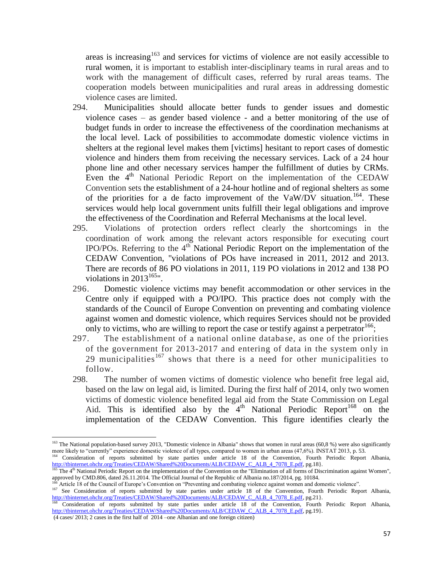areas is increasing<sup>163</sup> and services for victims of violence are not easily accessible to rural women, it is important to establish inter-disciplinary teams in rural areas and to work with the management of difficult cases, referred by rural areas teams. The cooperation models between municipalities and rural areas in addressing domestic violence cases are limited.

- 294. Municipalities should allocate better funds to gender issues and domestic violence cases – as gender based violence - and a better monitoring of the use of budget funds in order to increase the effectiveness of the coordination mechanisms at the local level. Lack of possibilities to accommodate domestic violence victims in shelters at the regional level makes them [victims] hesitant to report cases of domestic violence and hinders them from receiving the necessary services. Lack of a 24 hour phone line and other necessary services hamper the fulfillment of duties by CRMs. Even the  $4<sup>th</sup>$  National Periodic Report on the implementation of the CEDAW Convention sets the establishment of a 24-hour hotline and of regional shelters as some of the priorities for a de facto improvement of the VaW/DV situation.<sup>164</sup>. These services would help local government units fulfill their legal obligations and improve the effectiveness of the Coordination and Referral Mechanisms at the local level.
- 295. Violations of protection orders reflect clearly the shortcomings in the coordination of work among the relevant actors responsible for executing court IPO/POs. Referring to the  $4<sup>th</sup>$  National Periodic Report on the implementation of the CEDAW Convention, "violations of POs have increased in 2011, 2012 and 2013. There are records of 86 PO violations in 2011, 119 PO violations in 2012 and 138 PO violations in  $2013^{165}$ ".
- 296. Domestic violence victims may benefit accommodation or other services in the Centre only if equipped with a PO/IPO. This practice does not comply with the standards of the Council of Europe Convention on preventing and combating violence against women and domestic violence, which requires Services should not be provided only to victims, who are willing to report the case or testify against a perpetrator  $166$ ;
- 297. The establishment of a national online database, as one of the priorities of the government for 2013-2017 and entering of data in the system only in 29 municipalities<sup>167</sup> shows that there is a need for other municipalities to follow.
- 298. The number of women victims of domestic violence who benefit free legal aid, based on the law on legal aid, is limited. During the first half of 2014, only two women victims of domestic violence benefited legal aid from the State Commission on Legal Aid. This is identified also by the  $4<sup>th</sup>$  National Periodic Report<sup>168</sup> on the implementation of the CEDAW Convention. This figure identifies clearly the

(4 cases/ 2013; 2 cases in the first half of 2014 –one Albanian and one foreign citizen)

<sup>&</sup>lt;sup>163</sup> The National population-based survey 2013, "Domestic violence in Albania" shows that women in rural areas (60,8 %) were also significantly more likely to "currently" experience domestic violence of all types, compared to women in urban areas (47,6%). INSTAT 2013, p. 53. <sup>164</sup> Consideration of reports submitted by state parties under article 18 of the Convention, Fourth Periodic Report Albania,

[http://tbinternet.ohchr.org/Treaties/CEDAW/Shared%20Documents/ALB/CEDAW\\_C\\_ALB\\_4\\_7078\\_E.pdf,](http://tbinternet.ohchr.org/Treaties/CEDAW/Shared%20Documents/ALB/CEDAW_C_ALB_4_7078_E.pdf) pg.18}. <sup>165</sup> The 4<sup>th</sup> National Periodic Report on the implementation of the Convention on the "Elimination of all forms of Discrimination against Women",

approved by CMD.806, dated 26.11.2014. The Official Journal of the Republic of Albania no.187/2014, pg. 10184.

Article 18 of the Council of Europe's Convention on "Preventing and combating violence against women and domestic violence".

<sup>&</sup>lt;sup>167</sup> See Consideration of reports submitted by state parties under article 18 of the Convention, Fourth Periodic Report Albania, [http://tbinternet.ohchr.org/Treaties/CEDAW/Shared%20Documents/ALB/CEDAW\\_C\\_ALB\\_4\\_7078\\_E.pdf,](http://tbinternet.ohchr.org/Treaties/CEDAW/Shared%20Documents/ALB/CEDAW_C_ALB_4_7078_E.pdf) pg.21}.

<sup>168</sup> Consideration of reports submitted by state parties under article 18 of the Convention, Fourth Periodic Report Albania, [http://tbinternet.ohchr.org/Treaties/CEDAW/Shared%20Documents/ALB/CEDAW\\_C\\_ALB\\_4\\_7078\\_E.pdf,](http://tbinternet.ohchr.org/Treaties/CEDAW/Shared%20Documents/ALB/CEDAW_C_ALB_4_7078_E.pdf) pg.19}.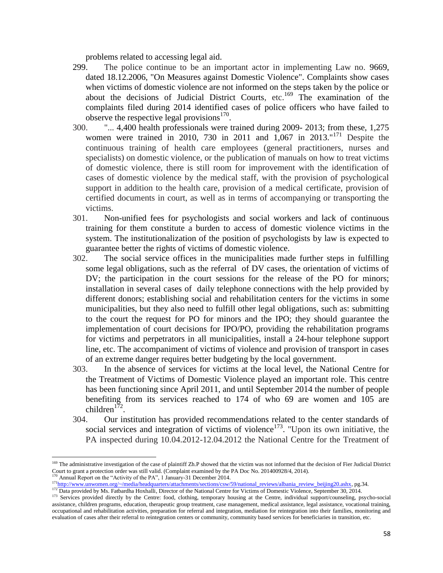problems related to accessing legal aid.

- 299. The police continue to be an important actor in implementing Law no. 9669, dated 18.12.2006, "On Measures against Domestic Violence". Complaints show cases when victims of domestic violence are not informed on the steps taken by the police or about the decisions of Judicial District Courts, etc.<sup>169</sup> The examination of the complaints filed during 2014 identified cases of police officers who have failed to observe the respective legal provisions $170$ .
- 300. "... 4,400 health professionals were trained during 2009- 2013; from these, 1,275 women were trained in 2010, 730 in 2011 and 1,067 in 2013."<sup>171</sup> Despite the continuous training of health care employees (general practitioners, nurses and specialists) on domestic violence, or the publication of manuals on how to treat victims of domestic violence, there is still room for improvement with the identification of cases of domestic violence by the medical staff, with the provision of psychological support in addition to the health care, provision of a medical certificate, provision of certified documents in court, as well as in terms of accompanying or transporting the victims.
- 301. Non-unified fees for psychologists and social workers and lack of continuous training for them constitute a burden to access of domestic violence victims in the system. The institutionalization of the position of psychologists by law is expected to guarantee better the rights of victims of domestic violence.
- 302. The social service offices in the municipalities made further steps in fulfilling some legal obligations, such as the referral of DV cases, the orientation of victims of DV; the participation in the court sessions for the release of the PO for minors; installation in several cases of daily telephone connections with the help provided by different donors; establishing social and rehabilitation centers for the victims in some municipalities, but they also need to fulfill other legal obligations, such as: submitting to the court the request for PO for minors and the IPO; they should guarantee the implementation of court decisions for IPO/PO, providing the rehabilitation programs for victims and perpetrators in all municipalities, install a 24-hour telephone support line, etc. The accompaniment of victims of violence and provision of transport in cases of an extreme danger requires better budgeting by the local government.
- 303. In the absence of services for victims at the local level, the National Centre for the Treatment of Victims of Domestic Violence played an important role. This centre has been functioning since April 2011, and until September 2014 the number of people benefiting from its services reached to 174 of who 69 are women and 105 are children $1\overline{7}2$ .
- 304. Our institution has provided recommendations related to the center standards of social services and integration of victims of violence<sup>173</sup>. "Upon its own initiative, the PA inspected during 10.04.2012-12.04.2012 the National Centre for the Treatment of

<sup>&</sup>lt;sup>169</sup> The administrative investigation of the case of plaintiff Zh.P showed that the victim was not informed that the decision of Fier Judicial District Court to grant a protection order was still valid. (Complaint examined by the PA Doc No. 201400928/4, 2014).

Annual Report on the "Activity of the PA", 1 January-31 December 2014.

 $171$ <sub>[http://www.unwomen.org/~/media/headquarters/attachments/sections/csw/59/national\\_reviews/albania\\_review\\_beijing20.ashx,](http://www.unwomen.org/~/media/headquarters/attachments/sections/csw/59/national_reviews/albania_review_beijing20.ashx) pg.34.</sub>

<sup>&</sup>lt;sup>172</sup> Data provided by Ms. Fatbardha Hoxhalli, Director of the National Centre for Victims of Domestic Violence, September 30, 2014.

<sup>&</sup>lt;sup>173</sup> Services provided directly by the Centre: food, clothing, temporary housing at the Centre, individual support/counseling, psycho-social assistance, children programs, education, therapeutic group treatment, case management, medical assistance, legal assistance, vocational training, occupational and rehabilitation activities, preparation for referral and integration, mediation for reintegration into their families, monitoring and evaluation of cases after their referral to reintegration centers or community, community based services for beneficiaries in transition, etc.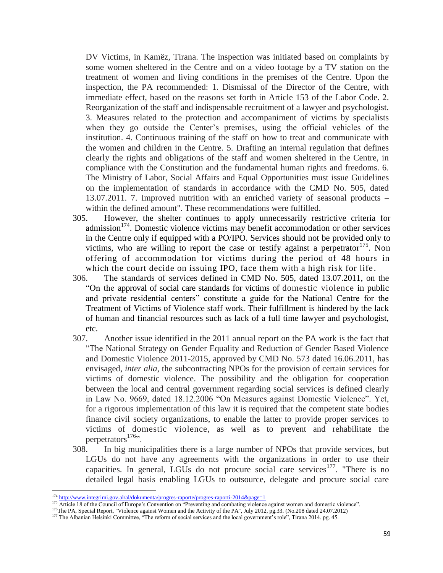DV Victims, in Kamëz, Tirana. The inspection was initiated based on complaints by some women sheltered in the Centre and on a video footage by a TV station on the treatment of women and living conditions in the premises of the Centre. Upon the inspection, the PA recommended: 1. Dismissal of the Director of the Centre, with immediate effect, based on the reasons set forth in Article 153 of the Labor Code. 2. Reorganization of the staff and indispensable recruitment of a lawyer and psychologist. 3. Measures related to the protection and accompaniment of victims by specialists when they go outside the Center's premises, using the official vehicles of the institution. 4. Continuous training of the staff on how to treat and communicate with the women and children in the Centre. 5. Drafting an internal regulation that defines clearly the rights and obligations of the staff and women sheltered in the Centre, in compliance with the Constitution and the fundamental human rights and freedoms. 6. The Ministry of Labor, Social Affairs and Equal Opportunities must issue Guidelines on the implementation of standards in accordance with the CMD No. 505, dated 13.07.2011. 7. Improved nutrition with an enriched variety of seasonal products – within the defined amount". These recommendations were fulfilled.

- 305. However, the shelter continues to apply unnecessarily restrictive criteria for  $admission<sup>174</sup>$ . Domestic violence victims may benefit accommodation or other services in the Centre only if equipped with a PO/IPO. Services should not be provided only to victims, who are willing to report the case or testify against a perpetrator<sup>175</sup>. Non offering of accommodation for victims during the period of 48 hours in which the court decide on issuing IPO, face them with a high risk for life.
- 306. The standards of services defined in CMD No. 505, dated 13.07.2011, on the "On the approval of social care standards for victims of domestic violence in public and private residential centers" constitute a guide for the National Centre for the Treatment of Victims of Violence staff work. Their fulfillment is hindered by the lack of human and financial resources such as lack of a full time lawyer and psychologist, etc.
- 307. Another issue identified in the 2011 annual report on the PA work is the fact that "The National Strategy on Gender Equality and Reduction of Gender Based Violence and Domestic Violence 2011-2015, approved by CMD No. 573 dated 16.06.2011, has envisaged, *inter alia*, the subcontracting NPOs for the provision of certain services for victims of domestic violence. The possibility and the obligation for cooperation between the local and central government regarding social services is defined clearly in Law No. 9669, dated 18.12.2006 "On Measures against Domestic Violence". Yet, for a rigorous implementation of this law it is required that the competent state bodies finance civil society organizations, to enable the latter to provide proper services to victims of domestic violence, as well as to prevent and rehabilitate the perpetrators $176$ ".
- 308. In big municipalities there is a large number of NPOs that provide services, but LGUs do not have any agreements with the organizations in order to use their capacities. In general, LGUs do not procure social care services<sup>177</sup>. "There is no detailed legal basis enabling LGUs to outsource, delegate and procure social care

 $\overline{a}$ 

<sup>&</sup>lt;sup>174</sup> <http://www.integrimi.gov.al/al/dokumenta/progres-raporte/progres-raporti-2014&page=1>

<sup>&</sup>lt;sup>175</sup> Article 18 of the Council of Europe's Convention on "Preventing and combating violence against women and domestic violence".

<sup>&</sup>lt;sup>176</sup>The PA, Special Report, "Violence against Women and the Activity of the PA", July 2012, pg.33. (No.208 dated 24.07.2012)

<sup>&</sup>lt;sup>177</sup> The Albanian Helsinki Committee, "The reform of social services and the local government's role", Tirana 2014. pg. 45.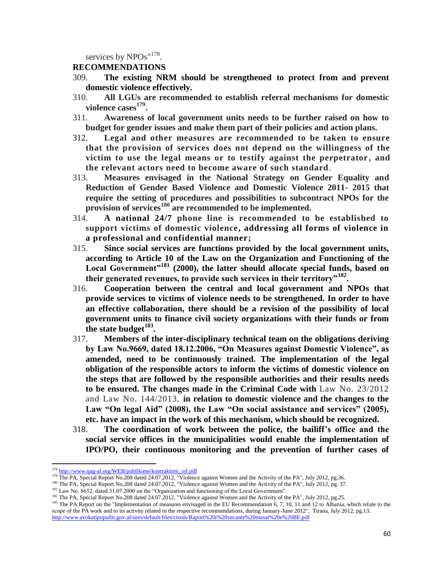services by NPOs"<sup>178</sup>.

#### **RECOMMENDATIONS**

- 309. **The existing NRM should be strengthened to protect from and prevent domestic violence effectively.**
- 310. **All LGUs are recommended to establish referral mechanisms for domestic violence cases<sup>179</sup> .**
- 311. **Awareness of local government units needs to be further raised on how to budget for gender issues and make them part of their policies and action plans.**
- 312. **Legal and other measures are recommended to be taken to ensure that the provision of services does not depend on the willingness of the victim to use the legal means or to testify against the perpetrator , and the relevant actors need to become aware of such standard**.
- 313. **Measures envisaged in the National Strategy on Gender Equality and Reduction of Gender Based Violence and Domestic Violence 2011- 2015 that require the setting of procedures and possibilities to subcontract NPOs for the provision of services<sup>180</sup> are recommended to be implemented.**
- 314. **A national 24/7 phone line is recommended to be established to support victims of domestic violence, addressing all forms of violence in a professional and confidential manner;**
- 315. **Since social services are functions provided by the local government units, according to Article 10 of the Law on the Organization and Functioning of the Local Government"<sup>181</sup> (2000), the latter should allocate special funds, based on their generated revenues, to provide such services in their territory"<sup>182</sup> .**
- 316. **Cooperation between the central and local government and NPOs that provide services to victims of violence needs to be strengthened. In order to have an effective collaboration, there should be a revision of the possibility of local government units to finance civil society organizations with their funds or from the state budget<sup>183</sup> .**
- 317. **Members of the inter-disciplinary technical team on the obligations deriving by Law No.9669, dated 18.12.2006, "On Measures against Domestic Violence", as amended, need to be continuously trained. The implementation of the legal obligation of the responsible actors to inform the victims of domestic violence on the steps that are followed by the responsible authorities and their results needs to be ensured. The changes made in the Criminal Code with** Law No. 23/2012 and Law No. 144/2013, **in relation to domestic violence and the changes to the Law "On legal Aid" (2008), the Law "On social assistance and services" (2005), etc. have an impact in the work of this mechanism, which should be recognized.**
- 318. **The coordination of work between the police, the bailiff's office and the social service offices in the municipalities would enable the implementation of IPO/PO, their continuous monitoring and the prevention of further cases of**

 $\overline{a}$ 

<sup>180</sup> The PA, Special Report No.208 dated 24.07.2012, "Violence against Women and the Activity of the PA", July 2012, pg. 37.

<sup>&</sup>lt;sup>178</sup> [http://www.qag-al.org/WEB/publikime/kontraktimi\\_ojf.pdf](http://www.qag-al.org/WEB/publikime/kontraktimi_ojf.pdf)

<sup>&</sup>lt;sup>179</sup> The PA, Special Report No.208 dated 24.07.2012, "Violence against Women and the Activity of the PA", July 2012, pg.36.

<sup>&</sup>lt;sup>181</sup> Law No. 8652, dated 31.07.2000 on the "Organization and functioning of the Local Government".

<sup>&</sup>lt;sup>182</sup> The PA, Special Report No.208 dated 24.07.2012, "Violence against Women and the Activity of the PA", July 2012, pg.25.

<sup>&</sup>lt;sup>183</sup> The PA Report on the "Implementation of measures envisaged in the EU Recommendation 6, 7, 10, 11 and 12 to Albania, which relate to the scope of the PA work and to its activity related to the respective recommendations, during January-June 2012", Tirana, July 2012, pg.13. <http://www.avokatipopullit.gov.al/sites/default/files/ctools/Raport%20i%20vecante%20masat%20e%20BE.pdf>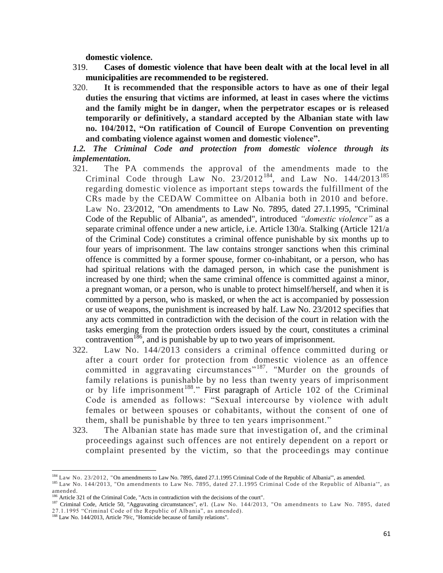**domestic violence.**

- 319. **Cases of domestic violence that have been dealt with at the local level in all municipalities are recommended to be registered.**
- 320. **It is recommended that the responsible actors to have as one of their legal duties the ensuring that victims are informed, at least in cases where the victims and the family might be in danger, when the perpetrator escapes or is released temporarily or definitively, a standard accepted by the Albanian state with law no. 104/2012, "On ratification of Council of Europe Convention on preventing and combating violence against women and domestic violence".**

*1.2. The Criminal Code and protection from domestic violence through its implementation.*

- 321. The PA commends the approval of the amendments made to the Criminal Code through Law No.  $23/2012^{184}$ , and Law No.  $144/2013^{185}$ regarding domestic violence as important steps towards the fulfillment of the CRs made by the CEDAW Committee on Albania both in 2010 and before. Law No. 23/2012, "On amendments to Law No. 7895, dated 27.1.1995, "Criminal Code of the Republic of Albania", as amended", introduced *"domestic violence"* as a separate criminal offence under a new article, i.e. Article 130/a. Stalking (Article 121/a of the Criminal Code) constitutes a criminal offence punishable by six months up to four years of imprisonment. The law contains stronger sanctions when this criminal offence is committed by a former spouse, former co-inhabitant, or a person, who has had spiritual relations with the damaged person, in which case the punishment is increased by one third; when the same criminal offence is committed against a minor, a pregnant woman, or a person, who is unable to protect himself/herself, and when it is committed by a person, who is masked, or when the act is accompanied by possession or use of weapons, the punishment is increased by half. Law No. 23/2012 specifies that any acts committed in contradiction with the decision of the court in relation with the tasks emerging from the protection orders issued by the court, constitutes a criminal contravention<sup>186</sup>, and is punishable by up to two years of imprisonment.
- 322. Law No. 144/2013 considers a criminal offence committed during or after a court order for protection from domestic violence as an offence committed in aggravating circumstances<sup>"187</sup>. "Murder on the grounds of family relations is punishable by no less than twenty years of imprisonment or by life imprisonment<sup>188</sup>." First paragraph of Article 102 of the Criminal Code is amended as follows: "Sexual intercourse by violence with adult females or between spouses or cohabitants, without the consent of one of them, shall be punishable by three to ten years imprisonment."
- 323. The Albanian state has made sure that investigation of, and the criminal proceedings against such offences are not entirely dependent on a report or complaint presented by the victim, so that the proceedings may continue

 $\overline{\phantom{a}}$ 184 Law No. 23/2012, "On amendments to Law No. 7895, dated 27.1.1995 Criminal Code of the Republic of Albania", as amended.

<sup>&</sup>lt;sup>185</sup> Law No. 144/2013, "On amendments to Law No. 7895, dated 27.1.1995 Criminal Code of the Republic of Albania'", as amended.

<sup>186</sup> Article 321 of the Criminal Code, "Acts in contradiction with the decisions of the court".

<sup>187</sup> Criminal Code, Article 50, "Aggravating circumstances", e/1. (Law No. 144/2013, "On amendments to Law No. 7895, dated 27.1.1995 "Criminal Code of the Republic of Albania", as amended).

<sup>&</sup>lt;sup>188</sup> Law No. 144/2013, Article 79/c, "Homicide because of family relations".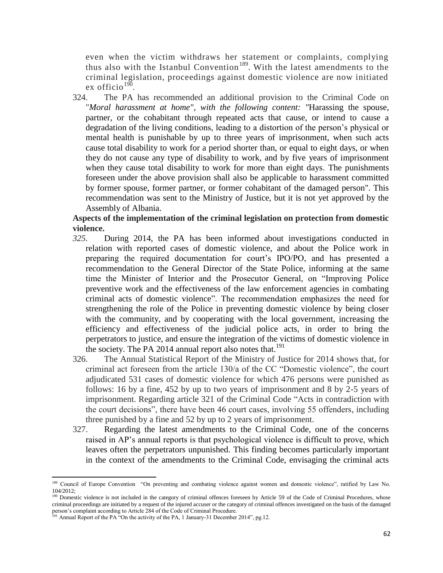even when the victim withdraws her statement or complaints, complying thus also with the Istanbul Convention<sup>189</sup>. With the latest amendments to the criminal legislation, proceedings against domestic violence are now initiated ex officio<sup>190</sup>.

324. The PA has recommended an additional provision to the Criminal Code on "*Moral harassment at home", with the following content: "*Harassing the spouse, partner, or the cohabitant through repeated acts that cause, or intend to cause a degradation of the living conditions, leading to a distortion of the person's physical or mental health is punishable by up to three years of imprisonment, when such acts cause total disability to work for a period shorter than, or equal to eight days, or when they do not cause any type of disability to work, and by five years of imprisonment when they cause total disability to work for more than eight days. The punishments foreseen under the above provision shall also be applicable to harassment committed by former spouse, former partner, or former cohabitant of the damaged person". This recommendation was sent to the Ministry of Justice, but it is not yet approved by the Assembly of Albania.

# **Aspects of the implementation of the criminal legislation on protection from domestic violence.**

- *325.* During 2014, the PA has been informed about investigations conducted in relation with reported cases of domestic violence, and about the Police work in preparing the required documentation for court's IPO/PO, and has presented a recommendation to the General Director of the State Police, informing at the same time the Minister of Interior and the Prosecutor General, on "Improving Police preventive work and the effectiveness of the law enforcement agencies in combating criminal acts of domestic violence". The recommendation emphasizes the need for strengthening the role of the Police in preventing domestic violence by being closer with the community, and by cooperating with the local government, increasing the efficiency and effectiveness of the judicial police acts, in order to bring the perpetrators to justice, and ensure the integration of the victims of domestic violence in the society. The PA 2014 annual report also notes that.<sup>191</sup>
- 326. The Annual Statistical Report of the Ministry of Justice for 2014 shows that, for criminal act foreseen from the article 130/a of the CC "Domestic violence", the court adjudicated 531 cases of domestic violence for which 476 persons were punished as follows: 16 by a fine, 452 by up to two years of imprisonment and 8 by 2-5 years of imprisonment. Regarding article 321 of the Criminal Code "Acts in contradiction with the court decisions", there have been 46 court cases, involving 55 offenders, including three punished by a fine and 52 by up to 2 years of imprisonment.
- 327. Regarding the latest amendments to the Criminal Code, one of the concerns raised in AP's annual reports is that psychological violence is difficult to prove, which leaves often the perpetrators unpunished. This finding becomes particularly important in the context of the amendments to the Criminal Code, envisaging the criminal acts

 $\overline{a}$ 

<sup>&</sup>lt;sup>189</sup> Council of Europe Convention "On preventing and combating violence against women and domestic violence", ratified by Law No. 104/2012;

<sup>&</sup>lt;sup>190</sup> Domestic violence is not included in the category of criminal offences foreseen by Article 59 of the Code of Criminal Procedures, whose criminal proceedings are initiated by a request of the injured accuser or the category of criminal offences investigated on the basis of the damaged person's complaint according to Article 284 of the Code of Criminal Procedure.

 $191$  Annual Report of the PA "On the activity of the PA, 1 January-31 December 2014", pg.12.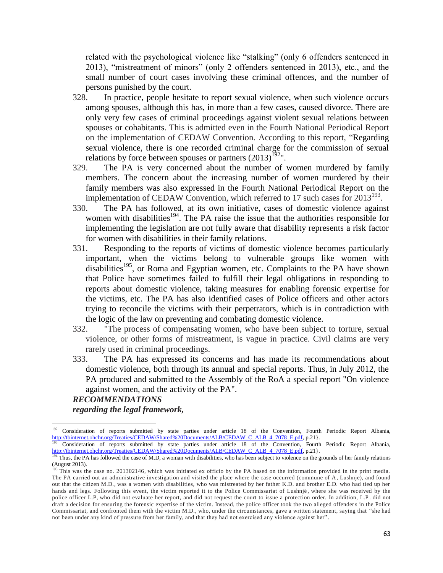related with the psychological violence like "stalking" (only 6 offenders sentenced in 2013), "mistreatment of minors" (only 2 offenders sentenced in 2013), etc., and the small number of court cases involving these criminal offences, and the number of persons punished by the court.

- 328. In practice, people hesitate to report sexual violence, when such violence occurs among spouses, although this has, in more than a few cases, caused divorce. There are only very few cases of criminal proceedings against violent sexual relations between spouses or cohabitants. This is admitted even in the Fourth National Periodical Report on the implementation of CEDAW Convention. According to this report, "Regarding sexual violence, there is one recorded criminal charge for the commission of sexual relations by force between spouses or partners  $(2013)^{192}$ ".
- 329. The PA is very concerned about the number of women murdered by family members. The concern about the increasing number of women murdered by their family members was also expressed in the Fourth National Periodical Report on the implementation of CEDAW Convention, which referred to 17 such cases for  $2013^{193}$ .
- 330. The PA has followed, at its own initiative, cases of domestic violence against women with disabilities<sup>194</sup>. The PA raise the issue that the authorities responsible for implementing the legislation are not fully aware that disability represents a risk factor for women with disabilities in their family relations.
- 331. Responding to the reports of victims of domestic violence becomes particularly important, when the victims belong to vulnerable groups like women with disabilities<sup>195</sup>, or Roma and Egyptian women, etc. Complaints to the PA have shown that Police have sometimes failed to fulfill their legal obligations in responding to reports about domestic violence, taking measures for enabling forensic expertise for the victims, etc. The PA has also identified cases of Police officers and other actors trying to reconcile the victims with their perpetrators, which is in contradiction with the logic of the law on preventing and combating domestic violence.
- 332. "The process of compensating women, who have been subject to torture, sexual violence, or other forms of mistreatment, is vague in practice. Civil claims are very rarely used in criminal proceedings.
- 333. The PA has expressed its concerns and has made its recommendations about domestic violence, both through its annual and special reports. Thus, in July 2012, the PA produced and submitted to the Assembly of the RoA a special report "On violence against women, and the activity of the PA".

### *RECOMMENDATIONS regarding the legal framework,*

<sup>&</sup>lt;sup>192</sup> Consideration of reports submitted by state parties under article 18 of the Convention, Fourth Periodic Report Albania, [http://tbinternet.ohchr.org/Treaties/CEDAW/Shared%20Documents/ALB/CEDAW\\_C\\_ALB\\_4\\_7078\\_E.pdf,](http://tbinternet.ohchr.org/Treaties/CEDAW/Shared%20Documents/ALB/CEDAW_C_ALB_4_7078_E.pdf) p.21}.

<sup>193</sup> Consideration of reports submitted by state parties under article 18 of the Convention, Fourth Periodic Report Albania, [http://tbinternet.ohchr.org/Treaties/CEDAW/Shared%20Documents/ALB/CEDAW\\_C\\_ALB\\_4\\_7078\\_E.pdf,](http://tbinternet.ohchr.org/Treaties/CEDAW/Shared%20Documents/ALB/CEDAW_C_ALB_4_7078_E.pdf) p.21}.

<sup>&</sup>lt;sup>194</sup> Thus, the PA has followed the case of M.D, a woman with disabilities, who has been subject to violence on the grounds of her family relations (August 2013).

<sup>&</sup>lt;sup>195</sup> This was the case no. 201302146, which was initiated ex officio by the PA based on the information provided in the print media. The PA carried out an administrative investigation and visited the place where the case occurred (commune of A, Lushnje), and found out that the citizen M.D., was a women with disabilities, who was mistreated by her father K.D. and brother E.D. who had tied up her hands and legs. Following this event, the victim reported it to the Police Commissariat of Lushnjë , where she was received by the police officer L.P, who did not evaluate her report, and did not request the court to issue a protection order. In addition, L.P . did not draft a decision for ensuring the forensic expertise of the victim. Instead, the police officer took the two alleged offenders in the Police Commissariat, and confronted them with the victim M.D., who, under the circumstances, gave a written statement, saying that "she had not been under any kind of pressure from her family, and that they had not exercised any violence against her" .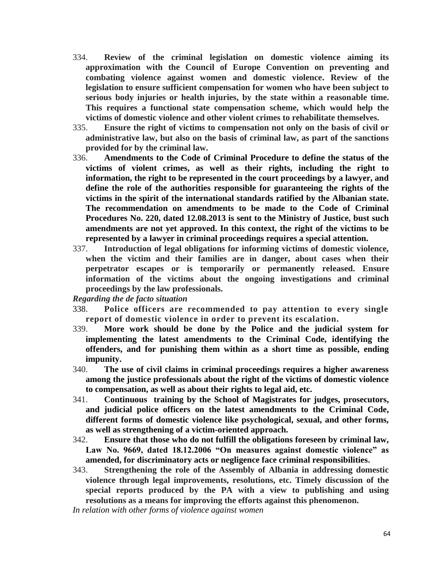- 334. **Review of the criminal legislation on domestic violence aiming its approximation with the Council of Europe Convention on preventing and combating violence against women and domestic violence. Review of the legislation to ensure sufficient compensation for women who have been subject to serious body injuries or health injuries, by the state within a reasonable time. This requires a functional state compensation scheme, which would help the victims of domestic violence and other violent crimes to rehabilitate themselves.**
- 335. **Ensure the right of victims to compensation not only on the basis of civil or administrative law, but also on the basis of criminal law, as part of the sanctions provided for by the criminal law.**
- 336. **Amendments to the Code of Criminal Procedure to define the status of the victims of violent crimes, as well as their rights, including the right to information, the right to be represented in the court proceedings by a lawyer, and define the role of the authorities responsible for guaranteeing the rights of the victims in the spirit of the international standards ratified by the Albanian state. The recommendation on amendments to be made to the Code of Criminal Procedures No. 220, dated 12.08.2013 is sent to the Ministry of Justice, bust such amendments are not yet approved. In this context, the right of the victims to be represented by a lawyer in criminal proceedings requires a special attention.**
- 337. **Introduction of legal obligations for informing victims of domestic violence, when the victim and their families are in danger, about cases when their perpetrator escapes or is temporarily or permanently released. Ensure information of the victims about the ongoing investigations and criminal proceedings by the law professionals.**

*Regarding the de facto situation*

- 338. **Police officers are recommended to pay attention to every single report of domestic violence in order to prevent its escalation.**
- 339. **More work should be done by the Police and the judicial system for implementing the latest amendments to the Criminal Code, identifying the offenders, and for punishing them within as a short time as possible, ending impunity.**
- 340. **The use of civil claims in criminal proceedings requires a higher awareness among the justice professionals about the right of the victims of domestic violence to compensation, as well as about their rights to legal aid, etc.**
- 341. **Continuous training by the School of Magistrates for judges, prosecutors, and judicial police officers on the latest amendments to the Criminal Code, different forms of domestic violence like psychological, sexual, and other forms, as well as strengthening of a victim-oriented approach.**
- 342. **Ensure that those who do not fulfill the obligations foreseen by criminal law, Law No. 9669, dated 18.12.2006 "On measures against domestic violence" as amended, for discriminatory acts or negligence face criminal responsibilities.**
- 343. **Strengthening the role of the Assembly of Albania in addressing domestic violence through legal improvements, resolutions, etc. Timely discussion of the special reports produced by the PA with a view to publishing and using resolutions as a means for improving the efforts against this phenomenon.**

*In relation with other forms of violence against women*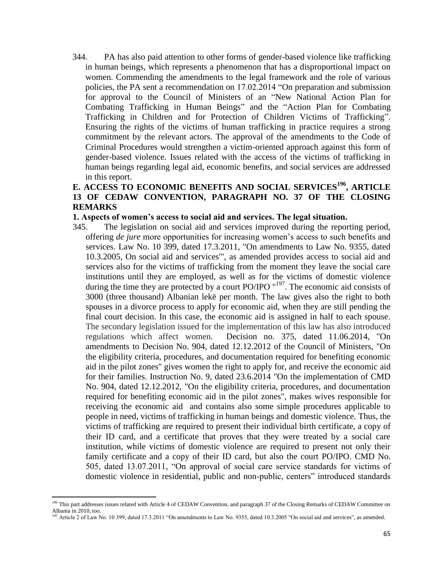344. PA has also paid attention to other forms of gender-based violence like trafficking in human beings, which represents a phenomenon that has a disproportional impact on women. Commending the amendments to the legal framework and the role of various policies, the PA sent a recommendation on 17.02.2014 "On preparation and submission for approval to the Council of Ministers of an "New National Action Plan for Combating Trafficking in Human Beings" and the "Action Plan for Combating Trafficking in Children and for Protection of Children Victims of Trafficking". Ensuring the rights of the victims of human trafficking in practice requires a strong commitment by the relevant actors. The approval of the amendments to the Code of Criminal Procedures would strengthen a victim-oriented approach against this form of gender-based violence. Issues related with the access of the victims of trafficking in human beings regarding legal aid, economic benefits, and social services are addressed in this report.

# **E. ACCESS TO ECONOMIC BENEFITS AND SOCIAL SERVICES<sup>196</sup>, ARTICLE 13 OF CEDAW CONVENTION, PARAGRAPH NO. 37 OF THE CLOSING REMARKS**

### **1. Aspects of women's access to social aid and services. The legal situation.**

345. The legislation on social aid and services improved during the reporting period, offering *de jure* more opportunities for increasing women's access to such benefits and services. Law No. 10 399, dated 17.3.2011, "On amendments to Law No. 9355, dated 10.3.2005, On social aid and services'", as amended provides access to social aid and services also for the victims of trafficking from the moment they leave the social care institutions until they are employed, as well as for the victims of domestic violence during the time they are protected by a court PO/IPO "<sup>197</sup>. The economic aid consists of 3000 (three thousand) Albanian lekë per month. The law gives also the right to both spouses in a divorce process to apply for economic aid, when they are still pending the final court decision. In this case, the economic aid is assigned in half to each spouse. The secondary legislation issued for the implementation of this law has also introduced regulations which affect women. Decision no. 375, dated 11.06.2014, "On amendments to Decision No. 904, dated 12.12.2012 of the Council of Ministers, "On the eligibility criteria, procedures, and documentation required for benefiting economic aid in the pilot zones" gives women the right to apply for, and receive the economic aid for their families. Instruction No. 9, dated 23.6.2014 "On the implementation of CMD No. 904, dated 12.12.2012, "On the eligibility criteria, procedures, and documentation required for benefiting economic aid in the pilot zones", makes wives responsible for receiving the economic aid and contains also some simple procedures applicable to people in need, victims of trafficking in human beings and domestic violence. Thus, the victims of trafficking are required to present their individual birth certificate, a copy of their ID card, and a certificate that proves that they were treated by a social care institution, while victims of domestic violence are required to present not only their family certificate and a copy of their ID card, but also the court PO/IPO. CMD No. 505, dated 13.07.2011, "On approval of social care service standards for victims of domestic violence in residential, public and non-public, centers" introduced standards

<sup>&</sup>lt;sup>196</sup> This part addresses issues related with Article 4 of CEDAW Convention, and paragraph 37 of the Closing Remarks of CEDAW Committee on Albania in 2010, too.

<sup>&</sup>lt;sup>197</sup> Article 2 of Law No. 10 399, dated 17.3.2011 "On amendments to Law No. 9355, dated 10.3.2005 "On social aid and services", as amended.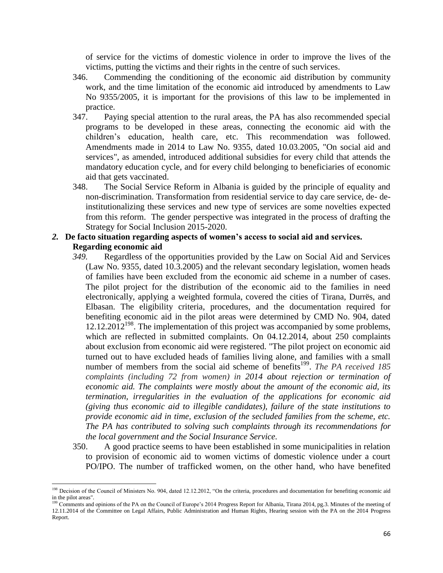of service for the victims of domestic violence in order to improve the lives of the victims, putting the victims and their rights in the centre of such services.

- 346. Commending the conditioning of the economic aid distribution by community work, and the time limitation of the economic aid introduced by amendments to Law No 9355/2005, it is important for the provisions of this law to be implemented in practice.
- 347. Paying special attention to the rural areas, the PA has also recommended special programs to be developed in these areas, connecting the economic aid with the children's education, health care, etc. This recommendation was followed. Amendments made in 2014 to Law No. 9355, dated 10.03.2005, "On social aid and services", as amended, introduced additional subsidies for every child that attends the mandatory education cycle, and for every child belonging to beneficiaries of economic aid that gets vaccinated.
- 348. The Social Service Reform in Albania is guided by the principle of equality and non-discrimination. Transformation from residential service to day care service, de- deinstitutionalizing these services and new type of services are some novelties expected from this reform. The gender perspective was integrated in the process of drafting the Strategy for Social Inclusion 2015-2020.
- *2.* **De facto situation regarding aspects of women's access to social aid and services. Regarding economic aid**
	- *349.* Regardless of the opportunities provided by the Law on Social Aid and Services (Law No. 9355, dated 10.3.2005) and the relevant secondary legislation, women heads of families have been excluded from the economic aid scheme in a number of cases. The pilot project for the distribution of the economic aid to the families in need electronically, applying a weighted formula, covered the cities of Tirana, Durrës, and Elbasan. The eligibility criteria, procedures, and the documentation required for benefiting economic aid in the pilot areas were determined by CMD No. 904, dated  $12.12.2012^{198}$ . The implementation of this project was accompanied by some problems, which are reflected in submitted complaints. On 04.12.2014, about 250 complaints about exclusion from economic aid were registered. "The pilot project on economic aid turned out to have excluded heads of families living alone, and families with a small number of members from the social aid scheme of benefits<sup>199</sup>. *The PA received 185 complaints (including 72 from women) in 2014 about rejection or termination of economic aid. The complaints were mostly about the amount of the economic aid, its termination, irregularities in the evaluation of the applications for economic aid (giving thus economic aid to illegible candidates), failure of the state institutions to provide economic aid in time, exclusion of the secluded families from the scheme, etc. The PA has contributed to solving such complaints through its recommendations for the local government and the Social Insurance Service.*
	- 350. A good practice seems to have been established in some municipalities in relation to provision of economic aid to women victims of domestic violence under a court PO/IPO. The number of trafficked women, on the other hand, who have benefited

<sup>&</sup>lt;sup>198</sup> Decision of the Council of Ministers No. 904, dated 12.12.2012, "On the criteria, procedures and documentation for benefiting economic aid in the pilot areas".

<sup>&</sup>lt;sup>9</sup> Comments and opinions of the PA on the Council of Europe's 2014 Progress Report for Albania, Tirana 2014, pg.3. Minutes of the meeting of 12.11.2014 of the Committee on Legal Affairs, Public Administration and Human Rights, Hearing session with the PA on the 2014 Progress Report.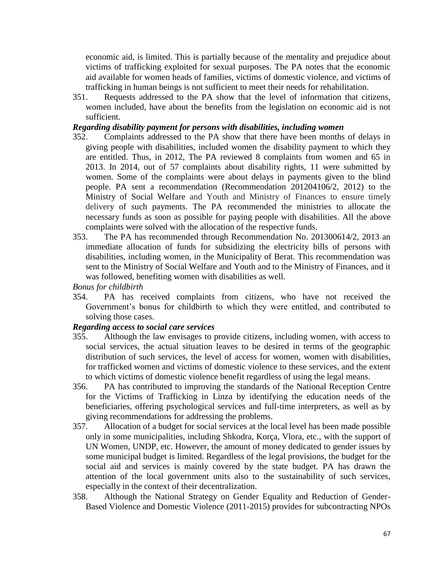economic aid, is limited. This is partially because of the mentality and prejudice about victims of trafficking exploited for sexual purposes. The PA notes that the economic aid available for women heads of families, victims of domestic violence, and victims of trafficking in human beings is not sufficient to meet their needs for rehabilitation.

351. Requests addressed to the PA show that the level of information that citizens, women included, have about the benefits from the legislation on economic aid is not sufficient.

# *Regarding disability payment for persons with disabilities, including women*

- 352. Complaints addressed to the PA show that there have been months of delays in giving people with disabilities, included women the disability payment to which they are entitled. Thus, in 2012, The PA reviewed 8 complaints from women and 65 in 2013. In 2014, out of 57 complaints about disability rights, 11 were submitted by women. Some of the complaints were about delays in payments given to the blind people. PA sent a recommendation (Recommendation 201204106/2, 2012) to the Ministry of Social Welfare and Youth and Ministry of Finances to ensure timely delivery of such payments. The PA recommended the ministries to allocate the necessary funds as soon as possible for paying people with disabilities. All the above complaints were solved with the allocation of the respective funds.
- 353. The PA has recommended through Recommendation No. 201300614/2, 2013 an immediate allocation of funds for subsidizing the electricity bills of persons with disabilities, including women, in the Municipality of Berat. This recommendation was sent to the Ministry of Social Welfare and Youth and to the Ministry of Finances, and it was followed, benefiting women with disabilities as well.

*Bonus for childbirth*

354. PA has received complaints from citizens, who have not received the Government's bonus for childbirth to which they were entitled, and contributed to solving those cases.

# *Regarding access to social care services*

- 355. Although the law envisages to provide citizens, including women, with access to social services, the actual situation leaves to be desired in terms of the geographic distribution of such services, the level of access for women, women with disabilities, for trafficked women and victims of domestic violence to these services, and the extent to which victims of domestic violence benefit regardless of using the legal means.
- 356. PA has contributed to improving the standards of the National Reception Centre for the Victims of Trafficking in Linza by identifying the education needs of the beneficiaries, offering psychological services and full-time interpreters, as well as by giving recommendations for addressing the problems.
- 357. Allocation of a budget for social services at the local level has been made possible only in some municipalities, including Shkodra, Korça, Vlora, etc., with the support of UN Women, UNDP, etc. However, the amount of money dedicated to gender issues by some municipal budget is limited. Regardless of the legal provisions, the budget for the social aid and services is mainly covered by the state budget. PA has drawn the attention of the local government units also to the sustainability of such services, especially in the context of their decentralization.
- 358. Although the National Strategy on Gender Equality and Reduction of Gender-Based Violence and Domestic Violence (2011-2015) provides for subcontracting NPOs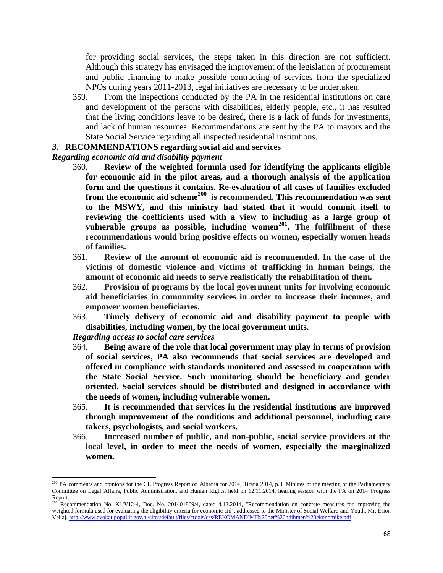for providing social services, the steps taken in this direction are not sufficient. Although this strategy has envisaged the improvement of the legislation of procurement and public financing to make possible contracting of services from the specialized NPOs during years 2011-2013, legal initiatives are necessary to be undertaken.

359. From the inspections conducted by the PA in the residential institutions on care and development of the persons with disabilities, elderly people, etc., it has resulted that the living conditions leave to be desired, there is a lack of funds for investments, and lack of human resources. Recommendations are sent by the PA to mayors and the State Social Service regarding all inspected residential institutions.

### *3.* **RECOMMENDATIONS regarding social aid and services**

#### *Regarding economic aid and disability payment*

- 360. **Review of the weighted formula used for identifying the applicants eligible for economic aid in the pilot areas, and a thorough analysis of the application form and the questions it contains. Re-evaluation of all cases of families excluded from the economic aid scheme<sup>200</sup> is recommended. This recommendation was sent to the MSWY, and this ministry had stated that it would commit itself to reviewing the coefficients used with a view to including as a large group of vulnerable groups as possible, including women<sup>201</sup> . The fulfillment of these recommendations would bring positive effects on women, especially women heads of families.**
- 361. **Review of the amount of economic aid is recommended. In the case of the victims of domestic violence and victims of trafficking in human beings, the amount of economic aid needs to serve realistically the rehabilitation of them.**
- 362. **Provision of programs by the local government units for involving economic aid beneficiaries in community services in order to increase their incomes, and empower women beneficiaries.**
- 363. **Timely delivery of economic aid and disability payment to people with disabilities, including women, by the local government units.**

*Regarding access to social care services*

 $\overline{a}$ 

- 364. **Being aware of the role that local government may play in terms of provision of social services, PA also recommends that social services are developed and offered in compliance with standards monitored and assessed in cooperation with the State Social Service. Such monitoring should be beneficiary and gender oriented. Social services should be distributed and designed in accordance with the needs of women, including vulnerable women.**
- 365. **It is recommended that services in the residential institutions are improved through improvement of the conditions and additional personnel, including care takers, psychologists, and social workers.**
- 366. **Increased number of public, and non-public, social service providers at the local level, in order to meet the needs of women, especially the marginalized women.**

<sup>&</sup>lt;sup>200</sup> PA comments and opinions for the CE Progress Report on Albania for 2014, Tirana 2014, p.3. Minutes of the meeting of the Parliamentary Committee on Legal Affairs, Public Administration, and Human Rights, held on 12.11.2014, hearing session with the PA on 2014 Progress Report.<br> $_{201}^{201}$  P

Recommendation No. K1/V12-4, Doc. No. 201401869/4, dated 4.12.2014, "Recommendation on concrete measures for improving the weighted formula used for evaluating the eligibility criteria for economic aid", addressed to the Minister of Social Welfare and Youth, Mr. Erion Veliaj[. http://www.avokatipopullit.gov.al/sites/default/files/ctools/css/REKOMANDIMI%20per%20ndihmen%20ekonomike.pdf](http://www.avokatipopullit.gov.al/sites/default/files/ctools/css/REKOMANDIMI%20per%20ndihmen%20ekonomike.pdf)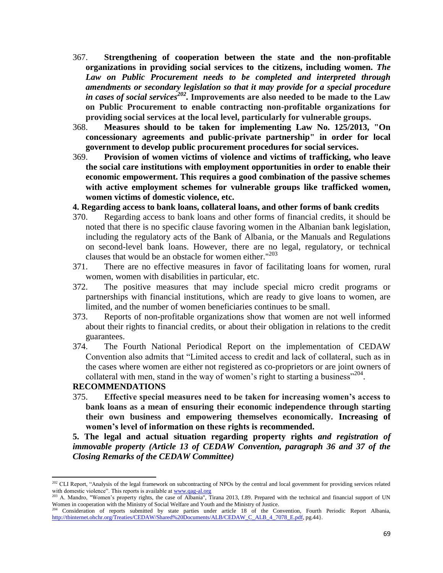- 367. **Strengthening of cooperation between the state and the non-profitable organizations in providing social services to the citizens, including women.** *The Law on Public Procurement needs to be completed and interpreted through amendments or secondary legislation so that it may provide for a special procedure in cases of social services<sup>202</sup> .* **Improvements are also needed to be made to the Law on Public Procurement to enable contracting non-profitable organizations for providing social services at the local level, particularly for vulnerable groups.**
- 368. **Measures should to be taken for implementing Law No. 125/2013, "On concessionary agreements and public-private partnership" in order for local government to develop public procurement procedures for social services.**
- 369. **Provision of women victims of violence and victims of trafficking, who leave the social care institutions with employment opportunities in order to enable their economic empowerment. This requires a good combination of the passive schemes with active employment schemes for vulnerable groups like trafficked women, women victims of domestic violence, etc.**

### **4. Regarding access to bank loans, collateral loans, and other forms of bank credits**

- 370. Regarding access to bank loans and other forms of financial credits, it should be noted that there is no specific clause favoring women in the Albanian bank legislation, including the regulatory acts of the Bank of Albania, or the Manuals and Regulations on second-level bank loans. However, there are no legal, regulatory, or technical clauses that would be an obstacle for women either."<sup>203</sup>
- 371. There are no effective measures in favor of facilitating loans for women, rural women, women with disabilities in particular, etc.
- 372. The positive measures that may include special micro credit programs or partnerships with financial institutions, which are ready to give loans to women, are limited, and the number of women beneficiaries continues to be small.
- 373. Reports of non-profitable organizations show that women are not well informed about their rights to financial credits, or about their obligation in relations to the credit guarantees.
- 374. The Fourth National Periodical Report on the implementation of CEDAW Convention also admits that "Limited access to credit and lack of collateral, such as in the cases where women are either not registered as co-proprietors or are joint owners of collateral with men, stand in the way of women's right to starting a business"<sup>204</sup>.

### **RECOMMENDATIONS**

 $\overline{a}$ 

375. **Effective special measures need to be taken for increasing women's access to bank loans as a mean of ensuring their economic independence through starting their own business and empowering themselves economically. Increasing of women's level of information on these rights is recommended.** 

**5. The legal and actual situation regarding property rights** *and registration of immovable property (Article 13 of CEDAW Convention, paragraph 36 and 37 of the Closing Remarks of the CEDAW Committee)*

<sup>&</sup>lt;sup>202</sup> CLI Report, "Analysis of the legal framework on subcontracting of NPOs by the central and local government for providing services related with domestic violence". This reports is available a[t www.qag-al.org](http://www.qag-al.org/)

<sup>&</sup>lt;sup>203</sup> A. Mandro, "Women's property rights, the case of Albania", Tirana 2013, f.89. Prepared with the technical and financial support of UN Women in cooperation with the Ministry of Social Welfare and Youth and the Ministry of Justice.

<sup>&</sup>lt;sup>204</sup> Consideration of reports submitted by state parties under article 18 of the Convention, Fourth Periodic Report Albania, [http://tbinternet.ohchr.org/Treaties/CEDAW/Shared%20Documents/ALB/CEDAW\\_C\\_ALB\\_4\\_7078\\_E.pdf,](http://tbinternet.ohchr.org/Treaties/CEDAW/Shared%20Documents/ALB/CEDAW_C_ALB_4_7078_E.pdf) pg.44}.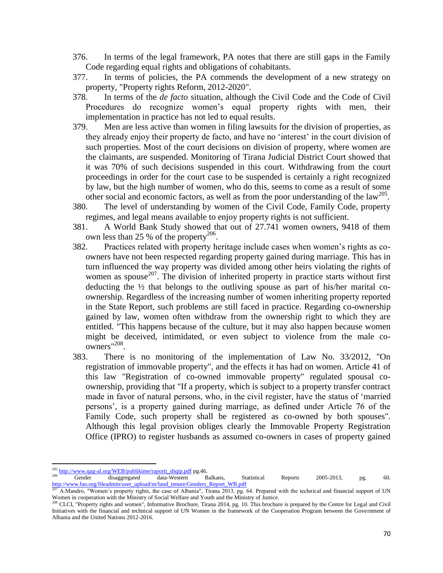- 376. In terms of the legal framework, PA notes that there are still gaps in the Family Code regarding equal rights and obligations of cohabitants.
- 377. In terms of policies, the PA commends the development of a new strategy on property, "Property rights Reform, 2012-2020".
- 378. In terms of the *de facto* situation, although the Civil Code and the Code of Civil Procedures do recognize women's equal property rights with men, their implementation in practice has not led to equal results.
- 379. Men are less active than women in filing lawsuits for the division of properties, as they already enjoy their property de facto, and have no 'interest' in the court division of such properties. Most of the court decisions on division of property, where women are the claimants, are suspended. Monitoring of Tirana Judicial District Court showed that it was 70% of such decisions suspended in this court. Withdrawing from the court proceedings in order for the court case to be suspended is certainly a right recognized by law, but the high number of women, who do this, seems to come as a result of some other social and economic factors, as well as from the poor understanding of the  $law^{205}$ .
- 380. The level of understanding by women of the Civil Code, Family Code, property regimes, and legal means available to enjoy property rights is not sufficient.
- 381. A World Bank Study showed that out of 27.741 women owners, 9418 of them own less than 25 % of the property<sup>206</sup>.
- 382. Practices related with property heritage include cases when women's rights as coowners have not been respected regarding property gained during marriage. This has in turn influenced the way property was divided among other heirs violating the rights of women as spouse<sup>207</sup>. The division of inherited property in practice starts without first deducting the ½ that belongs to the outliving spouse as part of his/her marital coownership. Regardless of the increasing number of women inheriting property reported in the State Report, such problems are still faced in practice. Regarding co-ownership gained by law, women often withdraw from the ownership right to which they are entitled. "This happens because of the culture, but it may also happen because women might be deceived, intimidated, or even subject to violence from the male coowners"<sup>208</sup>.
- 383. There is no monitoring of the implementation of Law No. 33/2012, "On registration of immovable property", and the effects it has had on women. Article 41 of this law "Registration of co-owned immovable property" regulated spousal coownership, providing that "If a property, which is subject to a property transfer contract made in favor of natural persons, who, in the civil register, have the status of 'married persons', is a property gained during marriage, as defined under Article 76 of the Family Code, such property shall be registered as co-owned by both spouses". Although this legal provision obliges clearly the Immovable Property Registration Office (IPRO) to register husbands as assumed co-owners in cases of property gained

<sup>205</sup> <sup>205</sup> [http://www.qag-al.org/WEB/publikime/raporti\\_shqip.pdf](http://www.qag-al.org/WEB/publikime/raporti_shqip.pdf) pg.46.

<sup>206</sup> Gender disaggregated data-Western Balkans, Statistical Reports 2005-2013, pg. 60. [http://www.fao.org/fileadmin/user\\_upload/nr/land\\_tenure/Genders\\_Report\\_WB.pdf](http://www.fao.org/fileadmin/user_upload/nr/land_tenure/Genders_Report_WB.pdf)

<sup>207</sup> A.Mandro, "Women's property rights, the case of Albania", Tirana 2013, pg. 64. Prepared with the technical and financial support of UN Women in cooperation with the Ministry of Social Welfare and Youth and the Ministry of Justice.<br><sup>208</sup> CLCL "Property rights and women" Informative Parakive Club and the Ministry of Justice.

<sup>208</sup> CLCI, "Property rights and women", Informative Brochure, Tirana 2014, pg. 10. This brochure is prepared by the Centre for Legal and Civil Initiatives with the financial and technical support of UN Women in the framework of the Cooperation Program between the Government of Albania and the United Nations 2012-2016.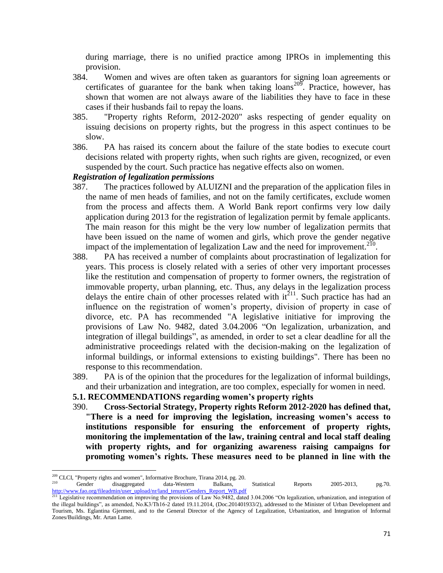during marriage, there is no unified practice among IPROs in implementing this provision.

- 384. Women and wives are often taken as guarantors for signing loan agreements or certificates of guarantee for the bank when taking  $loans^{209}$ . Practice, however, has shown that women are not always aware of the liabilities they have to face in these cases if their husbands fail to repay the loans.
- 385. "Property rights Reform, 2012-2020" asks respecting of gender equality on issuing decisions on property rights, but the progress in this aspect continues to be slow.
- 386. PA has raised its concern about the failure of the state bodies to execute court decisions related with property rights, when such rights are given, recognized, or even suspended by the court. Such practice has negative effects also on women.

#### *Registration of legalization permissions*

 $\overline{\phantom{a}}$ 

- 387. The practices followed by ALUIZNI and the preparation of the application files in the name of men heads of families, and not on the family certificates, exclude women from the process and affects them. A World Bank report confirms very low daily application during 2013 for the registration of legalization permit by female applicants. The main reason for this might be the very low number of legalization permits that have been issued on the name of women and girls, which prove the gender negative impact of the implementation of legalization Law and the need for improvement.<sup>210</sup>.
- 388. PA has received a number of complaints about procrastination of legalization for years. This process is closely related with a series of other very important processes like the restitution and compensation of property to former owners, the registration of immovable property, urban planning, etc. Thus, any delays in the legalization process delays the entire chain of other processes related with it<sup>211</sup>. Such practice has had an influence on the registration of women's property, division of property in case of divorce, etc. PA has recommended "A legislative initiative for improving the provisions of Law No. 9482, dated 3.04.2006 "On legalization, urbanization, and integration of illegal buildings", as amended, in order to set a clear deadline for all the administrative proceedings related with the decision-making on the legalization of informal buildings, or informal extensions to existing buildings". There has been no response to this recommendation.
- 389. PA is of the opinion that the procedures for the legalization of informal buildings, and their urbanization and integration, are too complex, especially for women in need.

#### **5.1. RECOMMENDATIONS regarding women's property rights**

390. **Cross-Sectorial Strategy, Property rights Reform 2012-2020 has defined that, "There is a need for improving the legislation, increasing women's access to institutions responsible for ensuring the enforcement of property rights, monitoring the implementation of the law, training central and local staff dealing with property rights, and for organizing awareness raising campaigns for promoting women's rights. These measures need to be planned in line with the** 

 $209$  CLCI, "Property rights and women", Informative Brochure, Tirana 2014, pg. 20. <sup>210</sup> Gender disaggregated data-Western Balkans, Statistical Reports 2005-2013, pg.70. [http://www.fao.org/fileadmin/user\\_upload/nr/land\\_tenure/Genders\\_Report\\_WB.pdf](http://www.fao.org/fileadmin/user_upload/nr/land_tenure/Genders_Report_WB.pdf)

<sup>&</sup>lt;sup>211</sup> Legislative recommendation on improving the provisions of Law No.9482, dated 3.04.2006 "On legalization, urbanization, and integration of the illegal buildings", as amended, No.K3/Th16-2 dated 19.11.2014, (Doc.201401933/2), addressed to the Minister of Urban Development and Tourism, Ms. Eglantina Gjermeni, and to the General Director of the Agency of Legalization, Urbanization, and Integration of Informal Zones/Buildings, Mr. Artan Lame.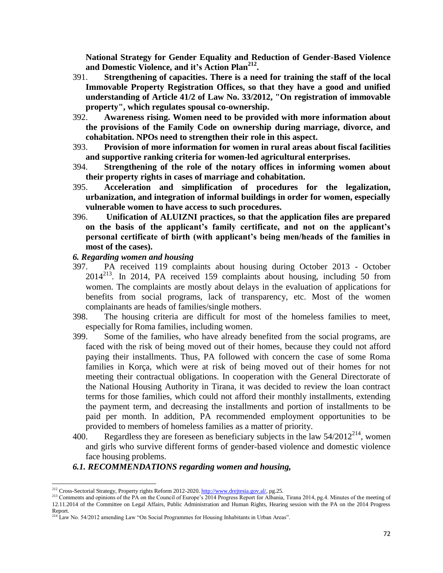**National Strategy for Gender Equality and Reduction of Gender-Based Violence and Domestic Violence, and it's Action Plan<sup>212</sup> .**

- 391. **Strengthening of capacities. There is a need for training the staff of the local Immovable Property Registration Offices, so that they have a good and unified understanding of Article 41/2 of Law No. 33/2012, "On registration of immovable property", which regulates spousal co-ownership.**
- 392. **Awareness rising. Women need to be provided with more information about the provisions of the Family Code on ownership during marriage, divorce, and cohabitation. NPOs need to strengthen their role in this aspect.**
- 393. **Provision of more information for women in rural areas about fiscal facilities and supportive ranking criteria for women-led agricultural enterprises.**
- 394. **Strengthening of the role of the notary offices in informing women about their property rights in cases of marriage and cohabitation.**
- 395. **Acceleration and simplification of procedures for the legalization, urbanization, and integration of informal buildings in order for women, especially vulnerable women to have access to such procedures.**
- 396. **Unification of ALUIZNI practices, so that the application files are prepared on the basis of the applicant's family certificate, and not on the applicant's personal certificate of birth (with applicant's being men/heads of the families in most of the cases).**

# *6. Regarding women and housing*

- 397. PA received 119 complaints about housing during October 2013 October 2014<sup>213</sup> . In 2014, PA received 159 complaints about housing, including 50 from women. The complaints are mostly about delays in the evaluation of applications for benefits from social programs, lack of transparency, etc. Most of the women complainants are heads of families/single mothers.
- 398. The housing criteria are difficult for most of the homeless families to meet, especially for Roma families, including women.
- 399. Some of the families, who have already benefited from the social programs, are faced with the risk of being moved out of their homes, because they could not afford paying their installments. Thus, PA followed with concern the case of some Roma families in Korça, which were at risk of being moved out of their homes for not meeting their contractual obligations. In cooperation with the General Directorate of the National Housing Authority in Tirana, it was decided to review the loan contract terms for those families, which could not afford their monthly installments, extending the payment term, and decreasing the installments and portion of installments to be paid per month. In addition, PA recommended employment opportunities to be provided to members of homeless families as a matter of priority.
- 400. Regardless they are foreseen as beneficiary subjects in the law  $54/2012^{214}$ , women and girls who survive different forms of gender-based violence and domestic violence face housing problems.

# *6.1. RECOMMENDATIONS regarding women and housing,*

 $\overline{\phantom{a}}$ <sup>212</sup> Cross-Sectorial Strategy, Property rights Reform 2012-2020[. http://www.drejtesia.gov.al/,](http://www.drejtesia.gov.al/) pg.25.

<sup>&</sup>lt;sup>213</sup> Comments and opinions of the PA on the Council of Europe's 2014 Progress Report for Albania, Tirana 2014, pg.4. Minutes of the meeting of 12.11.2014 of the Committee on Legal Affairs, Public Administration and Human Rights, Hearing session with the PA on the 2014 Progress Report.

<sup>&</sup>lt;sup>214</sup> Law No. 54/2012 amending Law "On Social Programmes for Housing Inhabitants in Urban Areas"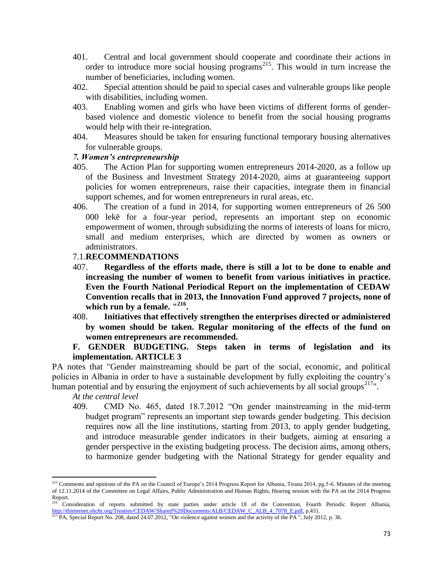- 401. Central and local government should cooperate and coordinate their actions in order to introduce more social housing programs<sup>215</sup>. This would in turn increase the number of beneficiaries, including women.
- 402. Special attention should be paid to special cases and vulnerable groups like people with disabilities, including women.
- 403. Enabling women and girls who have been victims of different forms of genderbased violence and domestic violence to benefit from the social housing programs would help with their re-integration.
- 404. Measures should be taken for ensuring functional temporary housing alternatives for vulnerable groups.

## *7. Women's entrepreneurship*

- 405. The Action Plan for supporting women entrepreneurs 2014-2020, as a follow up of the Business and Investment Strategy 2014-2020, aims at guaranteeing support policies for women entrepreneurs, raise their capacities, integrate them in financial support schemes, and for women entrepreneurs in rural areas, etc.
- 406. The creation of a fund in 2014, for supporting women entrepreneurs of 26 500 000 lekë for a four-year period, represents an important step on economic empowerment of women, through subsidizing the norms of interests of loans for micro, small and medium enterprises, which are directed by women as owners or administrators.

## 7.1.**RECOMMENDATIONS**

- 407. **Regardless of the efforts made, there is still a lot to be done to enable and increasing the number of women to benefit from various initiatives in practice. Even the Fourth National Periodical Report on the implementation of CEDAW Convention recalls that in 2013, the Innovation Fund approved 7 projects, none of which run by a female. " 216 .**
- 408. **Initiatives that effectively strengthen the enterprises directed or administered by women should be taken. Regular monitoring of the effects of the fund on women entrepreneurs are recommended.**

## **F. GENDER BUDGETING. Steps taken in terms of legislation and its implementation. ARTICLE 3**

PA notes that "Gender mainstreaming should be part of the social, economic, and political policies in Albania in order to have a sustainable development by fully exploiting the country's human potential and by ensuring the enjoyment of such achievements by all social groups<sup>217</sup>".

*At the central level*

409. CMD No. 465, dated 18.7.2012 "On gender mainstreaming in the mid-term budget program" represents an important step towards gender budgeting. This decision requires now all the line institutions, starting from 2013, to apply gender budgeting, and introduce measurable gender indicators in their budgets, aiming at ensuring a gender perspective in the existing budgeting process. The decision aims, among others, to harmonize gender budgeting with the National Strategy for gender equality and

 $\overline{a}$ <sup>215</sup> Comments and opinions of the PA on the Council of Europe's 2014 Progress Report for Albania, Tirana 2014, pg.5-6. Minutes of the meeting of 12.11.2014 of the Committee on Legal Affairs, Public Administration and Human Rights, Hearing session with the PA on the 2014 Progress Report.

<sup>216</sup> Consideration of reports submitted by state parties under article 18 of the Convention, Fourth Periodic Report Albania, [http://tbinternet.ohchr.org/Treaties/CEDAW/Shared%20Documents/ALB/CEDAW\\_C\\_ALB\\_4\\_7078\\_E.pdf,](http://tbinternet.ohchr.org/Treaties/CEDAW/Shared%20Documents/ALB/CEDAW_C_ALB_4_7078_E.pdf) p.43}.

<sup>&</sup>lt;sup>217</sup> PA, Special Report No. 208, dated 24.07.2012, "On violence against women and the activity of the PA ", July 2012, p. 36.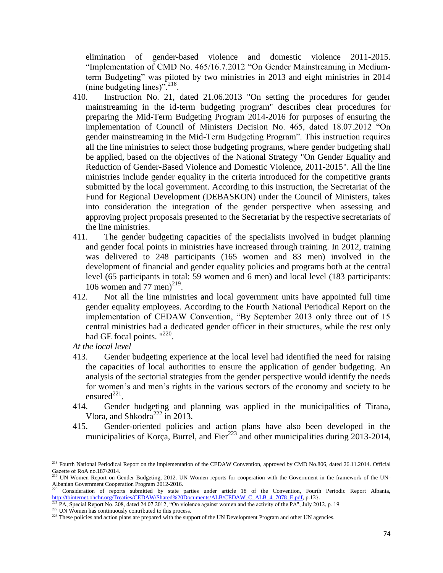elimination of gender-based violence and domestic violence 2011-2015. "Implementation of CMD No. 465/16.7.2012 "On Gender Mainstreaming in Mediumterm Budgeting" was piloted by two ministries in 2013 and eight ministries in 2014 (nine budgeting lines)".<sup>218</sup>.

- 410. Instruction No. 21, dated 21.06.2013 "On setting the procedures for gender mainstreaming in the id-term budgeting program" describes clear procedures for preparing the Mid-Term Budgeting Program 2014-2016 for purposes of ensuring the implementation of Council of Ministers Decision No. 465, dated 18.07.2012 "On gender mainstreaming in the Mid-Term Budgeting Program". This instruction requires all the line ministries to select those budgeting programs, where gender budgeting shall be applied, based on the objectives of the National Strategy "On Gender Equality and Reduction of Gender-Based Violence and Domestic Violence, 2011-2015". All the line ministries include gender equality in the criteria introduced for the competitive grants submitted by the local government. According to this instruction, the Secretariat of the Fund for Regional Development (DEBASKON) under the Council of Ministers, takes into consideration the integration of the gender perspective when assessing and approving project proposals presented to the Secretariat by the respective secretariats of the line ministries.
- 411. The gender budgeting capacities of the specialists involved in budget planning and gender focal points in ministries have increased through training. In 2012, training was delivered to 248 participants (165 women and 83 men) involved in the development of financial and gender equality policies and programs both at the central level (65 participants in total: 59 women and 6 men) and local level (183 participants: 106 women and  $77$  men)<sup>219</sup>.
- 412. Not all the line ministries and local government units have appointed full time gender equality employees. According to the Fourth National Periodical Report on the implementation of CEDAW Convention, "By September 2013 only three out of 15 central ministries had a dedicated gender officer in their structures, while the rest only had GE focal points. "<sup>220</sup>.

*At the local level*

- 413. Gender budgeting experience at the local level had identified the need for raising the capacities of local authorities to ensure the application of gender budgeting. An analysis of the sectorial strategies from the gender perspective would identify the needs for women's and men's rights in the various sectors of the economy and society to be ensured $^{221}$ .
- 414. Gender budgeting and planning was applied in the municipalities of Tirana, Vlora, and Shkodra<sup>222</sup> in 2013.
- 415. Gender-oriented policies and action plans have also been developed in the municipalities of Korça, Burrel, and Fier<sup> $223$ </sup> and other municipalities during 2013-2014,

 $\overline{\phantom{a}}$ <sup>218</sup> Fourth National Periodical Report on the implementation of the CEDAW Convention, approved by CMD No.806, dated 26.11.2014. Official Gazette of RoA no.187/2014.

<sup>&</sup>lt;sup>219</sup> UN Women Report on Gender Budgeting, 2012. UN Women reports for cooperation with the Government in the framework of the UN-Albanian Government Cooperation Program 2012-2016.

<sup>&</sup>lt;sup>220</sup> Consideration of reports submitted by state parties under article 18 of the Convention, Fourth Periodic Report Albania, [http://tbinternet.ohchr.org/Treaties/CEDAW/Shared%20Documents/ALB/CEDAW\\_C\\_ALB\\_4\\_7078\\_E.pdf,](http://tbinternet.ohchr.org/Treaties/CEDAW/Shared%20Documents/ALB/CEDAW_C_ALB_4_7078_E.pdf) p.13}.

<sup>&</sup>lt;sup>221</sup> PA, Special Report No. 208, dated 24.07.2012, "On violence against women and the activity of the PA", July 2012, p. 19.

<sup>&</sup>lt;sup>222</sup> UN Women has continuously contributed to this process.

<sup>&</sup>lt;sup>223</sup> These policies and action plans are prepared with the support of the UN Development Program and other UN agencies.